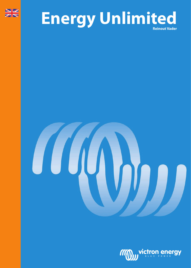

# Energy Unlimited



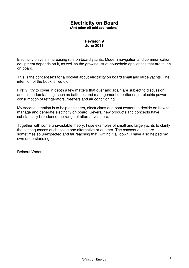# **Electricity on Board**

**(And other off-grid applications)** 

# **Revision 9 June 2011**

Electricity plays an increasing role on board yachts. Modern navigation and communication equipment depends on it, as well as the growing list of household appliances that are taken on board.

This is the concept text for a booklet about electricity on board small and large yachts. The intention of the book is twofold:

Firstly I try to cover in depth a few matters that over and again are subject to discussion and misunderstanding, such as batteries and management of batteries, or electric power consumption of refrigerators, freezers and air conditioning.

My second intention is to help designers, electricians and boat owners to decide on how to manage and generate electricity on board. Several new products and concepts have substantially broadened the range of alternatives here.

Together with some unavoidable theory, I use examples of small and large yachts to clarify the consequences of choosing one alternative or another. The consequences are sometimes so unexpected and far reaching that, writing it all down, I have also helped my own understanding!

Reinout Vader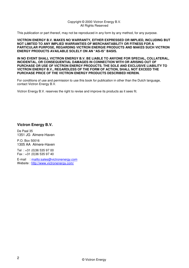#### Copyright © 2000 Victron Energy B.V. All Rights Reserved

This publication or part thereof, may not be reproduced in any form by any method, for any purpose.

**VICTRON ENERGY B.V. MAKES NO WARRANTY, EITHER EXPRESSED OR IMPLIED, INCLUDING BUT NOT LIMITED TO ANY IMPLIED WARRANTIES OF MERCHANTABILITY OR FITNESS FOR A PARTICULAR PURPOSE, REGARDING VICTRON ENERGIE PRODUCTS AND MAKES SUCH VICTRON ENERGY PRODUCTS AVAILABLE SOLELY ON AN "AS-IS" BASIS.**

**IN NO EVENT SHALL VICTRON ENERGY B.V. BE LIABLE TO ANYONE FOR SPECIAL, COLLATERAL, INCIDENTAL, OR CONSEQUENTIAL DAMAGES IN CONNECTION WITH OR ARISING OUT OF PURCHASE OR USE OF VICTRON ENERGY PRODUCTS. THE SOLE AND EXCLUSIVE LIABILITY TO VICTRON ENERGY B.V., REGARDLESS OF THE FORM OF ACTION, SHALL NOT EXCEED THE PURCHASE PRICE OF THE VICTRON ENERGY PRODUCTS DESCRIBED HEREIN.**

For conditions of use and permission to use this book for publication in other than the Dutch language, contact Victron Energy B.V.

Victron Energy B.V. reserves the right to revise and improve its products as it sees fit.

# **Victron Energy B.V.**

De Paal 35 1351 JG Almere-Haven

P.O. Box 50016 1305 AA Almere-Haven

Tel : +31 (0)36 535 97 00 Fax : +31 (0)36 535 97 40

E-mail : mailto:sales@victronenergy.com Website : http://www.victronenergy.com/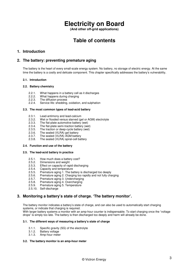# **Electricity on Board**

**(And other off-grid applications)** 

# **Table of contents**

# **1. Introduction**

# **2. The battery: preventing premature aging**

The battery is the heart of every small-scale energy system. No battery, no storage of electric energy. At the same time the battery is a costly and delicate component. This chapter specifically addresses the battery's vulnerability.

#### **2.1. Introduction**

#### **2.2. Battery chemistry**

- 2.2.1. What happens in a battery cell as it discharges 2.2.2. What happens during charging
- What happens during charging
- 2.2.3. The diffusion process<br>2.2.4. Service life: shedding.
- Service life: shedding, oxidation, and sulphation

#### **2.3. The most common types of lead-acid battery**

- 2.3.1. Lead-antimony and lead-calcium
- 2.3.2. Wet or flooded versus starved (gel or AGM) electrolyte 2.3.3. The flat-plate automotive battery (wet)
- The flat-plate automotive battery (wet)
- 2.3.4. The flat-plate semi-traction battery (wet)
- 2.3.5. The traction or deep-cycle battery (wet)
- 2.3.6. The sealed (VLRA) gel battery
- 2.3.7. The sealed (VLRA) AGM battery
- 2.3.8. The sealed (VLRA) spiral-cell battery

#### **2.4. Function and use of the battery**

#### **2.5. The lead-acid battery in practice**

- 2.5.1. How much does a battery cost?<br>2.5.2. Dimensions and weight
- 2.5.2. Dimensions and weight<br>2.5.3. Effect on capacity of rap
- Effect on capacity of rapid discharging
- 2.5.4. Capacity and temperature
- 
- 2.5.5. Premature aging 1. The battery is discharged too deeply<br>2.5.6. Premature aging 2. Charging too rapidly and not fully cha 2.5.6. Premature aging 2. Charging too rapidly and not fully charging 2.5.7. Premature aging 3. Undercharging<br>2.5.8. Premature aging 4. Overcharging
- Premature aging 3. Undercharging
- 2.5.8. Premature aging 4. Overcharging<br>2.5.9. Premature aging 5. Temperature
- Premature aging 5. Temperature
- 2.5.10. Self-discharge

# **3. Monitoring a battery's state of charge. 'The battery monitor'.**

The battery monitor indicates a battery's state of charge, and can also be used to automatically start charging systems, or indicate that charging is required.

With larger battery systems a monitor with an amp-hour counter is indispensable. To start charging once the "voltage drops" is simply too late. The battery is then discharged too deeply and harm will already be done.

#### **3.1. The different ways of measuring a battery's state of charge**

- 3.1.1. Specific gravity (SG) of the electrolyte
- Battery voltage
- 3.1.3. Amp-hour meter

#### **3.2. The battery monitor is an amp-hour meter**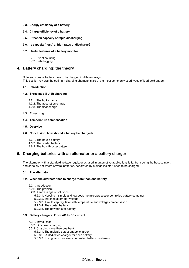#### **3.3. Energy efficiency of a battery**

- **3.4. Charge efficiency of a battery**
- **3.5. Effect on capacity of rapid discharging**

#### **3.6. Is capacity "lost" at high rates of discharge?**

#### **3.7. Useful features of a battery monitor**

3.7.1. Event counting

3.7.2. Data logging

## **4. Battery charging: the theory**

Different types of battery have to be charged in different ways. This section reviews the optimum charging characteristics of the most commonly used types of lead-acid battery.

#### **4.1. Introduction**

#### **4.2. Three step (I U° U) charging**

- 4.2.1. The bulk charge
- 4.2.2. The absorption charge
- 4.2.3. The float charge

#### **4.3. Equalizing**

#### **4.4. Temperature compensation**

#### **4.5. Overview**

#### **4.6. Conclusion: how should a battery be charged?**

- 4.6.1. The house battery
- 4.6.2. The starter battery
- 4.6.3. The bow thruster battery

## **5. Charging batteries with an alternator or a battery charger**

The alternator with a standard voltage regulator as used in automotive applications is far from being the best solution, and certainly not where several batteries, separated by a diode isolator, need to be charged.

#### **5.1. The alternator**

#### **5.2. When the alternator has to charge more than one battery**

- 5.2.1. Introduction
- 5.2.2. The problem
- 5.2.3. A wide range of solutions
	- 5.2.3.1. Keeping it simple and low cost: the microprocessor controlled battery combiner
	- 5.2.3.2. Increase alternator voltage
	- 5.2.3.3. A multistep regulator with temperature and voltage compensation
	- 5.2.3.4. The starter battery
	- 5.2.3.5. The bow thruster battery

#### **5.3. Battery chargers. From AC to DC current**

- 5.3.1. Introduction
- 5.3.2. Optimised charging
- 5.3.3. Charging more than one bank
	- 5.3.3.1. The multiple output battery charger
	- 5.3.3.2. A dedicated charger for each battery
	- 5.3.3.3. Using microprocessor controlled battery combiners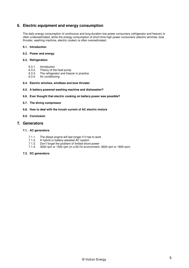# **6. Electric equipment and energy consumption**

The daily energy consumption of continuous and long duration low power consumers (refrigerator and freezer) is often underestimated, while the energy consumption of short time high power consumers (electric winches, bow thruster, washing machine, electric cooker) is often overestimated.

#### **6.1. Introduction**

**6.2. Power and energy**

#### **6.3. Refrigeration**

- 6.3.1. Introduction
- 6.3.2. Theory of the heat pump<br>6.3.3. The refrigerator and freez
- 6.3.3. The refrigerator and freezer in practice
- Air conditioning

#### **6.4. Electric winches, windlass and bow thruster**

- **6.5. A battery powered washing machine and dishwasher?**
- **6.6. Ever thought that electric cooking on battery power was possible?**
- **6.7. The diving compressor**
- **6.8. How to deal with the inrush current of AC electric motors**
- **6.9. Conclusion**

#### **7. Generators**

#### **7.1. AC generators**

- 7.1.1. The diesel engine will last longer if it has to work
- 7.1.2. A hybrid or battery assisted AC system
- 7.1.3. Don't forget the problem of limited shore power<br>7.1.4. 3000 rpm or 1500 rpm (in a 60 Hz environment:
- 7.1.4. 3000 rpm or 1500 rpm (in a 60 Hz environment: 3600 rpm or 1800 rpm)

#### **7.2. DC generators**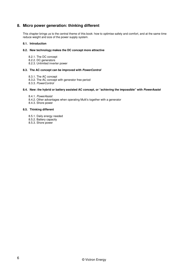# **8. Micro power generation: thinking different**

This chapter brings us to the central theme of this book: how to optimise safety and comfort, and at the same time reduce weight and size of the power supply system.

#### **8.1. Introduction**

#### **8.2. New technology makes the DC concept more attractive**

- 8.2.1. The DC concept
- 8.2.2. DC generators
- 8.2.3. Unlimited inverter power

#### **8.3. The AC concept can be improved with PowerControl**

- 8.3.1. The AC concept
- 8.3.2. The AC concept with generator free period
- 8.3.3. PowerControl

#### **8.4. New: the hybrid or battery assisted AC concept, or "achieving the impossible" with PowerAssist**

- 8.4.1. PowerAssist
- 8.4.2. Other advantages when operating Multi's together with a generator
- 8.4.3. Shore power

#### **8.5. Thinking different**

- 8.5.1. Daily energy needed
- 8.5.2. Battery capacity
- 8.5.3. Shore power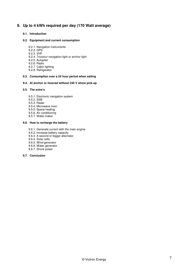# **9. Up to 4 kWh required per day (170 Watt average)**

#### **9.1. Introduction**

#### **9.2. Equipment and current consumption**

- 9.2.1. Navigation instruments
- 9.2.2. GPS
- 9.2.3. VHF
- 9.2.4. Tricolour navigation light or anchor light
- 9.2.5. Autopilot
- 9.2.6. Radio
- 9.2.7. Cabin lighting
- 9.2.8. Refrigerator

#### **9.3. Consumption over a 24 hour period when sailing**

#### **9.4. At anchor or moored without 230 V shore pick-up**

## **9.5. The extra's**

- 9.5.1. Electronic navigation system
- 9.5.2. SSB
- 9.5.3. Radar
- 9.5.4. Microwave oven
- 9.5.5. Space heating
- 9.5.6. Air conditioning
- 9.5.7. Water maker

#### **9.6. How to recharge the battery**

- 9.6.1. Generate current with the main engine
- 9.6.2. Increase battery capacity
- 9.6.3. A second or bigger alternator
- 9.6.4. Solar cells
- 9.6.5. Wind generator
- 9.6.6. Water generator 9.6.7. Shore power
- **9.7. Conclusion**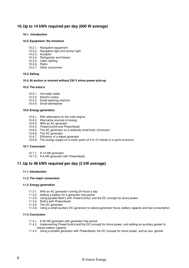# **10. Up to 14 kWh required per day (600 W average)**

#### **10.1. Introduction**

#### **10.2. Equipment: the minimum**

- 10.2.1. Navigation equipment
- 10.2.2. Navigation light and anchor light
- 10.2.3. Autopilot
- 10.2.4. Refrigerator and freezer
- 10.2.5. Cabin lighting
- 10.2.6. Radio
- 10.2.7. Other consumers

#### **10.3. Sailing**

#### **10.4. At anchor or moored without 230 V shore power pick-up**

#### **10.5. The extra's**

- 10.5.1. Hot water kettle
- 10.5.2. Electric cooker
- 10.5.3. Small washing machine
- 10.5.4. Small dishwasher

#### **10.6. Energy generation**

- 10.6.1. With alternators on the main engine
- 10.6.2. Alternative sources of energy
- 10.6.3. With an AC generator
- 10.6.4. PowerControl and PowerAssist
- 10.6.5. The AC generator on a relatively small boat: conclusion
- 10.6.6. The DC generator
- 10.6.7. Efficiency of a diesel generator
- 10.6.8. The energy supply on a motor yacht of 9 to 15 metres or a yacht at anchor

#### **10.7. Conclusion**

- 10.7.1. A 12 kW generator
- 10.7.2. A 6 kW generator with PowerAssist

# **11. Up to 48 kWh required per day (2 kW average)**

#### **11.1. Introduction**

#### **11.2. The major consumers**

#### **11.3. Energy generation**

- 11.3.1. With an AC generator running 24 hours a day
- 11.3.2. Adding a battery for a generator free period
- 11.3.3. Using parallel Multi's with PowerControl, and the DC concept for shore power
- 11.3.4. Multi's with PowerAssist
- 11.3.5. The DC generator
- 11.3.6. Using a small auxiliary DC generator to reduce generator hours, battery capacity and fuel consumption

#### **11.4. Conclusion**

- 11.4.1. A 20 kW generator with generator free period
- 11.4.2. Implementing PowerControl and the DC concept for shore power, and adding an auxiliary genset to reduce battery capacity
- 11.4.3. Using a smaller generator with PowerAssist, the DC concept for shore power, and an aux. genset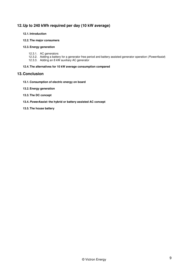# **12. Up to 240 kWh required per day (10 kW average)**

#### **12.1. Introduction**

#### **12.2. The major consumers**

#### **12.3. Energy generation**

- 12.3.1. AC generators
- 12.3.2. Adding a battery for a generator free period and battery assisted generator operation (PowerAssist)
- 12.3.3. Adding an 8 kW auxiliary AC generator

#### **12.4. The alternatives for 10 kW average consumption compared**

# **13. Conclusion**

- **13.1. Consumption of electric energy on board**
- **13.2. Energy generation**
- **13.3. The DC concept**
- **13.4. PowerAssist: the hybrid or battery assisted AC concept**

#### **13.5. The house battery**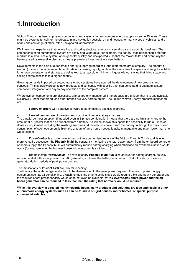# **1. Introduction**

Victron Energy has been supplying components and systems for autonomous energy supply for some 25 years. These might be systems for sail- or motorboats, inland navigation vessels, off-grid houses, for many types of vehicles, and a nearly endless range of other, often unexpected, applications.

We know from experience that generating and storing electrical energy on a small-scale is a complex business. The components of an autonomous system are costly and vulnerable. For example, the battery, that indispensable storage medium in a small-scale system, often goes flat quickly and unexpectedly, so that the "power fails" and eventually the harm caused by excessive discharge means premature investment in a new battery.

Developments in the field of autonomous energy-supply on board sail- and motorboats are exemplary. The amount of electric (domestic) equipment on board boats is increasing rapidly, while at the same time the space and weight available for energy generation and storage are being kept to an absolute minimum. It goes without saying that living space and sailing characteristics take a higher priority.

Growing demands imposed on autonomous energy systems have spurred the development of new products and concepts. This overview presents new products and concepts, with specific attention being paid to optimum system component integration and day-to-day operation of the complete system.

Where system components are discussed, brands are only mentioned if the products are unique, that is to say available exclusively under that brand, or if other brands are very hard to obtain. The unique Victron Energy products mentioned are:

Battery chargers with adaptive software to automatically optimize charging.

#### **Parallel connection** of inverters and combined inverter-battery chargers

The parallel connection option (if needed even in 3-phase configuration) means that there are no limits anymore to the amount of AC power that can be supplied from a battery. As will be shown, this opens the possibility to run all kinds of domestic equipment, including the washing machine and the electric cooker, from the battery. Although the peak power consumption of such equipment is high, the amount of amp-hours needed is quite manageable and much lower than one would expect.

**PowerControl** is an often overlooked but very convenient feature of the Victron Phoenix Combi and its even more versatile successor, the **Phoenix Multi**: by constantly monitoring the total power drawn from the on-board generator or shore supply, the Phoenix Multi will automatically reduce battery charging when otherwise an overload situation would occur (for example when high power household equipment is switched on).

- The next step: **PowerAssist**. The revolutionary **Phoenix MultiPlus**, also an inverter-battery charger, actually runs in parallel with shore power or an AC generator, and uses the battery as a buffer to "help" the shore power or generator during periods of peak power demand.

#### The implications of **PowerAssist** are truly far reaching:

Traditionally the on-board generator had to be dimensioned to the peak power required. The use of power hungry equipment such as air conditioning, a washing machine or an electric stove would require a big and heavy generator and the required shore power capacity would often not even be available. **With PowerAssist, shore power and the onboard generator can be reduced to less than half the rating that normally would be required!** 

**While this overview is directed mainly towards boats, many products and solutions are also applicable in other autonomous energy systems such as can be found in off-grid houses, motor homes, or special purpose commercial vehicles.**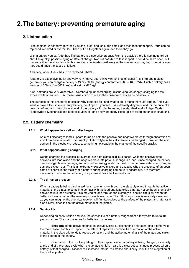# **2. The battery: preventing premature aging**

# **2.1. Introduction**

I like engines. When they go wrong you can listen, and look, and smell, and then take them apart. Parts can be replaced, repaired or overhauled. Then put it all together again, and there they go!

With a battery you can't do that. The battery is a secretive product. From the outside there is nothing to tell us about its quality, possible aging or state of charge. Nor is it possible to take it apart. It could be sawn open, but that ruins it for good and only highly qualified specialists could analyse the content and may be, in certain cases, they could trace the cause of failure.

A battery, when it fails, has to be replaced. That's it.

A battery is expensive, bulky and very very heavy. Just think: with 10 litres of diesel  $(= 8.4 \text{ kg})$  and a diesel generator you can charge a battery of 24 V 700 Ah (energy content 24 x 700 = 16.8 kWh). Such a battery has a volume of 300 dm<sup>3</sup> (= 300 litres) and weighs 670 kg!

Also, batteries are very vulnerable. Overcharging, undercharging, discharging too deeply, charging too fast, excessive temperature…. All these issues can occur and the consequences can be disastrous.

The purpose of this chapter is to explain why batteries fail, and what to do to make them last longer. And if you want to have a look inside a faulty battery, don't open it yourself. It is extremely dirty work and for the price of a new pair of trousers (the sulphuric acid of the battery will ruin them) buy the standard work of Nigel Calder, "Boatowner's Mechanical and Electrical Manual", and enjoy the many close-up's of failed batteries in chapter 1.

# **2.2. Battery chemistry**

#### **2.2.1. What happens in a cell as it discharges**

As a cell discharges lead sulphate forms on both the positive and negative plates through absorption of acid from the electrolyte. The quantity of electrolyte in the cells remains unchanged. However, the acid content in the electrolyte reduces, something noticeable in the change of the specific gravity.

#### **2.2.2. What happens during charging**

During charging the process is reversed. On both plates acid is released, while the positive plate converts into lead oxide and the negative plate into porous, sponge-like lead. Once charged the battery can no longer take up energy, and any further energy added is used to decompose water into hydrogen gas and oxygen gas. This is an extremely explosive mixture and explains why the presence of an open flame or sparks in the vicinity of a battery during charging can be very hazardous. It is therefore necessary to ensure that a battery compartment has effective ventilation.

#### **2.2.3. The diffusion process**

When a battery is being discharged, ions have to move through the electrolyte and through the active material of the plates to come into contact with the lead and lead oxide that has not yet been chemically converted into lead sulphate. This moving of ions through the electrolyte is called diffusion. When the battery is being charged the reverse process takes place. The diffusion process is relatively slow, and as you can imagine, the chemical reaction will first take place at the surface of the plates, and later (and also slower) deep inside the active material of the plates.

#### **2.2.4. Service life**

Depending on construction and use, the service life of a battery ranges from a few years to up to 10 years or more. The main reasons for batteries to age are:

**Shedding** of the active material. Intensive cycling (= discharging and recharging a battery) is the main reason for this to happen. The effect of repetitive chemical transformation of the active material in the plate grid tends to reduce cohesion, and the active material falls of the plates and sinks to the bottom of the battery.

**Corrosion** of the positive plate grid. This happens when a battery is being charged, especially at the end of the charge cycle when the voltage is high. It also is a slow but continuous process when a battery is float charged. Oxidation will increase internal resistance and, finally, result in disintegration of the positive plates.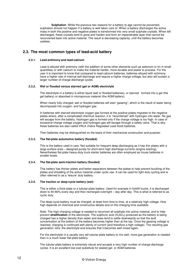**Sulphation**. While the previous two reasons for a battery to age cannot be prevented, sulphation should not happen if a battery is well taken care of. When a battery discharges the active mass in both the positive and negative plates is transformed into very small sulphate crystals. When left discharged, these crystals tend to grow and harden and form an impenetrable layer that cannot be reconverted back into active material. The result is decreasing capacity, until the battery becomes useless.

# **2.3. The most common types of lead-acid battery**

#### **2.3.1. Lead-antimony and lead-calcium**

Lead is alloyed with antimony (with the addition of some other elements such as selenium or tin in small quantities) or with calcium to make the material harder, more durable and easier to process. For the user it is important to know that compared to lead-calcium batteries, batteries alloyed with antimony have a higher rate of internal self-discharge and require a higher charge voltage, but also will sustain a larger number of charge-discharge cycles.

#### **2.3.2. Wet or flooded versus starved (gel or AGM) electrolyte**

The electrolyte in a battery is either liquid (wet or flooded batteries), or starved: formed into a gel (the gel battery) or absorbed in microporous material (the AGM battery).

When nearly fully charged, wet or flooded batteries will start "gassing", which is the result of water being decomposed into oxygen- and hydrogen gas.

In batteries with starved electrolyte oxygen gas formed at the positive plates migrates to the negative plates where, after a complicated chemical reaction, it is "recombined" with hydrogen into water. No gas will escape from the battery. Hydrogen gas is formed only if the charge voltage is too high. In case of excessive charge voltage oxygen and hydrogen gas will escape through a safety valve. That is why these batteries are also called VRLA (Valve Regulated Lead Acid) batteries.

Then batteries may be distinguished on the basis of their mechanical construction and purpose:

#### **2.3.3. The flat-plate automotive battery (flooded)**

This is the battery used in cars. Not suitable for frequent deep discharging as it has thin plates with a large surface area – designed purely for short-term high discharge currents (engine starting). Nevertheless flat-plate heavy-duty truck starter batteries are often employed as house batteries in smaller boats.

#### **2.3.4. The flat-plate semi-traction battery (flooded)**

This battery has thicker plates and better separators between the plates to help prevent buckling of the plates and shedding of the active material under cyclic use. It can be used for light duty cycling and is often referred to as a 'leisure' duty battery.

#### **2.3.5. The traction or deep-cycle battery (wet)**

This is either a thick-plate or a tubular-plate battery. Used for example in forklift trucks, it is discharged down to 60-80% every day and then recharged overnight – day after day. This is what is referred to as cyclic duty.

The deep-cycle battery must be charged, at least from time to time, at a relatively high voltage. How high depends on chemical and constructive details and on the charging time available.

Note: The high charging voltage is needed to reconvert all sulphate into active material, and to help prevent **stratification** of the electrolyte. The sulphuric acid (H<sub>2</sub>SO<sub>4</sub>) produced as the battery is being charged has a higher density than water and does tend to settle downwards so that the acid concentration at the bottom of the battery becomes higher than at the top. Once the gassing voltage is reached, charging is continued with plenty of current (and therefore a high voltage). The resulting gas generation 'stirs' the electrolyte and ensures that it becomes well mixed again.

For the electrolyte in a usually very tall tubular-plate battery to mix well, more gas generation is needed than in a much lower flat-plate battery.

The tubular-plate battery is extremely robust and accepts a very high number of charge-discharge cycles. It is an excellent low cost substitute for sealed gel- or AGM batteries.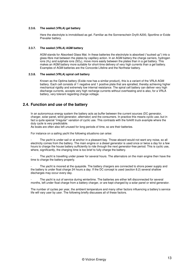#### **2.3.6. The sealed (VRLA) gel battery**

Here the electrolyte is immobilised as gel. Familiar as the Sonnenschein Dryfit A200, Sportline or Exide Prevailer battery.

#### **2.3.7. The sealed (VRLA) AGM battery**

AGM stands for Absorbed Glass Mat. In these batteries the electrolyte is absorbed ("sucked up") into a glass-fibre mat between the plates by capillary action. In an AGM battery the charge carriers, hydrogen ions (H2) and sulphate ions (SO4), move more easily between the plates than in a gel battery. This makes an AGM battery more suitable for short-time delivery of very high currents than a gel battery. Examples of AGM batteries are the Concorde Lifeline and the Northstar battery.

#### **2.3.8. The sealed (VRLA) spiral cell battery**

Known as the Optima battery (Exide now has a similar product), this is a variant of the VRLA AGM battery. Each cell consists of 1 negative and 1 positive plate that are spiralled, thereby achieving higher mechanical rigidity and extremely low internal resistance. The spiral cell battery can deliver very high discharge currents, accepts very high recharge currents without overheating and is also, for a VRLA battery, very tolerant regarding charge voltage.

# **2.4. Function and use of the battery**

In an autonomous energy system the battery acts as buffer between the current sources (DC generator, charger, solar panel, wind generator, alternator) and the consumers. In practice this means cyclic use, but in fact a quite special "irregular" variation of cyclic use. This contrasts with the forklift truck example where the duty cycle is very predictable.

As boats are often also left unused for long periods of time, so are their batteries.

For instance on a sailing yacht the following situations can arise:

The yacht is under sail or at anchor in a pleasant bay. Those aboard would not want any noise, so all electricity comes from the battery. The main engine or a diesel generator is used once or twice a day for a few hours to charge the house battery sufficiently to ride through the next generator-free period. This is cyclic use, where, significantly, the charging time is too brief to fully charge the battery.

The yacht is travelling under power for several hours. The alternators on the main engine then have the time to charge the battery properly.

The yacht is moored at the quayside. The battery chargers are connected to shore power supply and the battery is under float charge 24 hours a day. If the DC concept is used (section 8.2) several shallow discharges may occur every day.

The yacht is out of service during wintertime. The batteries are either left disconnected for several months, left under float charge from a battery charger, or are kept charged by a solar panel or wind generator.

The number of cycles per year, the ambient temperature and many other factors influencing a battery's service life will vary user by user. The following briefly discusses all of these factors.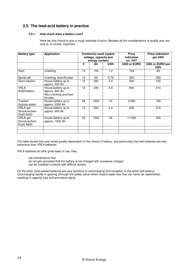# **2.5. The lead-acid battery in practice**

#### **2.5.1. How much does a battery cost?**

Here we only intend to give a rough estimate of price. Besides all the considerations of quality and use, cost is, of course, important.

| <b>Battery type</b>                     | <b>Application</b>                                                          | <b>Commonly used system</b><br>voltage, capacity and<br>energy content |      |                  | <b>Price</b><br><i>indication</i><br>ex. VAT | <b>Price indication</b><br>per kWh |  |
|-----------------------------------------|-----------------------------------------------------------------------------|------------------------------------------------------------------------|------|------------------|----------------------------------------------|------------------------------------|--|
|                                         |                                                                             | $\mathbf v$                                                            | Ah   | <b>kWh</b>       | <b>USD or EURO</b>                           | <b>USD or EURO per</b><br>kWh      |  |
| Start                                   | Cranking                                                                    | 12                                                                     | 100  | 1.2 <sub>2</sub> | 100                                          | 80                                 |  |
| Spiral-cell                             | Cranking, bow-thruster                                                      | 12                                                                     | 60   | 0.72             | 250                                          | 350                                |  |
| Semi-traction                           | House battery up to<br>approx. 600 Ah                                       | 12                                                                     | 200  | 2.4              | 300                                          | 125                                |  |
| <b>VRLA</b><br><b>AGM battery</b>       | House battery up to<br>approx. 600 Ah.<br>Also cranking and bow<br>thruster | 12 <sup>2</sup>                                                        | 230  | 2.8              | 600                                          | 210                                |  |
| Traction<br>(tubular-plate)             | House battery up to<br>approx. 2000 Ah                                      | 24                                                                     | 1000 | 24               | 4.500                                        | 190                                |  |
| VRLA-gel<br>Sonnenschein<br>Dryfit A200 | House battery up to<br>approx. 600 Ah                                       | 12                                                                     | 200  | 2.4              | 500                                          | 210                                |  |
| VRLA-gel<br>Sonnenschein<br>Dryfit A600 | House battery up to<br>approx. 1500 Ah                                      | 24                                                                     | 1500 | 36               | 11.000                                       | 305                                |  |
|                                         |                                                                             |                                                                        |      |                  |                                              |                                    |  |

The table shows that cost varies greatly dependant on the choice of battery, and particularly that wet batteries are less expensive than VRLA batteries.

VRLA batteries do offer great ease of use, they:

- are maintenance free.
- do not gas (provided that the battery is not charged with excessive voltage).
- can be installed in places with difficult access.

On the other hand sealed batteries are very sensitive to overcharging (the exception is the spiral-cell battery). Overcharging results in gassing (through the safety valve) which means water loss that can never be replenished, resulting in capacity loss and premature aging.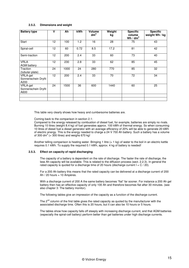#### **2.5.2. Dimensions and weight**

| <b>Battery type</b>                     | v               | Ah   | <b>kWh</b> | Volume<br>dm <sup>3</sup> | Weight<br>kg | <b>Specific</b><br>volume<br>Wh / $dm^3$ | <b>Specific</b><br>weight Wh / kg |
|-----------------------------------------|-----------------|------|------------|---------------------------|--------------|------------------------------------------|-----------------------------------|
| Start                                   | 12 <sup>2</sup> | 100  | 1.2        | 16                        | 28           | 75                                       | 43                                |
| Spiral-cell                             | 12              | 60   | 0.72       | 8.5                       | 17.2         | 81                                       | 42                                |
| Semi-traction                           | 12 <sup>2</sup> | 200  | 2.4        | 33                        | 60           | 73                                       | 40                                |
| <b>VRLA</b><br><b>AGM</b> battery       | 12              | 230  | 2.8        | 33                        | 62           | 85                                       | 45                                |
| Traction<br>(tubular-plate)             | 24              | 1000 | 24         | 280                       | 770          | 85                                       | 32                                |
| VRLA-gel<br>Sonnenschein Dryfit<br>A200 | 12 <sup>°</sup> | 200  | 2.4        | 33                        | 70           | 72                                       | 34                                |
| VRLA-gel<br>Sonnenschein Dryfit<br>A600 | 24              | 1500 | 36         | 600                       | 1440         | 60                                       | 25                                |
|                                         |                 |      |            |                           |              |                                          |                                   |

This table very clearly shows how heavy and cumbersome batteries are.

Coming back to the comparison in section 2.1:

Compared to the energy released by combustion of diesel fuel, for example, batteries are simply no rivals. Burning 10 litres (weight 8.4 kg) of fuel generates approx. 100 kWh of thermal energy. So when consuming 10 litres of diesel fuel a diesel generator with an average efficiency of 20% will be able to generate 20 kWh of electric energy. This is the energy needed to charge a 24 V 700 Ah battery. Such a battery has a volume of 300 dm<sup>3</sup> (= 300 litres) and weighs 670 kg!

Another telling comparison is heating water. Bringing 1 litre  $(= 1 \text{ kg})$  of water to the boil in an electric kettle requires 0.1 kWh. To supply the required 0.1 kWh, approx. 4 kg of battery is needed!

#### **2.5.3. Effect on capacity of rapid discharging**

The capacity of a battery is dependent on the rate of discharge. The faster the rate of discharge, the less Ah capacity will be available. This is related to the diffusion process (sect. 2.2.3). In general the rated capacity is quoted for a discharge time of 20 hours (discharge current  $I = C / 20$ ).

For a 200 Ah battery this means that the rated capacity can be delivered at a discharge current of 200 Ah / 20 hours = 10 Ampères.

With a discharge current of 200 A the same battery becomes "flat" far sooner. For instance a 200 Ah gel battery then has an effective capacity of only 100 Ah and therefore becomes flat after 30 minutes. (see also chapter 3: The battery monitor).

The following tables give an impression of the capacity as a function of the discharge current.

The  $2^{nd}$  column of the first table gives the rated capacity as quoted by the manufacturer with the associated discharge time. Often this is 20 hours, but it can also be 10 hours or 5 hours.

The tables show how capacity falls off steeply with increasing discharge current, and that AGM batteries (especially the spiral-cell battery) perform better than gel batteries under high discharge currents.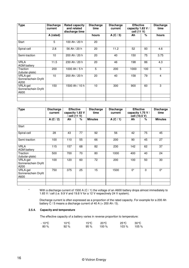| <b>Type</b>                             | <b>Discharge</b><br>current | <b>Rated capacity</b><br>and related<br>discharge time | <b>Discharge</b><br>time | <b>Discharge</b><br>current | <b>Effective</b><br>capacity 1.83 V /<br>cell (11 V) |      | <b>Discharge</b><br>time |
|-----------------------------------------|-----------------------------|--------------------------------------------------------|--------------------------|-----------------------------|------------------------------------------------------|------|--------------------------|
|                                         | A (rated)                   |                                                        | hours                    | A $(C / 5)$                 | Ah                                                   | $\%$ | hours                    |
| Start                                   | 5                           | 100 Ah / 20 h                                          | 20                       |                             |                                                      |      |                          |
| Spiral-cell                             | 2.8                         | 56 Ah / 20 h                                           | 20                       | 11.2                        | 52                                                   | 93   | 4.6                      |
| Semi-traction                           | 10                          | 200 Ah / 20 h                                          | 20                       | 40                          | 150                                                  | 75   | 3.75                     |
| <b>VRLA</b><br><b>AGM battery</b>       | 11.5                        | 230 Ah / 20 h                                          | 20                       | 46                          | 198                                                  | 86   | 4.3                      |
| Traction<br>(tubular-plate)             | 200                         | 1000 Ah / 5 h                                          | 5                        | 200                         | 1000                                                 | 100  | 5                        |
| VRLA-gel<br>Sonnenschein Dryfit<br>A200 | 10                          | 200 Ah / 20 h                                          | 20                       | 40                          | 158                                                  | 79   | $\overline{4}$           |
| VRLA-gel<br>Sonnenschein Dryfit<br>A600 | 150                         | 1500 Ah / 10 h                                         | 10                       | 300                         | 900                                                  | 60   | 3                        |
|                                         |                             |                                                        |                          |                             |                                                      |      |                          |

| Type                                    | <b>Discharge</b><br>current | <b>Effective</b><br>capacity 1.83 V<br>′ cell (11 V) |    | <b>Discharge</b><br>time | <b>Discharge</b><br>current | <b>Effective</b><br>capacity 1.75 V /<br>cell (10.5 V) |          | <b>Discharge</b><br>time |
|-----------------------------------------|-----------------------------|------------------------------------------------------|----|--------------------------|-----------------------------|--------------------------------------------------------|----------|--------------------------|
|                                         | A(C/2)                      | Ah                                                   | %  | <b>Minutes</b>           | A(C/1)                      | Ah                                                     | %        | <b>Minutes</b>           |
| Start                                   |                             |                                                      |    |                          |                             |                                                        |          |                          |
| Spiral-cell                             | 28                          | 43                                                   | 77 | 92                       | 56                          | 42                                                     | 75       | 45                       |
| Semi-traction                           | 100                         | 110                                                  | 55 | 66                       | 200                         | 90                                                     | 45       | 27                       |
| <b>VRLA</b><br><b>AGM battery</b>       | 115                         | 157                                                  | 68 | 82                       | 230                         | 142                                                    | 62       | 37                       |
| Traction<br>(tubular-plate)             | 500                         | 700                                                  | 70 | 80                       | 1000                        | 400                                                    | 40       | 24                       |
| VRLA-gel<br>Sonnenschein Dryfit<br>A200 | 100                         | 120                                                  | 60 | 72                       | 200                         | 100                                                    | 50       | 30                       |
| VRLA-gel<br>Sonnenschein Dryfit<br>A600 | 750                         | 375                                                  | 25 | 15                       | 1500                        | $0^*$                                                  | $\Omega$ | $0^*$                    |
|                                         |                             |                                                      |    |                          |                             |                                                        |          |                          |

\* With a discharge current of 1500 A (C / 1) the voltage of an A600 battery drops almost immediately to 1.65 V / cell (i.e. 9.9 V and 19.8 V for a 12 V respectively 24 V system).

Discharge current is often expressed as a proportion of the rated capacity. For example for a 200 Ah battery C / 5 means a discharge current of 40 A (= 200 Ah / 5).

#### **2.5.4. Capacity and temperature**

The effective capacity of a battery varies in reverse proportion to temperature:

| - 10℃ | 10 °C | 15℃ | 20 ℃         | 25 ℃ | - 30 ℃          |
|-------|-------|-----|--------------|------|-----------------|
| 80 %  | 92%   |     | $95\%$ 100 % |      | $103\%$ $105\%$ |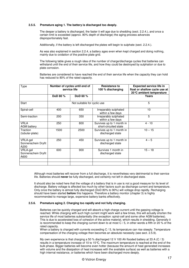#### **2.5.5. Premature aging 1. The battery is discharged too deeply.**

The deeper a battery is discharged, the faster it will age due to shedding (sect. 2.2.4.), and once a certain limit is exceeded (approx. 80% depth of discharge) the aging process advances disproportionately fast.

Additionally, if the battery is left discharged the plates will begin to sulphate (sect. 2.2.4.).

As was also explained in section 2.2.4, a battery ages even when kept charged and doing nothing, mainly due to oxidation of the positive plate grid.

The following table gives a rough idea of the number of charge/discharge cycles that batteries can withstand until the end of their service life, and how they could be destroyed by sulphation or due to plate corrosion.

Batteries are considered to have reached the end of their service life when the capacity they can hold has reduced to 80% of the rated capacity.

| Type                                    |          | Number of cycles until end of<br>service life | <b>Resistance to</b><br>100 % discharging          | <b>Expected service life in</b><br>float or shallow cycle use at<br>20 ℃ ambient temperature |  |
|-----------------------------------------|----------|-----------------------------------------------|----------------------------------------------------|----------------------------------------------------------------------------------------------|--|
|                                         | DoD 80 % | DoD 60 %                                      |                                                    | Years                                                                                        |  |
| <b>Start</b>                            |          | Not suitable for cyclic use                   |                                                    | 5                                                                                            |  |
| Spiral-cell                             | 400      | 650                                           | Irreparably sulphated<br>within a few days         | 10                                                                                           |  |
| Semi-traction                           | 200      | 350                                           | Irreparably sulphated<br>within a few days         | 5                                                                                            |  |
| <b>VRLA</b><br><b>AGM battery</b>       | 250      | 800                                           | Survives up to 1 month in<br>short-circuited state | $4 - 10$                                                                                     |  |
| Traction<br>(tubular-plate)             | 1500     | 2500                                          | Survives up to 1 month in<br>discharged state      | $10 - 15$                                                                                    |  |
| VRLA-gel<br>Sonnenschein Dryfit<br>A200 | 250      | 450                                           | Survives up to 1 month in<br>discharged state      | $4 - 5$                                                                                      |  |
| VRLA-gel<br>Sonnenschein Dryfit<br>A600 | 600      | 900                                           | Survives 1 month in<br>discharged state            | $15 - 18$                                                                                    |  |
|                                         |          |                                               |                                                    |                                                                                              |  |

Although most batteries will recover from a full discharge, it is nevertheless very detrimental to their service life. Batteries should **never** be fully discharged, and certainly not left in discharged state.

It should also be noted here that the voltage of a battery that is in use is not a good measure for its level of discharge. Battery voltage is affected too much by other factors such as discharge current and temperature. Only once the battery is almost fully discharged (DoD 80% to 90%) will voltage drop rapidly. Recharging should have been started **before** this happens. Therefore a battery monitor (chapter 3) is highly recommended to manage large, expensive battery banks effectively.

#### **2.5.6. Premature aging 2. Charging too rapidly and not fully charging.**

Batteries can be quickly charged and will absorb a high charge current until the gassing voltage is reached. While charging with such high current might work well a few times, this will actually shorten the service life of most batteries substantially (the exception: spiral-cell and some other AGM batteries). This is due to accelerated loss of cohesion of the active material, which results in shedding. Generally it is recommended to keep the charging current down to at most  $C/5$ , in other words a fifth or 20 % of the rated capacity.

When a battery is charged with currents exceeding C / 5, its temperature can rise steeply. Temperature compensation of the charging voltage then becomes an absolute necessity (see sect. 2.5.9).

My own experience is that charging a 50 % discharged 12 V 100 Ah flooded battery at 33 A (C / 3) results in a temperature increase of 10 to 15°C. The maximum temperature is reached at the end of the bulk phase. Bigger batteries will become even hotter (because the amount of heat generated increases with volume and the dissipation of heat increases with the available surface) as well as batteries with a high internal resistance, or batteries which have been discharged more deeply.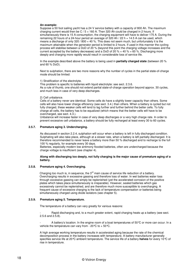#### **An example:**

Suppose a 50 foot sailing yacht has a 24 V service battery with a capacity of 800 Ah. The maximum charging current would then be C  $/ 5 = 160$  A. Then 320 Ah could be charged in 2 hours. If simultaneously there is 15 A consumption, the charging equipment will have to deliver 175 A. During the remaining 22 hours of a 24-hour period an average of 320 Ah / 22 h = 14.5 A can be used, which means a discharge of only 320 / 800 = 40 %. This does not seem much, but unfortunately it is the maximum attainable when the generator period is limited to 2 hours. If used in this manner the cycling process will stabilise between a DoD of 20 % (beyond this point the charging voltage increases and the current accepted by the battery decreases) and a DoD of 20 % + 40 % = 60 %. Discharging more deeply and charging more rapidly would result in considerable loss of service life.

In the example described above the battery is being used in **partially charged state** (between 20 % and 60 % DoD).

Next to sulphation, there are two more reasons why the number of cycles in the partial state-of-charge mode should be limited:

1) Stratification of the electrolyte.

This problem is specific to batteries with liquid electrolyte: see sect. 2.3.6. As a rule of thumb, one should not extend partial state-of-charge operation beyond approx. 30 cycles, and much less in case of very deep discharges.

#### 2) Cell unbalance.

Cells of a battery never are identical. Some cells do have a slightly lower capacity than others. Some cells will also have lower charge efficiency (see sect. 3.4.) than others. When a battery is cycled but not fully charged, these weaker cells will tend to lag further and further behind the better cells. To fully charge all cells, the battery has to be equalized (which means that the better cells will have to be overcharged, see sect. 4.3.).

Unbalance will increase faster in case of very deep discharges or a very high charge rate. In order to prevent excessive cell unbalance, a battery should be fully recharged at least every 30 to 60 cycles.

#### **2.5.7. Premature aging 3. Undercharging.**

As discussed in section 2.2.4, sulphation will occur when a battery is left in fully discharged condition. Sulphating will also take place, although at a slower rate, when a battery is left partially discharged. It is therefore recommended to never leave a battery more than 50 % discharged and to recharge to the full 100 % regularly, for example every 30 days.

Batteries, especially modern low antimony flooded batteries, often are undercharged because the charge voltage is insufficient (see chapter 4).

#### **Along with discharging too deeply, not fully charging is the major cause of premature aging of a battery.**

#### **2.5.8. Premature aging 4. Overcharging.**

Charging too much is, in sequence, the  $3<sup>rd</sup>$  main cause of service life reduction of a battery. Overcharging results in excessive gassing and therefore loss of water. In wet batteries water loss through excessive gassing can simply be replenished (yet the accelerated corrosion of the positive plates which takes place simultaneously is irreparable). However, sealed batteries which gas excessively cannot be replenished, and are therefore much more susceptible to overcharging. A frequent cause of excessive charging is the lack of temperature compensation or batteries being simultaneously charged using diode isolators (see chapter 5).

#### **2.5.9. Premature aging 5. Temperature.**

The temperature of a battery can vary greatly for various reasons:

Rapid discharging and, to a much greater extent, rapid charging heats up a battery (see sect. 2.5.6 and 2.5.8).

A battery's location. In the engine room of a boat temperatures of 50  $\degree$  or more can occur. In a vehicle the temperature can vary from -  $20^{\circ}C$  to +  $50^{\circ}C$ .

A high average working temperature results in accelerated aging because the rate of the chemical decomposition process in the battery increases with temperature. A battery manufacturer generally specifies service life at 20°C ambient temperature. The service life of a battery **halves** for every 10°C of rise in temperature.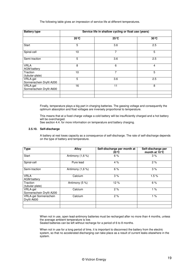#### The following table gives an impression of service life at different temperatures.

| <b>Battery type</b>                  | Service life in shallow cycling or float use (years) |       |                |  |  |  |
|--------------------------------------|------------------------------------------------------|-------|----------------|--|--|--|
|                                      | 20 ℃                                                 | 25 °C | 30 °C          |  |  |  |
| Start                                | 5                                                    | 3.6   | 2.5            |  |  |  |
| Spiral-cell                          | 10                                                   | 7     | 5              |  |  |  |
| Semi-traction                        | 5                                                    | 3.6   | 2.5            |  |  |  |
| <b>VRLA</b><br><b>AGM battery</b>    | 8                                                    | 6     | $\overline{4}$ |  |  |  |
| Traction<br>(tubular-plate)          | 10                                                   | 7     | 5              |  |  |  |
| VRLA-gel<br>Sonnenschein Dryfit A200 | 5                                                    | 3.6   | 2.5            |  |  |  |
| VRLA-gel<br>Sonnenschein Dryfit A600 | 16                                                   | 11    | 8              |  |  |  |
|                                      |                                                      |       |                |  |  |  |

Finally, temperature plays a big part in charging batteries. The gassing voltage and consequently the optimum absorption and float voltages are inversely proportional to temperature.

This means that at a fixed charge voltage a cold battery will be insufficiently charged and a hot battery will be overcharged.

See section 4.4. for more information on temperature and battery charging.

#### **2.5.10. Self-discharge**

A battery at rest loses capacity as a consequence of self-discharge. The rate of self-discharge depends on the type of battery and temperature.

| <b>Type</b>                          | Alloy            | Self-discharge per month at<br>$20^{\circ}C$ | Self-discharge per<br>month at 10 °C |
|--------------------------------------|------------------|----------------------------------------------|--------------------------------------|
| Start                                | Antimony (1,6 %) | 6%                                           | 3%                                   |
| Spiral-cell                          | Pure lead        | 4%                                           | 2%                                   |
| Semi-traction                        | Antimony (1,6 %) | 6%                                           | 3%                                   |
| <b>VRLA</b><br><b>AGM battery</b>    | Calcium          | 3%                                           | 1.5%                                 |
| Traction<br>(tubular-plate)          | Antimony (5 %)   | 12%                                          | 6%                                   |
| VRLA-gel<br>Sonnenschein Dryfit A200 | Calcium          | 2%                                           | 1%                                   |
| VRLA-gel Sonnenschein<br>Dryfit A600 | Calcium          | 2%                                           | 1%                                   |
|                                      |                  |                                              |                                      |

When not in use, open lead-antimony batteries must be recharged after no more than 4 months, unless the average ambient temperature is low.

Sealed batteries can be left without recharge for a period of 6 to 8 months.

When not in use for a long period of time, it is important to disconnect the battery from the electric system, so that no accelerated discharging can take place as a result of current leaks elsewhere in the system.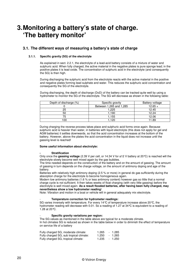# **3. Monitoring a battery's state of charge. 'The battery monitor'**

# **3.1. The different ways of measuring a battery's state of charge**

#### **3.1.1. Specific gravity (SG) of the electrolyte**

As explained in sect. 2.2.1, the electrolyte of a lead-acid battery consists of a mixture of water and sulphuric acid. When fully charged, the active material in the negative plates is pure sponge lead; in the positive plates it is lead oxide. The concentration of sulphuric acid in the electrolyte (and consequently the SG) is then high.

During discharging the sulphuric acid from the electrolyte reacts with the active material in the positive and negative plates forming lead sulphate and water. This reduces the sulphuric acid concentration and consequently the SG of the electrolyte.

During discharging, the depth of discharge (DoD) of the battery can be tracked quite well by using a hydrometer to monitor the SG of the electrolyte. The SG will decrease as shown in the following table:

| Depth of discharge (%) | Specific gravity        | Battery voltage |
|------------------------|-------------------------|-----------------|
|                        | Between 1,265 and 1,285 | $12.65 +$       |
| 25                     | 1,225                   | 12.45           |
| 50                     | 1,190                   | 12.24           |
| 75                     | 1.155                   | 12.06           |
| 100                    | .120                    | 1.89            |

During charging the reverse process takes place and sulphuric acid forms once again. Because sulphuric acid is heavier than water, in batteries with liquid electrolyte (this does not apply for gel and AGM batteries) it settles downwards, so that the acid concentration increases at the bottom of the battery. However, above the plates the acid concentration in the liquid does not increase until the gassing level is reached!

#### **Some useful information about electrolyte:**

#### **- Stratification**

Only once the **gassing voltage** (2.39 V per cell, or 14.34 V for a12 V battery at 20°C) is reached will the electrolyte slowly become well mixed again by the gas bubbles.

The time needed depends on the construction of the battery and on the amount of gassing. The amount of gassing in turn depends on the charge voltage, on the amount of antimony doping and age of the battery.

Batteries with relatively high antimony doping (2.5 % or more) in general do gas sufficiently during the absorption charge for the electrolyte to become homogeneous again.

Modern low antimony batteries (1.6 % or less antimony content) however gas so little that a normal charge cycle is not sufficient. It then takes weeks of float charging (with very little gassing) before the electrolyte is well mixed again. **As a result flooded batteries, after having been fully charged, may nevertheless show a low hydrometer reading**!

Note: Vibration and motion in a boat or vehicle will in general adequately mix electrolyte.

#### - **Temperature correction for hydrometer readings:**

SG varies inversely with temperature. For every 14  $\degree$  of temperature increase above 20  $\degree$ C, the hydrometer reading will decrease with 0.01. So a reading of 1.27 at 34°C is equivalent to a reading of 1.28 at 20°C.

#### - **Specific gravity variations per region:**

The SG values as mentioned in the table above are typical for a moderate climate. In hot climates SG is reduced as shown in the table below in order to diminish the effect of temperature on service life of a battery

| Fully charged SG, moderate climate:     | 1.265 | - 1.285 |
|-----------------------------------------|-------|---------|
| Fully charged SG, sub tropical climate: | 1.250 | - 1.265 |
| Fully charged SG, tropical climate:     | 1.235 | - 1.250 |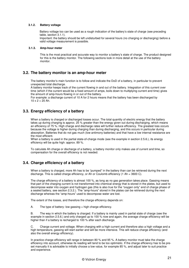#### **3.1.2. Battery voltage**

Battery voltage too can be used as a rough indication of the battery's state of charge (see preceding table, section 3.1.1).

Important: the battery should be left undisturbed for several hours (no charging or discharging) before a valid voltage measurement is possible.

#### **3.1.3. Amp-hour meter**

This is the most practical and accurate way to monitor a battery's state of charge. The product designed for this is the battery monitor. The following sections look in more detail at the use of the battery monitor.

#### **3.2. The battery monitor is an amp-hour meter**

The battery monitor's main function is to follow and indicate the DoD of a battery, in particular to prevent unexpected total discharge.

A battery monitor keeps track of the current flowing in and out of the battery. Integration of this current over time (which if the current would be a fixed amount of amps, boils down to multiplying current and time) gives the amount of amp-hours flowing in or out of the battery.

For example: a discharge current of 10 A for 2 hours means that the battery has been discharged by  $10 \times 2 = 20$  Ah.

## **3.3. Energy efficiency of a battery**

When a battery is charged or discharged losses occur. The total quantity of electric energy that the battery takes up during charging is approx. 25 % greater than the energy given out during discharging, which means an efficiency of 75 %. High charge and discharge rates will further reduce efficiency. The greatest loss occurs because the voltage is higher during charging than during discharging, and this occurs in particular during absorption. Batteries that do not gas much (low antimony batteries) and that have a low internal resistance are the most efficient.

When a battery is used in the partial state-of-charge mode (see the example in section 2.5.6.), its energy efficiency will be quite high: approx. 89 %.

To calculate Ah charge or discharge of a battery, a battery monitor only makes use of current and time, so compensation for the overall efficiency is not needed.

# **3.4. Charge efficiency of a battery**

When a battery is charged, more Ah has to be "pumped" in the battery than can be retrieved during the next discharge. This is called charge efficiency, or Ah or Coulomb efficiency (1 Ah = 3600 C).

The charge efficiency of a battery is almost 100 %, as long as no gas generation takes place. Gassing means that part of the charging current is not transformed into chemical energy that is stored in the plates, but used to decompose water into oxygen and hydrogen gas (this is also true for the "oxygen only" end of charge phase of a sealed battery, see section 2.3.2.). The "amp-hours" stored in the plates can be retrieved during the next discharge whereas the "amp-hours" used to decompose water are lost.

The extent of the losses, and therefore the charge efficiency depends on:

A. The type of battery: low gassing  $=$  high charge efficiency.

B. The way in which the battery is charged. If a battery is mainly used in partial state of charge (see the example in section 2.5.6.) and only charged up to 100 % now and again, the average charge efficiency will be higher than if a battery is recharged to 100 % after each discharge.

C. Charge current and voltage. When charging with a high current and therefore also a high voltage and a high temperature, gassing will start earlier and will be more intensive. This will reduce charge efficiency (and also the overall energy efficiency).

In practice charge efficiency will range in between 80 % and 95 %. A battery monitor must take the charge efficiency into account, otherwise its reading will tend to be too optimistic. If the charge efficiency has to be preset manually it is advisable to initially choose a low value, for example 85 %, and adjust later to suit practice and experience.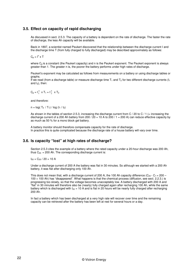# **3.5. Effect on capacity of rapid discharging**

As discussed in sect. 2.5.3. The capacity of a battery is dependent on the rate of discharge. The faster the rate of discharge, the less Ah capacity will be available.

Back in 1897, a scientist named Peukert discovered that the relationship between the discharge current I and the discharge time T (from fully charged to fully discharged) may be described approximately as follows:

 $C_p = I^n \times T$ 

where  $C_p$  is a constant (the Peukert capacity) and n is the Peukert exponent. The Peukert exponent is always greater than 1. The greater n is, the poorer the battery performs under high rates of discharge.

Peukert's exponent may be calculated as follows from measurements on a battery or using discharge tables or graphs.

If we read (from a discharge table) or measure discharge time  $T_1$  and  $T_2$  for two different discharge currents ( $I_1$ and  $I_2$ ), then:

 $C_p = I_1^n \times T_1 = I_2^n \times T_2$ 

and therefore:

 $n = log(T_2 / T_1) / log (I_1 / I_2)$ 

As shown in the tables of section 2.5.3, increasing the discharge current from C / 20 to C / 1 (= increasing the discharge current of a 200 Ah battery from 200 /  $\tilde{20} = 10$  A to 200 / 1 = 200 A) can reduce effective capacity by as much as 50 % for a mono block gel battery.

A battery monitor should therefore compensate capacity for the rate of discharge. In practice this is quite complicated because the discharge rate of a house battery will vary over time.

# **3.6. Is capacity "lost" at high rates of discharge?**

Section 2.5.3 cites the example of a battery where the rated capacity under a 20-hour discharge was 200 Ah, thus  $C_{20}$  = 200 Ah. The corresponding discharge current is:

 $I_{20} = C_{20} / 20 = 10 A$ 

Under a discharge current of 200 A the battery was flat in 30 minutes. So although we started with a 200 Ah battery, it was flat after discharging only 100 Ah.

This does not mean that, with a discharge current of 200 A, the 100 Ah capacity difference  $(C_{20} - C_1 = 200 -$ 100 = 100 Ah) has "disappeared". What happens is that the chemical process (diffusion, see sect. 2.2.3.) is progressing too slowly, so that the voltage becomes unacceptably low. A battery discharged with 200 A and "flat" in 30 minutes will therefore also be (nearly) fully charged again after recharging 100 Ah, while the same battery which is discharged with  $I_{20} = 10$  A and is flat in 20 hours will be nearly fully charged after recharging 200 Ah.

In fact a battery which has been discharged at a very high rate will recover over time and the remaining capacity can be retrieved after the battery has been left at rest for several hours or a day.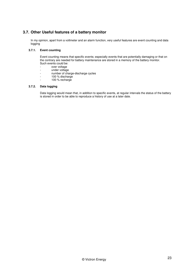# **3.7. Other Useful features of a battery monitor**

In my opinion, apart from a voltmeter and an alarm function, very useful features are event counting and data logging

#### **3.7.1. Event counting**

Event counting means that specific events; especially events that are potentially damaging or that on the contrary are needed for battery maintenance are stored in a memory of the battery monitor. Such events could be:

- over voltage
- under voltage
- number of charge-discharge cycles
- 100 % discharge
- 100 % recharge

#### **3.7.2. Data logging**

Data logging would mean that, in addition to specific events, at regular intervals the status of the battery is stored in order to be able to reproduce a history of use at a later date.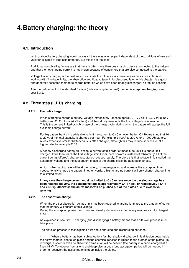# **4. Battery charging: the theory**

# **4.1. Introduction**

Writing about battery charging would be easy if there was one recipe, independent of the conditions of use and valid for all types of lead acid batteries. But this is not the case.

Additional complicating factors are that there is often more than one charging device connected to the battery, and that the net charging current is not known because of consumers that are also connected to the battery.

Voltage limited charging is the best way to eliminate the influence of consumers as far as possible. And working with 2 voltage limits, the absorption and float voltage limits discussed later in this chapter, is a good and generally accepted method to charge batteries which have been deeply discharged, as fast as possible.

A further refinement of the standard 3 stage (bulk – absorption – float) method is **adaptive charging**: see sect 5.3.2.

# **4.2. Three step (I U° U) charging**

#### **4.2.1. The bulk charge**

When starting to charge a battery, voltage immediately jumps to approx. 2.1 V / cell (12.6 V for a 12 V battery and 25.2 V for a 24 V battery) and then slowly rises until the first voltage limit is reached. This is the current limited or bulk phase of the charge cycle, during which the battery will accept the full available charge current.

For big battery banks it is advisable to limit the current to C / 5 or, even better, C / 10, meaning that 10 to 20 % of the total capacity is charged per hour. For example 100 A to 200 A for a 1000 Ah battery. A less expensive smaller battery bank is often charged, although this may reduce service life, at a higher rate, for example C / 3.

A deeply discharged battery will accept a current of this order of magnitude until it is about 80 % charged. It will then reach the first voltage limit. From there onwards, instead of "absorbing" all of the current being "offered", charge acceptance reduces rapidly. Therefore this first voltage limit is called the absorption voltage and the subsequent phase of the charge cycle the absorption phase.

A high bulk-charging rate will heat the battery, increase gassing and increase the absorption time needed to fully charge the battery. In other words: a high charging current will only shorten charge time to a limited extent.

**In any case the charge current must be limited to C / 5 or less once the gassing voltage has been reached (at 20°C the gassing voltage is approximately 2.4 V / cell, or respectively 14.4 V and 28.8 V). Otherwise the active mass will be pushed out of the plates due to excessive gassing.** 

#### **4.2.2. The absorption charge**

When the pre-set absorption voltage limit has been reached, charging is limited to the amount of current that the battery will absorb at this voltage. During the absorption phase the current will steadily decrease as the battery reaches its fully charged state.

As explained in sect. 2.2.3, charging (and discharging) a battery means that a diffusion process must take place

The diffusion process in fact explains a lot about charging and discharging batteries:

When a battery has been subjected to a fast but shallow discharge, little diffusion deep inside the active material has taken place and the chemical reaction is limited to the surface of the plates. To recharge, a short or even no absorption time at all will be needed (the battery in a car is charged at a fixed 14 V). To recover from a long and deep discharge, a long absorption period will be needed in order to reconvert the active material deep inside the plates.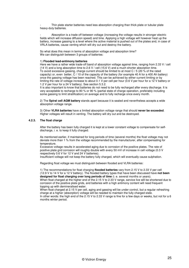Thin plate starter batteries need less absorption charging than thick plate or tubular plate heavy-duty batteries.

- Absorption is a trade off between voltage (increasing the voltage results in stronger electric fields which will increase diffusion speed) and time. Applying a high voltage will however heat up the battery, increase gassing to a level where the active material is pushed out of the plates and, in case of VRLA batteries, cause venting which will dry out and destroy the battery.

So what does this mean in terms of absorption voltage and absorption time? We can distinguish between 3 groups of batteries:

#### 1) **Flooded lead-antimony batteries**

Here we have a rather wide trade-off band of absorption voltage against time, ranging from 2.33 V / cell (14 V) and a long absorption time to 2.6 V / cell (15.6 V) and a much shorter absorption time. To avoid excessive gassing, charge current should be limited to at most C / 5 (20 % of the rated capacity) or, even better, C / 10 of the capacity of the battery (for example 40 A for a 400 Ah battery) once the gassing voltage has been reached. This can be achieved by either current limiting or by limiting the rate of voltage increase to about 0.1 V per cell per hour (0.6 V per hour for a 12 V battery or 1.2 V per hour for a 24 V battery). See section 5.3.2.

It is also important to know that batteries do not need to be fully recharged after every discharge. It is very acceptable to recharge to 80 % or 90 % (partial state of charge operation, preferably including some gassing to limit stratification) on average and to fully recharge once every month.

2) The **Spiral cell AGM battery** stands apart because it is sealed and nevertheless accepts a wide absorption voltage range.

3) Other **VLRA batteries** have a limited absorption voltage range that should **never be exceeded**. Higher voltages will result in venting. The battery will dry out and be destroyed.

#### **4.2.3. The float charge**

After the battery has been fully charged it is kept at a lower constant voltage to compensate for selfdischarge, i. e. to keep it fully charged.

As mentioned earlier, if maintained for long periods of time (several months) the float voltage may not deviate more than 1 % from the voltage recommended by the manufacturer, after compensating for temperature.

Excessive voltage results in accelerated aging due to corrosion of the positive plates. The rate of positive plate grid corrosion will roughly double with every 50 mV of increase in cell voltage (0.3 V respectively 0.6 V for 12 V and 24 V batteries).

Insufficient voltage will not keep the battery fully charged, which will eventually cause sulphation.

Regarding float voltage we must distinguish between flooded and VLRA batteries:

1) The recommendations for float charging **flooded batteries** vary from 2.15 V to 2.33 V per cell (12.9 V to 14 V for a 12 V battery). The flooded battery types that have been discussed have **not been designed for float charging over long periods of time** (i. e. several months or years).

When float charged at the higher end of the 2.15 V to 2.33 V range, service live will be shortened due to corrosion of the positive plate grids, and batteries with a high antimony content will need frequent topping up with demineralised water.

When float charged at 2.15 V per cell, aging and gassing will be under control, but a regular refreshing charge at a higher (absorption) voltage will be needed to maintain the fully charged state.

In other words: the high end of the 2.15 V to 2.33 V range is fine for a few days or weeks, but not for a 6 months winter period.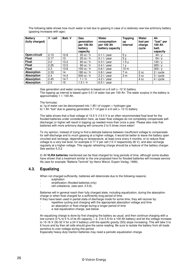The following table shows how much water is lost due to gassing in case of a relatively new low antimony battery (gassing increases with age):

| <b>Battery</b><br>(fully charged) | $V /$ cell | Batt. V | Gas<br>generation<br>per 100 Ah<br>battery<br>capacity | Water<br>consumption<br>per 100 Ah<br>battery capacity | <b>Topping</b><br>up<br>interval | Water<br>lost per<br>charge<br>cycle | Ah<br>"lost" per<br>100 Ah<br>batt.<br>capacity |
|-----------------------------------|------------|---------|--------------------------------------------------------|--------------------------------------------------------|----------------------------------|--------------------------------------|-------------------------------------------------|
| Open-circuit                      | 2.13       | 12.8    | $20 \text{ cc}/h$                                      | $0.1$   / year                                         | 5v                               |                                      | 44/v                                            |
| <b>Float</b>                      | 2.17       | 13      | $25 \text{ cc}/h$                                      | $0.1$   / year                                         | 5v                               |                                      | 54/v                                            |
| <b>Float</b>                      | 2.2        | 13.2    | $60 \text{ cc }$ /h                                    | $0.3$ I / year                                         | 1.5y                             |                                      | 130/v                                           |
| <b>Float</b>                      | 2.25       | 13.5    | 90 cc $/h$                                             | $0.4$   / year                                         | 1 v                              |                                      | 200 / v                                         |
| <b>Float</b>                      | 2.3        | 13.8    | 150 cc / h                                             | $0.6$   / vear                                         | 10 <sub>m</sub>                  |                                      | 300 / v                                         |
| <b>Absorption</b>                 | 2.33       | 14      | 180 cc / h                                             | $0.8$ I / year                                         | 7 <sub>m</sub>                   | 2 cc                                 | 2 / cycle                                       |
| <b>Absorption</b>                 | 2.4        | 14.4    | 500 cc $/h$                                            | $2.2$ I / year                                         | 3 <sub>m</sub>                   | 3 cc                                 | $3/$ cycle                                      |
| <b>Absorption</b>                 | 2.45       | 14.7    | 11/h                                                   | $4.2$ I / year                                         |                                  | 4 cc                                 | 4 / cycle                                       |
| <b>Absorption</b>                 | 2.5        | 15      | 1.51/h                                                 | $6.5$   / vear                                         |                                  |                                      |                                                 |

Gas generation and water consumption is based on a 6 cell  $(= 12 \text{ V})$  battery.

The topping up interval is based upon 0.5 l of water lost per 100 Ah. The water surplus in the battery is approximately 1 l / 100 Ah.

The formulas:

a) 1g of water can be decomposed into 1.85 l of oxygen + hydrogen gas

b) 1 Ah "lost" due to gassing generates 3.7 l of gas in a 6 cell (= 12 V) battery

The table shows that a float voltage of 13.5 V (13.5 V is an often recommended float level for the flooded batteries under consideration here, as lower float voltages do not completely compensate selfdischarge) or higher will result in topping up needed more than once a year. Please also note that batteries with more antimony doping will consume 2 to 5 times more water!

To my opinion, instead of trying to find a delicate balance between insufficient voltage to compensate for self-discharge and to much gassing at a higher voltage, it would be better to leave the battery open circuited and recharge, depending on temperature, at least once every 4 months, or to reduce float voltage to a very low level, for example 2.17 V per cell (13 V respectively 26 V), and also recharge regularly at a higher voltage. This regular refreshing charge should be a feature of the battery charger. See section 5.3.2.

2) All **VLRA batteries** mentioned can be float charged for long periods of time, although some studies have shown that a treatment similar to the one proposed here for flooded batteries will increase service life (see for example "Batterie Technik" by Heinz Wenzl, Expert Verlag, 1999).

# **4.3. Equalizing**

When not charged sufficiently, batteries will deteriorate due to the following reasons:

- sulphation
- stratification (flooded batteries only)
- cell unbalance, (see sect. 2.5.6).

Batteries will in general reach their fully charged state, including equalization, during the absorption charge or when float charged for a sufficiently long period of time.

- If they have been used in partial state of discharge mode for some time, they will recover by:
- repetitive cycling and charging with the appropriate absorption voltage and time
- an absorption or float charge during a longer period of time
- a real equalization charge, see below.

An equalizing charge is done by first charging the battery as usual, and then continue charging with a low current (3 % to 5 % of its Ah capacity, i. e. 3 to 5 A for a 100 Ah battery) and let the voltage increase to 15-16 V (30-32 V for a 24 V battery) until the specific gravity (SG) stops increasing. This will take 3 to 6 hours and by then all cells should give the same reading. Be sure to isolate the battery from all loads sensitive to over-voltage during this period.

Especially heavy-duty traction batteries may need a periodic equalization charge.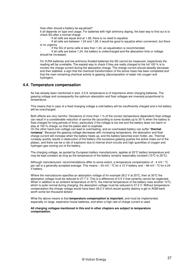How often should a battery be equalized?

It all depends on type and usage. For batteries with high antimony doping, the best way to find out is to check SG after a normal charge:

If all cells are equal and at 1.28, there is no need to equalize

If all cells are between 1.24 and 1.28, it would be good to equalize when convenient, but there is no urgency

If the SG of some cells is less than 1.24, an equalization is recommended.

If all cells are below 1.24, the battery is undercharged and the absorption time or voltage should be increased.

On VLRA batteries and low antimony flooded batteries the SG cannot be measured, respectively the reading will be unreliable. The easiest way to check if they are really charged to the full 100 % is to monitor the charge current during the absorption charge. The charge current should steadily decrease and then stabilise: a sign that the chemical transformation of the active mass has been completed and that the main remaining chemical activity is gassing (decomposition of water into oxygen and hydrogen).

## **4.4. Temperature compensation**

As has already been mentioned in sect. 2.5.9, temperature is of importance when charging batteries. The gassing voltage and consequently the optimum absorption and float voltages are inversely proportional to temperature.

This means that in case of a fixed charging voltage a cold battery will be insufficiently charged and a hot battery will be overcharged.

Both effects are very harmful. Deviations of more than 1 % of the correct (temperature dependent) float voltage can result in a considerable reduction of service life (according to some studies up to 30 % when the battery is float charged for long periods of time), particularly if the voltage is too low and the battery does not reach or stay at 100 % charge, so that the plates start to sulphate.

On the other hand over-voltage can lead to overheating, and an overheated battery can suffer "**thermal runaway**". Because the gassing voltage decreases with increasing temperature, the absorption and float charge current will increase when the battery heats up, and the battery becomes even hotter, etc. Thermal runaway quickly results in destruction of the battery (the excessive gassing pushes the active mass out of the plates), and there can be a risk of explosion due to internal short-circuits and high quantities of oxygen and hydrogen gas coming out of the battery.

The charging voltage, as quoted by European battery manufacturers, applies at 20°C battery temperature and may be kept constant as long as the temperature of the battery remains reasonably constant (15 °C to 25 °C).

Although manufacturers' recommendations differ to some extent, a temperature compensation of - 4 mV / °C per cell is a generally accepted average. This means – 24 mV / °C for a 12 V battery and – 48 mV / °C for a 24 V battery.

Where the manufacturer specifies an absorption voltage of for example 28.2 V at 20  $\degree$ C, then at 30  $\degree$ C the absorption voltage must be reduced to 27.7 V. This is a difference of 0.5 V that certainly cannot be neglected. When in addition to an ambient temperature of 30 °C, the internal temperature of the battery rises another 10 °C, which is quite normal during charging, the absorption voltage must be reduced to 27.2 V. Without temperature compensation the charge voltage would have been 28.2 V which would quickly destroy a gel or AGM bank worth some ten thousand dollars!

What the above means is that **temperature compensation is important**, and must be implemented, especially on large, expensive house batteries, and when a high rate of charge current is used.

**All charging voltages mentioned in this and in other chapters are subject to temperature compensation.**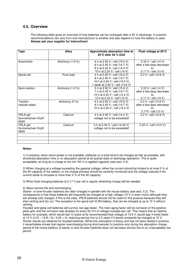# **4.5. Overview**

The following table gives an overview of how batteries can be recharged after a 50 % discharge. In practice recommendations can vary from one manufacturer to another and also depend on how the battery is used. **Always ask your supplier for instructions!** 

| <b>Type</b>         | <b>Alloy</b>       | Approximate absorption time at   | Float voltage at 20 °C    |
|---------------------|--------------------|----------------------------------|---------------------------|
|                     |                    | 20 °C after 50 % DoD             |                           |
|                     |                    |                                  |                           |
| Automotive          | Antimony $(1.6\%)$ | 4 h at 2.50 V / cell (15.0 V)    | 2.33 V / cell (14 V)      |
|                     |                    | 6 h at 2.45 V / cell (14.7 V)    | after a few days decrease |
|                     |                    | 8 h at 2.40 V / cell (14.4 V)    | to:                       |
|                     |                    | 10 h at 2,33 V / cell (14 V)     | 2.17 V / cell (13 V)      |
| Spiral-cell         | Pure lead          | 4 h at 2.50 V / cell (15.0 V)    | 2.3 V / cell (13.8 V)     |
|                     |                    | 8 h at 2.45 V / cell (14,7 V)    |                           |
|                     |                    | 16 h at 2.40 V / cell (14.4 V)   |                           |
|                     |                    | 1 week at 2.30 V / cell (13.8 V) |                           |
| Semi-traction       | Antimony (1.6 %)   | 5 h at 2.50 V / cell (15.0 V)    | 2.33 V / cell (14 V)      |
|                     |                    | 7 h at 2.45 V / cell (14.7 V)    | after a few days decrease |
|                     |                    | 10 h at 2.40 V / cell (14.4 V)   | to:                       |
|                     |                    | 12 h at 2.33 V / cell (14 V)     | 2.17 V / cell (13 V)      |
| Traction            | Antimony (5 %)     | 6 h at 2.50 V / cell (15.0 V)    | 2.3 V / cell (13.8 V)     |
| (tubular-plate)     |                    | 8 h at 2.45 V / cell (14.7 V)    | after a few days decrease |
|                     |                    | 10 h at 2.40 V / cell (14.4 V)   | to:                       |
|                     |                    |                                  | 2.17V / cell (13 V)       |
| VRLA-gel            | Calcium            | 4 h at 2.40 V / cell (14.4 V)    | 2.3 V / cell (13.8 V)     |
| Sonnenschein Dryfit |                    | voltage not to be exceeded!      |                           |
| A200                |                    |                                  |                           |
| VRLA-gel            | Calcium            | 4 h at 2.34 V / cell (14.04 V)   | 2.25 V / cell (13.5 V)    |
| Sonnenschein Dryfit |                    | voltage not to be exceeded!      |                           |
| A600                |                    |                                  |                           |
|                     |                    |                                  |                           |
|                     |                    |                                  |                           |
|                     |                    |                                  |                           |

#### **Notes:**

1) In practice, when shore power is not available, batteries on a boat tend to be charged as fast as possible, with shortened absorption time or no absorption period at all (partial state of discharge operation). This is quite acceptable, as long as a charge to the full 100 % is applied regularly (see sect. 4.3).

2) When charging at a voltage exceeding the gassing voltage, either the current should be limited to at most 5 % of the Ah capacity of the battery, or the charge process should be carefully monitored and the voltage reduced if the current tends to increase to more than 5 % of the Ah capacity.

3) When float charging batteries at 2,17 V per cell a regular refreshing charge will be needed.

#### 4) About service life and overcharging:

Starter- or bow thruster batteries are often charged in parallel with the house battery (see sect. 5.2). The consequence is that these batteries will frequently be charged at a high voltage (15 V or even more) although they are already fully charged. If this is the case, VRLA batteries should not be used for this purpose because they will start venting and dry out. The exception is the spiral-cell VLRA battery, that can be charged at up to 15 V without venting.

Flooded and spiral cell batteries will survive, but age faster. The main aging factor will be corrosion of the positive plate grid, and the corrosion rate doubles for every 50 mV of voltage increase per cell. This means that an Optima battery for example, which would last 10 years at its recommended float voltage of 13.8 V, would age 4 times faster at 15 V (((15 – 13.8) / 6) / 0.05 = 4), reducing service live to 2.5 years if it would constantly be charged at 15 V. Similar results are obtained for flooded batteries. While this calculation is theory and has not been tested in practice, it nevertheless shows that regular overcharging during short periods (in practice only during the absorption charge period of the house battery) of starter or bow thruster batteries does not decrease service live to an unacceptably low period.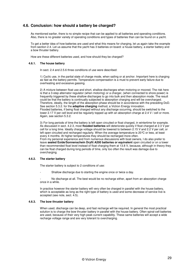# **4.6. Conclusion: how should a battery be charged?**

As mentioned earlier, there is no simple recipe that can be applied to all batteries and operating conditions. Also, there is no greater variety of operating conditions and types of batteries than can be found on a yacht.

To get a better idea of how batteries are used and what this means for charging, let us again take the example from section 2.4. Let us assume that the yacht has 3 batteries on board: a house battery, a starter battery and a bow thruster battery.

How are these different batteries used, and how should they be charged?

#### **4.6.1. The house battery**

In sect. 2.4 and 2.5.6 three conditions of use were described:

1) Cyclic use, in the partial state of charge mode, when sailing or at anchor. Important here is charging as fast as the battery permits. Temperature compensation is a must to prevent early failure due to overheating and excessive gassing.

2) A mixture between float use and short, shallow discharges when motoring or moored. The risk here is that a 3-step alternator regulator (when motoring) or a charger, (when connected to shore power) is frequently triggered by these shallow discharges to go into bulk and then absorption mode. The result could be that the battery is continually subjected to absorption charging and will be overcharged. Therefore, ideally, the length of the absorption phase should be in accordance with the preceding DoD. See section 5.3.2. for the **adaptive charging** method, a Victron Energy innovation. Flooded batteries, if being float charged without any discharge occurring, should be switched to the lower 2.17 V per cell level and be regularly topped up with an absorption charge at 2.4 V / cell or more. Again, see section 5.3.2.

3) For long periods of time the battery is left open circuited or float charged, in wintertime for example. As discussed in sect. 4.2.3, most **flooded batteries** will deteriorate quickly if float charged at 2.3 V per cell for a long time. Ideally charge voltage should be lowered to between 2.15 V and 2.2 V per cell, or left open circuited and recharged regularly. When the average temperature is 20°C or less, at least every 4 months. At higher temperatures they should be recharged more often.

From my personal experience and from numerous discussions with boat owners, I do also prefer to leave **sealed Exide/Sonnenschein Dryfit A200 batteries or equivalent** open circuited or on a lower than recommended float level instead of float charging them at 13.8 V, because, although in theory they can be float charged during long periods of time, only too often the result was damage due to overcharging.

#### **4.6.2. The starter battery**

The starter battery is subject to 2 conditions of use:

Shallow discharge due to starting the engine once or twice a day.

No discharge at all. The best would be no recharge either, apart from an absorption charge once in a while.

In practice however the starter battery will very often be charged in parallel with the house battery, which is acceptable as long as the right type of battery is used and some decrease of service live is accepted (see note, sect. 4.5).

#### **4.6.3. The bow thruster battery**

When used, discharge can be deep, and fast recharge will be required. In general the most practical solution is to charge the bow thruster battery in parallel with the house battery. Often spiral-cell batteries are used, because of their very high peak current capability. These same batteries will accept a wide recharge voltage range and are very tolerant to overcharging.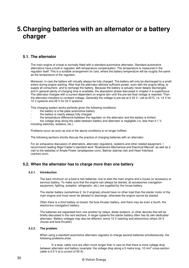# **5. Charging batteries with an alternator or a battery charger**

# **5.1. The alternator**

The main engine of a boat is normally fitted with a standard automotive alternator. Standard automotive alternators have a built-in regulator with temperature compensation. The temperature is measured in the regulator itself. This is a suitable arrangement for cars, where the battery temperature will be roughly the same as the temperature of the regulator.

Moreover, in cars the battery will virtually always be fully charged. The battery will only be discharged to a small extent during engine starting. After that the alternator delivers sufficient power, even with the engine idling, to supply all consumers and to recharge the battery. Because the battery is actually never deeply discharged, and in general plenty of charging time is available, the absorption phase discussed in chapter 4 is superfluous. The alternator charges with a current dependent on engine rpm until the pre-set float voltage is reached. Then the alternator transfers to constant voltage. Generally the voltage is pre-set at 2.33 V / cell at 20°C, i.e. 14 V for 12 V systems and 28 V for 24 V systems.

This charging system works perfectly given the following conditions:

- the battery is a flat-plate automotive battery
- the battery is nearly always fully charged
- the temperature difference between the regulator on the alternator and the battery is limited

the voltage drop along the cable between battery and alternator is negligible (i.e. less than 0.1 V, including switches, isolators, etc.).

Problems occur as soon as one of the above conditions is no longer fulfilled.

The following sections shortly discuss the practice of charging batteries with an alternator.

For an exhaustive discussion of alternators, alternator regulators, isolators and other related equipment, I recommend reading Nigel Calder's standard work "Boatowners Mechanical and Electrical Manual" as well as a visit to the websites of Ample Power (amplepower.com), Balmar (balmar.net) and Heart Interface (xantrex.com).

# **5.2. When the alternator has to charge more than one battery**

#### **5.2.1. Introduction**

The bare minimum on a boat is two batteries: one to start the main engine and a house (or accessory or service) battery. To make sure that the engine can always be started, all accessories (navigation equipment, lighting, autopilot, refrigerator, etc.) are supplied by the house battery.

The starter battery (sometimes 2, for 2 engines) should have no other load than the starter motor of the main engine and must never be allowed to discharge, otherwise the engine cannot be started.

Often there is a third battery on board, the bow thruster battery, and there may be even a fourth, the electronics (navigation) battery.

The batteries are separated from one another by relays, diode isolators, or other devices that will be briefly discussed in the next sections. In larger systems the starter battery often has its own dedicated alternator. Battery voltages may also be different, some 12 V (starting and electronics) others 24 V (house and bow thruster)

#### **5.2.2. The problem**

When using a standard automotive alternator-regulator to charge several batteries simultaneously, the following problems arise:

In a boat, cable runs are often much longer than in cars so that there is more voltage drop between alternator and battery (example: the voltage drop along a 5 metre long, 10 mm<sup>2</sup> cross-section cable is 0.5 V at a current of 50 A).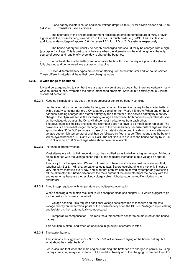Diode battery isolators cause additional voltage drop: 0.4 to 0.8 V for silicon diodes and 0.1 to 0.4 V for FET transistors used as diodes.

The alternator in the engine compartment registers an ambient temperature of 40 $\degree$ C or even higher while the house battery, lower down in the boat, is much colder e.g. 20°C. This results in an additional under-voltage of approx. 0.6 V or even 1.2 V for 12 V or 24 V systems respectively.

The house battery will usually be deeply discharged and should really be charged with a high (absorption) voltage. This is particularly the case when the alternator on the main engine is the only source of power and runs briefly every day to charge the batteries.

In contrast, the starter battery and often also the bow thruster battery are practically always fully charged and do not need any absorption charging.

Often different battery types are used for starting, for the bow thruster and for house service. These different batteries all have their own charging recipe.

#### **5.2.3. A wide range of solutions**

It would be exaggerating to say that there are as many solutions as boats, but there are certainly many ways to, more or less, overcome the above-mentioned problems. Several, but certainly not all, will be discussed hereafter:

**5.2.3.1** Keeping it simple and low cost: the microprocessor controlled battery combiner

Let the alternator charge the starter battery, and connect the service battery to the starter battery with a battery combiner (for ex. a Cyrix battery combiner from Victron Energy). When one of the 2 batteries is being charged (the starter battery by the alternator or the service battery by a battery charger), the Cyrix will sense the increasing voltage and connect both batteries in parallel. As soon as the voltage decreases the Cyrix will disconnect the batteries from each other. The advantage is simplicity and cost: the alternator does not have to be modified or replaced. The drawback is a somewhat longer recharge time of the house battery because bulk charge will stop at approximately 30 % DoD (or worse in case of important voltage drop in cabling or a low alternator voltage due to high temperature) and then be followed by float charge. This means that the battery will be cycled between 30 % and 70 % DoD. The solution is to oversize the house battery by 20 % to 50 % and do a 100 % recharge when shore power is available.

#### **5.2.3.2** Increase alternator voltage

Most alternators with built-in regulators can be modified so as to deliver a higher voltage. Adding a diode in series with the voltage sense input of the regulator increases output voltage by approx. 0.6 V.

This is a job for the specialist. We will not dwell on it here, but it is a low cost improvement that, together with 5.2.3.1, will charge batteries quite fast. Severe overcharging is a risk only in case of very intensive motoring every day, and even that problem can be solved by temporarily switching off the alternator (but **never** disconnect the main output of the alternator from the battery with the engine running, because the resulting voltage spike might damage the rectifier diodes in the alternator).

**5.2.3.3** A multi-step regulator with temperature and voltage compensation

When choosing a multi-step regulator (bulk-absorption-float, see chapter 4), I would suggest to go for the best and choose a model with:

- Voltage sensing. This requires additional voltage sensing wires to measure and regulate voltage directly on the terminal posts of the house battery or on the DC bus. Voltage-drop in cabling and isolators is then automatically compensated.

Temperature compensation. This requires a temperature sensor to be mounted on the house battery.

This solution is often used when an additional high output alternator is fitted.

**5.2.3.4** The starter battery.

The solutions as suggested in 5.2.3.2 or 5.2.3.3 will improve charging of the house battery, but what about the starter battery?

Let us assume that when the main engine is running, the batteries are charged in parallel by using battery combining relays, or a diode or FET isolator. Nearly all of the charging current will then flow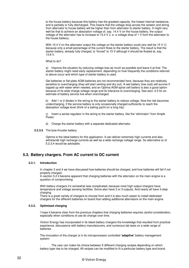to the house battery because this battery has the greatest capacity, the lowest internal resistance, and is partially or fully discharged. This means that the voltage drop across the isolator and wiring from alternator to house battery will be higher than from alternator to starter battery. It might very well be that to achieve an absorption voltage of, say, 14.4 V on the house battery, the output voltage of the alternator has to increase to 15.4 V (i. e. a voltage drop of 1 V from the alternator to the house battery).

With 15.4 V on the alternator output the voltage on the starter battery could very well be 15 V (!) because only a small percentage of the current flows to the starter battery. The result is that the starter battery, already fully charged, is "forced" to 15 V although it should be floated at, say, 13.8 V.

What to do?

a) Improve the situation by reducing voltage loss as much as possible and leave it at that. The starter battery might need early replacement, depending on how frequently the conditions referred to above occur and which type of starter battery is used.

Gel batteries or flat plate AGM batteries are not recommended here, because they are relatively sensitive to overcharging (they will start venting and dry out). A wet battery (low cost) will survive if topped up with water when needed, and an Optima AGM spiral cell battery is also a good option because of its wide charge voltage range and its tolerance to overcharging. See sect. 4.5 for an estimate of battery service live when overcharged.

b) Add 1 or 2 diodes in the wiring to the starter battery to reduce voltage. Now the risk becomes undercharging, if the service battery is only occasionally charged sufficiently to reach the absorption voltage level (think of a sailing yacht on a long trip).

c) Insert a series regulator in the wiring to the starter battery, like the "eliminator" from Ample Power.

- d) Charge the starter battery with a separate dedicated alternator.
- **5.2.3.5** The bow thruster battery

Optima is the ideal battery for this application. It can deliver extremely high currents and also withstands high recharge currents as well as a wide recharge voltage range. So alternative a) of 5.2.3.4 would be advisable.

## **5.3. Battery chargers. From AC current to DC current**

#### **5.3.1. Introduction**

In chapter 3 and 4 we have discussed how batteries should be charged, and how batteries will fail if not properly charged.

In section 5.2 it became apparent that charging batteries with the alternator on the main engine is a question of compromising.

With battery chargers it's somewhat less complicated, because most high output chargers have temperature and voltage sensing facilities. Some also have 2 or 3 outputs. And nearly all have 3-step charging.

There is a great variety of chargers to choose from and it is also much easier to install dedicated chargers for the different batteries on board than adding additional alternators on the main engine.

#### **5.3.2. Optimised charging**

I hope it became clear from the previous chapters that charging batteries requires careful consideration, especially when conditions of use do change over time.

Victron Energy has incorporated in its latest battery chargers the knowledge that resulted from practical experience, discussions with battery manufacturers, and numerous lab tests on a wide range of batteries.

The innovation of the charger is in its microprocessor controlled **'adaptive'** battery management system:

The user can make his choice between 5 different charging recipes depending on which battery type has to be charged. All recipes can be modified to fit a particular battery type and brand.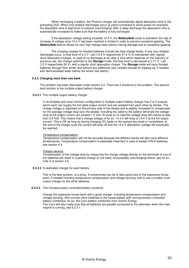When recharging a battery, the Phoenix charger will automatically adjust absorption time to the preceding DoD. When only shallow discharges occur (a yacht connected to shore power for example) the absorption time is kept short to prevent overcharging. After a deep discharge the absorption time is automatically increased to make sure that the battery is fully recharged.

- If the absorption voltage setting exceeds 14.4 V, the **BatterySafe** mode is activated: the rate of increase of voltage once 14.4 V has been reached is limited in order to prevent excessive gassing. The **BatterySafe** feature allows for very high charge rates without risking damage due to excessive gassing.

The charging recipes for flooded batteries include two float charge levels. If only very shallow discharges occur, a float level of 2.3 V / cell (13.8 V respectively 27.6 V) is maintained, with regular short absorption charges. In case of no discharge at all, after a time which depends on the intensity of previous use, the charger switches to the **Storage** mode: the float level is decreased to 2.17 V / cell (13 V respectively 26 V), with a regular short absorption charge. The **Storage** mode will carry flooded batteries through their winter rest without any additional care needed (except for topping up, if needed, with demineralised water before the winter rest starts!).

#### **5.3.3. Charging more than one bank**

The problem has been discussed under section 5.2. There are 2 solutions to the problem. The second best solution is the multiple output battery charger

#### **5.3.3.1** The multiple output battery charger

In its simplest and most common configuration a multiple output battery charger has 2 or 3 outputs, which each can supply the full rated output current and are isolated from each other by diodes. The charge voltage is regulated on the primary side of the diodes and is slightly increased to compensate for the average voltage drop over the diodes. Including the cable to the battery terminals the voltage drop at full output current can exceed 1.5 Volt. At close to no load the voltage drop will reduce to less than 0.5 Volt. This means that a charge voltage of for ex. 14.4 V will drop to 13.4 V at the full output current. This is OK as long as during charging DC loads on the system are small or nonexistent: at the end of the charge cycle the current will drop off and the 14.4 V absorption voltage will eventually be reached.

#### Temperature compensation

Temperature compensation will not be accurate because the different banks will also have different temperatures. Temperature compensation is especially important in case of sealed VRLA batteries, see section 4.4.

#### Voltage sensing

Compensation of the voltage drop by measuring the charge voltage directly on the terminals of one of the batteries will result in a perfect charge of one bank, and possibly overcharging others, see for ex. note 4 of section 4.5.

**5.3.3.2** A dedicated charger for each battery

This is the best solution, at a price. A compromise can be to take good care of the expensive house bank, if needed including temperature compensation and voltage sensing, and to use a smaller multi output charger for the other batteries.

#### **5.3.3.3** The microprocessor controlled battery combiner

Charge the expensive house bank with a good charger, including temperature compensation and voltage sensing. And connect other batteries to the house battery with microprocessor controlled battery combiners, for ex. the Cyrix battery combiners from Victron Energy. The Cyrix will also make sure that all batteries are parallel connected to the alternator when the main engine is running, see 5.2.3.1.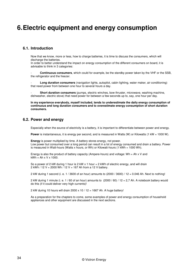# **6. Electric equipment and energy consumption**

## **6.1. Introduction**

Now that we know, more or less, how to charge batteries, it is time to discuss the consumers, which will discharge the batteries.

In order to better understand the impact on energy consumption of the different consumers on board, it is advisable to think in 3 categories:

- **Continuous consumers**, which could for example, be the standby power taken by the VHF or the SSB, the refrigerator and the freezer.

- **Long duration consumers** (navigation lights, autopilot, cabin lighting, water maker, air conditioning) that need power from between one hour to several hours a day.

**Short duration consumers** (pumps, electric winches, bow thruster, microwave, washing machine, dishwasher, electric stove) that need power for between a few seconds up to, say, one hour per day.

**In my experience everybody, myself included, tends to underestimate the daily energy consumption of continuous and long duration consumers and to overestimate energy consumption of short duration consumers.** 

## **6.2. Power and energy**

Especially when the source of electricity is a battery, it is important to differentiate between power and energy.

**Power** is instantaneous, it is energy per second, and is measured in Watts (W) or Kilowatts (1 kW = 1000 W).

**Energy** is power multiplied by time. A battery stores energy, not power. Low power but consumed over a long period can result in a lot of energy consumed and drain a battery. Power is measured in Watt-hours (Watts x hours, or Wh) or Kilowatt-hours (1 kWh = 1000 Wh).

Energy is also the product of battery capacity (Ampere-hours) and voltage: Wh = Ah  $\times$  V and  $kWh = Ah \times V \times 1000$ .

So a power of 2 kW during 1 hour is 2 kW  $\times$  1 hour = 2 kWh of electric energy, and will drain 2 kWh / 12 V = 2000 Wh / 12 V = 167 Ah from a 12 V battery.

2 kW during 1 second (i. e. 1 / 3600 of an hour) amounts to (2000 / 3600) / 12 = 0.046 Ah. Next to nothing!

2 kW during 1 minute (i. e. 1 / 60 of an hour) amounts to (2000 / 60) / 12 = 2,7 Ah. A notebook battery would do this (if it could deliver very high currents)!

2 kW during 10 hours will drain 2000 x 10 / 12 = 1667 Ah. A huge battery!

As a preparation for the chapters to come, some examples of power and energy consumption of household appliances and other equipment are discussed in the next sections.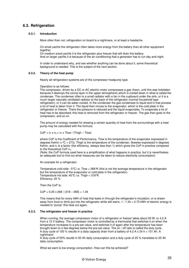# **6.3. Refrigeration**

#### **6.3.1. Introduction**

More often than not, refrigeration on board is a nightmare, or at least a headache.

On small yachts the refrigerator often takes more energy from the battery than all other equipment together.

On medium sized yachts it is the refrigerator plus freezer that will drain the battery. And on larger yachts it is because of the air conditioning that a generator has to run day and night.

In order to understand why, and see whether anything can be done about it, some theoretical background is needed. This is the subject of the next section.

#### **6.3.2. Theory of the heat pump**

Nearly all refrigeration systems are of the compressor heatpump type.

Operation is as follows:

The compressor, driven by a DC or AC electric motor compresses a gas (freon, until this was forbidden because it destroys the ozone layer in the upper atmosphere) which is cooled down in what is called the condenser. The condenser often is a small radiator with a fan in the cupboard under the sink, or it is a much larger naturally ventilated radiator at the back of the refrigerator (normal household type refrigerator), or it can be water-cooled. In the condenser the gas condenses to liquid and in that process a lot of heat is taken from it. The liquid then moves to the evaporator, which is the cold plate in the refrigerator or freezer. There the pressure is reduced and the liquid evaporates. To evaporate a lot of heat has to be absorbed; this heat is removed from the refrigerator or freezer. The gas then goes to the compressor, and so on.

The amount of energy needed for drawing a certain quantity of heat from the surroundings with a heat pump may be calculated with the formula;

 $CoP = n_r \times n_c = n_r \times$  Tlow / (Thigh – Tlow)

where CoP is the Coefficient of Performance, Tlow is the temperature of the evaporator expressed in degrees Kelvin (= $C$  + 273), Thigh is the temperature of the condenser, likewise expressed in degrees Kelvin, and  $n_r$  is a factor (the efficiency, always less than 1) which gives the CoP in practice compared to the theoretical CoP  $n_c$ .

(Note: the CoP formula used here is a simplification of what happens in practice, but it is nevertheless an adequate tool to find out what measures can be taken to reduce electricity consumption)

An example for a refrigerator:

Temperature cold side: -5 $\degree$ C i.e. Tlow = 268 $\degree$ K (this is not the average temperature in the refrigerator but the temperature of the evaporator or cold plate in the refrigerator). Temperature hot side:  $45^{\circ}$ C i.e. Thigh =  $318^{\circ}$ K Efficiency: 25 %

Then the CoP is:

 $CoP = 0.25 \times 268 / (318 - 268) = 1.34$ 

This means that for every kWh of heat that leaks in through the refrigerator's insulation, or is drawn away from food or drink put into the refrigerator while still warm, 1 / 1.34 = 0.75 kWh of electric energy is needed to "pump" this heat out again.

#### **6.3.3. The refrigerator and freezer in practice**

When running, the average compressor motor of a refrigerator or freezer takes about 50 W, or 4.2 A from a 12 V battery. The compressor motor is controlled by a thermostat that switches it on when the temperature increases to a pre-set value, and switches it of again after the temperature has been brought down to a few degrees below the pre-set value. The on / off ratio is called the duty cycle. A duty cycle of 100 % results in a daily capacity drain from a battery of 4.2 A x 24 h = 101 Ah. A nightmare!

A duty cycle of 50% results in 50 Ah daily consumption and a duty cycle of 25 % translates to 25 Ah daily consumption.

What we want is low energy consumption. How can this be achieved?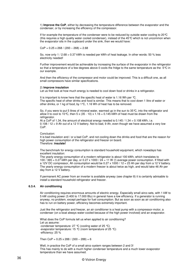1) **Improve the CoP**, either by decreasing the temperature difference between the evaporator and the condenser, or by increasing the efficiency of the compressor.

If for example the temperature of the condenser were to be reduced by outside water cooling to 20°C (this requires a high quality water cooled condenser), instead of the 45°C which is not uncommon when the evaporator sits in the cupboard under the sink, then we would have:

 $CoP = 0.25 \times 268 / (293 - 268) = 2.68$ 

So, now only  $1/2.68 = 0.37$  kWh is needed per kWh of heat leakage. In other words: 50 % less electricity needed!

Further improvement would be achievable by increasing the surface of the evaporator in the refrigerator so that a temperature of a few degrees above 0 cools the fridge to the same temperature as the -5°C in our example.

And then the efficiency of the compressor and motor could be improved. This is a difficult one, as all small compressors have similar specifications.

#### 2) **Improve insulation**

Let us first look at how much energy is needed to cool down food or drinks in a refrigerator.

It is important to know here that the specific heat of water is 1.16 Wh per °C. The specific heat of other drinks and food is similar. This means that to cool down 1 litre of water or other drinks, or 1 kg of food, by 1°C, 1.16 Wh of heat has to be removed.

So, if you were to put 5 litres of mineral water, warmed up in the sun to 35°C, into the refrigerator and allow it to cool to 10 °C, then  $5 \times (35 - 10) \times 1.16 = 0.145$  kWh of heat must be drawn from the refrigerator.

At a CoP of 1.34, the amount of electrical energy needed is  $0.145 / 1.34 = 0.108$  kWh, i.e. 0.108 / 12 = 9 Ah out of a 12 V battery. Not to bad, 9 Ah, even though we have assumed a very low CoP.

Conclusion:

It is bad insulation and / or a bad CoP, and not cooling down the drinks and food that are the reason for high power consumption of the refrigerator and freezer on board. Therefore: **insulate!**

The benchmark for energy consumption is standard household equipment, which nowadays has excellent insulation:

The yearly energy consumption of a modern refrigerator is about 100 kWh, which translates to 100 / 365 = 0.27 kWh per day, or 0.27 x 1000 /  $24 = 11$  W (!) average power consumption. If fitted with a 12V DC compressor, Ah consumption would be 0.27 x 1000 / 12 = 23 Ah per day from a 12 V battery. The yearly energy consumption of a modern freezer is about twice as high, and would take 46 Ah per day from a 12 V battery.

If permanent AC power from an inverter is available anyway (see chapter 8) it is certainly advisable to install a standard household refrigerator and freezer.

### **6.3.4. Air conditioning**

Air conditioning requires enormous amounts of electric energy. Especially small airco sets, with 1 kW to 5 kW cooling power (3.400 to 17.000 Btu) in general have a low efficiency. If a generator is running anyway, no problem, except perhaps for fuel consumption. But as soon as soon as air conditioning also has to run on battery power, efficiency becomes extremely important.

Just like the refrigerator and freezer, an air conditioner is a heat pump with a compressor-motor, a condenser (on a boat always water-cooled because of the high power involved) and an evaporator.

What does the CoP formula tell us when applied to air conditioning? Let us assume: -condenser temperature: 27 °C (cooling water of 25 °C) -evaporator temperature: 15 °C (room temperature of 25 °C) -efficiency: 25 %

Then CoP =  $0.25 \times 288 / (300 - 288) = 6$ 

Well, in practice the CoP of a small airco system ranges between 2 and 3! This has mainly to do with a much higher condenser temperature and a much lower evaporator temperature than we have assumed.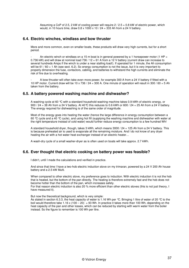Assuming a CoP of 2.5, 2 kW of cooling power will require 2 / 2.5 = 0.8 kW of electric power, which would, in 10 hours time, draw  $0.8 \times 1000 \times 10 / 24 = 333$  Ah from a 24 V battery.

# **6.4. Electric winches, windlass and bow thruster**

More and more common, even on smaller boats, these products will draw very high currents, but for a short period.

An electric winch or windlass on a 15 m boat is in general powered by a 1 horsepower motor (1 HP = 0.736 kW) and will draw at nominal load 736 / 12 = 61 A from a 12 V battery (current draw can increase to several hundreds Amps if the winch is under a near stalling load!). If operated for 1 minute, the Ah consumption will be 61 / 60 = 1 Ah (see sect. 6.2). So energy consumption is not the issue, but it is very important to properly dimension the fuse, contactors, cabling, and batteries to withstand the high currents and eliminate the risk of fire due to overheating.

A bow thruster will often take even more power, for example 300 A from a 24 V battery if fitted with a 10 HP motor. Current draw will be 10 x 736 / 24 = 300 A. One minute of operation will result in 300 / 60 = 5 Ah taken from the battery.

## **6.5. A battery powered washing machine and dishwasher?**

A washing cycle at 60 °C with a standard household washing machine takes 0.9 kWh of electric energy, or 900 / 24 = 38 Ah from a 24 V battery. At 40 °C this reduces to 0.6 kWh or 600 / 24 = 25 Ah from a 24 V battery. The energy required for dishwashing is of the same order of magnitude.

Most of the energy goes into heating the water (hence the large difference in energy consumption between a 60 °C cycle and a 40 °C cycle), and using hot fill (supplying the washing machine and dishwasher with water at the right temperature instead of cold water) would further reduce energy consumption to a few hundred Wh!

A standard household dryer, though, takes 3 kWh, which means 3000 / 24 = 125 Ah from a 24 V battery. This is because preheated air is used to evaporate all the remaining moisture. And I do not know of any dryer heating the air with a hot water heat exchanger instead of an electric heater…

A wash-dry cycle of a small washer-dryer as is often used on boats will take approx. 2.7 kWh.

## **6.6. Ever thought that electric cooking on battery power was feasible?**

I didn't, until I made the calculations and verified in practice.

And since that time I have a two-hob electric induction stove on my trimaran, powered by a 24 V 200 Ah house battery and a 2.5 kW Multi.

When compared to other electric stove, my preference goes to induction. With electric induction it is not the hob that is heated, but the bottom of the pan directly. The heating is therefore extremely fast and the hob does not become hotter than the bottom of the pan, which increases safety.

For that reason electric induction is also 20 % more efficient than other electric stoves (this is not just theory, I have measured it).

But now the theoretical background, which is very simple:

As stated in section 6.3.3, the heat capacity of water is 1.16 Wh per °C. Bringing 1 litre of water of 20 °C to the boil would therefore take 1.16 x  $(100 - 20) = 93$  Wh. In practice it takes more than 100 Wh, depending on the heat capacity of the pan and other losses, which can be reduced by starting with warm water from the boiler instead. So the figure to remember is 100 Wh per litre.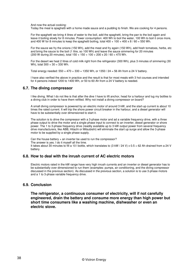And now the actual cooking:

Today the meal is spaghetti with a home made sauce and a pudding to finish. We are cooking for 4 persons.

For the spaghetti we bring 4 litres of water to the boil, add the spaghetti, bring the pan to the boil again and leave it boiling slowly for 8 minutes. Power consumption: 400 Wh to boil the water, 100 Wh to boil it once more, and 400 W for 8 minutes to keep the spaghetti boiling, total 400 + 100 + 400 x 8 / 60 = 550 Wh.

For the sauce we fry the onions (150 Wh), add the meat and fry again (150 Wh), add fresh tomatoes, herbs, etc and bring the sauce to the boil (1 litre, so 100 Wh) and leave the sauce simmering for 20 minutes (200 W during 20 minutes), total  $150 + 150 + 100 + 200 \times 20 / 60 = 470$  Wh.

For the desert we heat 2 litres of cold milk right from the refrigerator (300 Wh), plus 3 minutes of simmering (30 Wh), total 300 + 30 = 330 Wh.

Total energy needed:  $550 + 470 + 330 = 1350$  Wh, or  $1350 / 24 = 56$  Ah from a 24 V battery.

I have also verified the above in practice and the result is that for most meals with 3 hot courses and intended for 4 persons indeed 1200 to 1400 Wh, or 50 to 60 Ah from a 24 V battery is needed.

# **6.7. The diving compressor**

I like diving. What I do not like is that after the dive I have to lift anchor, head for a harbour and lug my bottles to a diving club in order to have them refilled. Why not install a diving compressor on board?

A small diving compressor is powered by an electric motor of around 3 kW, and the start-up current is about 10 times the rated current. It will trip the shore power circuit breaker in the harbour, and a diesel generator will have to be substantially over dimensioned to start it.

The solution is to drive the compressor with a 3-phase motor and ad a variable frequency drive, with a three phase output to drive the motor and a single phase input to connect to an inverter, diesel generator or shore power. The 1 to 3-phase frequency drive (readily available up to 3 kW output power from several frequency drive manufacturers, like ABB, Hitachi or Mitsubishi) will eliminate the start up surge and allow the 3-phase motor to be supplied by a single phase supply.

Can the house battery + an inverter be used to run the compressor? The answer is yes. I do it myself all the time. It takes about 30 minutes to fill a 10 l bottle, which translates to  $(3 \text{ kW} / 24 \text{ V}) \times 0.5 = 62 \text{ Ah}$  drained from a 24 V battery.

# **6.8. How to deal with the inrush current of AC electric motors**

Electric motors rated in the kW range have very high inrush currents and an inverter or diesel generator has to be substantially over dimensioned to run them (examples: pumps, air conditioning, and the diving compressor discussed in the previous section). As discussed in the previous section, a solution is to use 3-phase motors and a 1 to 3-phase variable frequency drive.

# **6.9. Conclusion**

**The refrigerator, a continuous consumer of electricity, will if not carefully engineered, drain the battery and consume more energy than high power but short time consumers like a washing machine, dishwasher or even an electric stove.**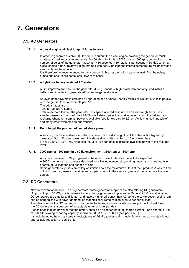# **7. Generators**

# **7.1. AC Generators**

## **7.1.1. A diesel engine will last longer if it has to work**

In order to generate a stable 50 Hz or 60 Hz output, the diesel engine powering the generator must rotate at a fixed and stable frequency. For 50 Hz output this is 3000 rpm or 1500 rpm, depending on the number of poles of the generator (3000 rpm / 60 seconds = 50 rotations per second = 50 Hz). When a diesel engine runs at relatively high rpm and with nearly no load the internal temperature will be low and service life will be reduced.

It is therefore not recommended to run a genset 24 hrs per day, with nearly no load. And the noise, fumes and odours are not to look forward to either.

## **7.1.2. A hybrid or battery assisted AC system**

A first improvement is to run the generator during periods of high power demand only, and install a battery and inverters to generate AC when the generator is off.

An even better system is obtained by operating one or more Phoenix Multi's or MultiPlus units in parallel with the genset (see for example par. 10.6).

The advantages are:

- uninterrupted AC supply

- relatively more load on the generator, less space needed, less noise and less weight because a smaller genset can be used: the MultiPlus will absorb peak loads taking energy from the battery, and recharge whenever "surplus" power is available (see for ex. par. 10.6.5. or "Achieving the impossible" and many other examples on our website).

## **7.1.3. Don't forget the problem of limited shore power**

A washing machine, dishwasher, electric cooker, air-conditioning: it is all feasible with a big enough generator. But in Europe power from the shore side is often limited to 16 A or even less  $(16 A x 230 V = 3,68$  kW). Here also the MultiPlus can help to increase available power to the required level.

### **7.1.4. 3000 rpm or 1500 rpm (in a 60 Hz environment: 3600 rpm or 1800 rpm)**

A, more expensive, 1500 rpm genset is the right choice if intensive use is to be expected. A 3000 rpm genset is in general designed for a limited number of operating hours, and is not made to operate at full load for long periods of time.

Some generator suppliers are wildly optimistic about the maximum output of their product. A way to find out is to look for gensets from different suppliers but with the same engine and then compare the rated output.

# **7.2. DC Generators**

Next to conventional 50/60 Hz AC generators, some generator suppliers are also offering DC generators. Outputs of up to 10 kW, which means a battery charging current of up to some 300 A at 28 V, are attainable. DC generators are smaller and lighter, and have a higher efficiency than AC generators. Moreover, engine rpm can be harmonised with power demand, so that efficiency remains high even under partial load. The idea is to use the DC generator to charge the batteries, and use inverters to supply the AC load. Sizing of the DC generator is a question of acceptable running hours per day.

Please keep in mind however that the battery should be sized for the huge charge current. For a charge current of 300 A for example, battery capacity should be 300 A  $/$  5 = 1500 Ah (see par. 2.5.6.)

It should be noted here that some manufacturers of AGM batteries claim much higher charge currents without appreciable reduction of service life.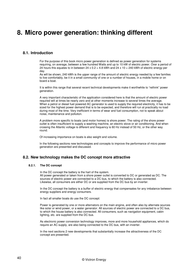# **8. Micro power generation: thinking different**

## **8.1. Introduction**

For the purpose of this book micro power generation is defined as power generation for systems requiring, on average, between a few hundred Watts and up to 10 kW of electric power. Over a period of 24 hours this equates to in between  $24 \times 0.2 = 4.8$  kWh and  $24 \times 10 = 240$  kWh of electric energy per day.

As will be shown, 240 kWh is the upper range of the amount of electric energy needed by a few families to live comfortably, be it in a small community of one or a number of houses, in a mobile home or on board a boat.

It is within this range that several recent technical developments make it worthwhile to "rethink" power generation.

A very important characteristic of the application considered here is that the amount of electric power required will at times be nearly zero and at other moments increase to several times the average. When a petrol or diesel fuel powered AC generator is used to supply the required electricity, it has to be sized for the highest power demand that is to be expected, and therefore will run at practically no load during most of the time. Very inefficient in terms of wear and fuel consumption, not to speak about noise, maintenance and pollution.

A problem more specific to boats (and motor homes) is shore power. The rating of the shore power outlet is often insufficient to supply a washing machine, an electric stove or air conditioning. And when crossing the Atlantic voltage is different and frequency is 60 Hz instead of 50 Hz, or the other way round.

Of increasing importance on boats is also weight and volume.

In the following sections new technologies and concepts to improve the performance of micro power generation are presented and discussed.

# **8.2. New technology makes the DC concept more attractive**

## **8.2.1. The DC concept**

In the DC concept the battery is the hart of the system. All power generated or taken from a shore power outlet is converted to DC or generated as DC. The sources of electric power are connected to a DC bus, to which the battery is also connected. Likewise, all consumers are either DC or are supplied from the DC bus by an inverter.

In the DC concept the battery is a buffer of electric energy that compensates for any imbalance between energy suppliers and energy consumers.

In fact all smaller boats do use the DC concept:

Power is generated by one or more alternators on the main engine, and often also by alternate sources like solar or wind power, or a water generator. All sources of electric power are connected to a DC bus, to which the house battery is also connected. All consumers, such as navigation equipment, cabin lighting, etc. are supplied from the DC bus.

As electronic power conversion technology improves, more and more household appliances, which do require an AC supply, are also being connected to the DC bus, with an inverter.

In the next sections 2 new developments that substantially increase the attractiveness of the DC concept are presented.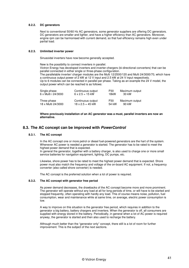## **8.2.2. DC generators**

Next to conventional 50/60 Hz AC generators, some generator suppliers are offering DC generators. DC generators are smaller and lighter, and have a higher efficiency than AC generators. Moreover, engine rpm can be harmonised with current demand, so that fuel efficiency remains high even under partial load.

## **8.2.3. Unlimited inverter power**

Sinusoidal inverters have now become generally accepted.

New is the possibility to connect inverters in parallel. Victron Energy has developed inverters and inverter-chargers (bi-directional converters) that can be parallel connected in either single or three-phase configuration. The parallelable inverter/ charger modules are the Multi 12/2500/120 and Multi 24/3000/70, which have a continuous output power of 2 kW at 12 V input and 2.5 kW at 24 V input respectively. Up to 6 modules can be connected in parallel per phase. Taking as an example the 24 V model, the output power which can be reached is as follows:

| Single phase        | Continuous output       | P30   | Maximum output |
|---------------------|-------------------------|-------|----------------|
| 6 x Multi i 24/3000 | $6 \times 2.5 = 15$ kW  | 18kW  | 30 kW          |
| Three phase         | Continuous output       | P30   | Maximum output |
| 18 x Multi 24/3000  | $18 \times 2.5 = 45$ kW | 54 kW | 90 kW          |

**Where previously installation of an AC generator was a must, parallel inverters are now an alternative.** 

# **8.3. The AC concept can be improved with PowerControl**

#### **8.3.1. The AC concept**

In the AC concept one or more petrol or diesel fuel-powered generators are the hart of the system. Whenever AC power is needed a generator is started. The generator has to be rated to meet the highest power demand that is expected.

In general the generator, together with a battery charger, is also used to charge one or more small service batteries for navigation equipment, lighting, DC pumps, etc.

Likewise, shore power has to be rated to meet the highest power demand that is expected. Shore power must also match the frequency and voltage of the on-board AC equipment. If not, a frequency converter (also called shore converter) is needed.

The AC concept is the preferred solution when a lot of power is required.

## **8.3.2. The AC concept with generator free period**

As power demand decreases, the drawbacks of the AC concept become more and more prominent. The generator will operate without any load at all for long periods of time, or will have to be started and stopped frequently, often operating with hardly any load. This of course means noise, pollution, fuel consumption, wear and maintenance while at same time, on average, electric power consumption is low.

A way to improve on this situation is the generator free period, which requires in addition to the generator a big battery, battery chargers and inverters. When the generator is off, all consumers are supplied with energy stored in the battery. Periodically, in general when a lot of AC power is required anyway, the generator is started and then also used to recharge the battery.

Although much better than the "generator only" concept, there still is a lot of room for further improvement. This is the subject of the next sections.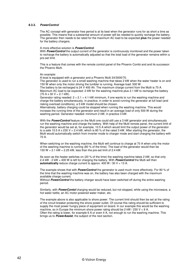#### **8.3.3. PowerControl**

The AC concept with generator free period is at its best when the generator runs for as short a time as possible. This means that a substantial amount of power will be needed to quickly recharge the battery. The generator then needs to be rated for the maximum AC load to be expected **plus** the power needed for the battery chargers.

#### A more effective solution is **PowerControl**.

With **PowerControl** the output current of the generator is continuously monitored and the power taken to recharge the battery is automatically adjusted so that the total load of the generator remains within a pre-set limit.

This is a feature that comes with the remote control panel of the Phoenix Combi and and its successor: the Phoenix Multi.

An example:

A boat is equipped with a generator and a Phoenix Multi 24/3000/70. The generator is used to run a small washing machine that takes 2 kW when the water heater is on and

150 W when only the motor driving the tumbler is running. Average load: 500 W. The battery to be recharged is 24 V 400 Ah. The maximum charge current from the Multi is 70 A. Maximum AC load to be expected: 2 kW for the washing machine plus 2.1 kW to recharge the battery  $(70 A \times 30 V = 2.1 kW).$ 

Generator rating needed:  $2 + 2.1 = 4.1$  kW minimum, if one wants to run the washing machine and charge the battery simultaneously. In practice, in order to avoid running the generator at full load (and risking overload conditions), a 5 kW model should be chosen.

Alternatively, battery charging could be stopped when running the washing machine. This would increase the running time of the generator and result in an average load of only 500 W during the washing period. Generator needed: minimum 2 kW, in practice 3 kW.

With the **PowerControl** feature on the Multi one could still use a 3 kW generator and simultaneously run the washing machine and charge the battery. With help of the Multi remote panel, the current limit of the generator would be set at, for example, 10.5 A which would limit the output power of the generator to a safe 10.5 A x 230 V = 2.4 kW, which is 80 % of the rated 3 kW. After starting the generator, the Multi would automatically switch from inverter mode to charger mode and start charging the battery with 70 A.

When switching on the washing machine, the Multi will continue to charge at 70 A when only the motor of the washing machine is running (80 % of the time). The load of the generator would then be 150 W  $+$  2.1 kW = 2.25 kW, less than the pre-set limit of 2.4 kW.

As soon as the heater switches on (20 % of the time) the washing machine takes 2 kW, so that only 2.4 kW - 2 kW = 400 W is left for charging the battery. With **PowerControl** the Multi will then **automatically** reduce charge current to approx.  $400 W / 30 V = 13 A$ .

The example shows that with **PowerControl** the generator is used much more effectively. For 80 % of the time that the washing machine was on, the battery has also been charged with the maximum available charge current.

Without **PowerControl** the battery charger would have been switched off during the entire washing period.

Similarly, with **PowerContol** charging would be reduced, but not stopped, while using the microwave, a hot water kettle, an AC motor powered water maker, etc.

The example above is also applicable to shore power. The current limit should then be set at the rating of the circuit breaker protecting the shore power outlet. Of course this rating should be sufficient to supply the most power hungry piece of equipment on board. In our example this would be the washing machine, so in Europe the minimum shore power rating should be 2 kW  $/$  230 V = 9 A. Often the rating is lower, for example 6 A or even 4 A, not enough to run the washing machine. This brings us to **PowerAssist**, the subject of the next section.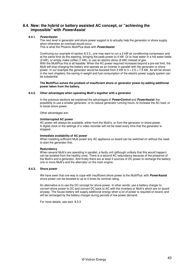# **8.4. New: the hybrid or battery assisted AC concept, or "achieving the impossible" with PowerAssist**

## **8.4.1. PowerAssist**

The next level in generator and shore power support is to actually help the generator or shore supply when otherwise an overload would occur. This is what the Phoenix MultiPlus does with **PowerAssist**.

Continuing our example of section 8.3.3., one may want to run a 2 kW air conditioning compressor and at the same time do the washing, bringing the peak power to 4 kW. Or to heat water in a hot water kettle (2 kW), or simply make coffee (1 kW), or use an electric stove (6 kW) instead of gas. With the MultiPlus this is all feasible. When the AC power required increases beyond a pre-set limit, the Multi will stop charging the battery and operate as an inverter in parallel with the generator or shore power. In our example the generator would be boosted from  $3 \text{ kW}$  to  $3 + 2.5 = 7.5 \text{ kW}$ . As will be shown in the next chapters, the saving in weight and fuel consumption of the electric power supply system can be substantial.

#### **The MultiPlus solves the problem of insufficient shore or generator power by adding additional power taken from the battery.**

#### **8.4.2. Other advantages when operating Multi's together with a generator**

In the previous sections we explained the advantages of **PowerControl** and **PowerAssist**: the possibility to use a smaller generator, or to reduce generator running hours, to increase the AC load, or to boost shore power.

Other advantages are:

## **Uninterrupted AC power**

AC power will always be available, either from the Multi's, or from the generator or shore power. A digital clock or the settings of a video recorder will not be reset every time that the generator is stopped.

#### **Immediate availability of AC power**

When installing sufficient Multi power any AC appliance on board can be switched on without the need to start the generator first.

#### **Redundancy**

When several Multi's are operating in parallel, a faulty unit (although unlikely that this would happen) can be isolated from the healthy ones. There is a second AC redundancy because of the presence of the Multi's and a generator. And finally there are at least 2 sources of DC power to recharge the battery: one or more Multi's and the alternator on the main engine.

#### **8.4.3. Shore power**

We have seen that one way to cope with insufficient shore power is the MultiPlus: with **PowerAssist** shore power can be boosted to up to 4 times its nominal rating.

An alternative is to use the DC concept for shore power. In other words: use a battery charger to convert shore power to DC and convert DC back to AC with the inverters or Multi's which are on board anyway. The house battery will supply additional energy when a lot of power is required on board, and will be recharged by the battery charger during periods of low power demand.

For more details, see sect. 8.5.3.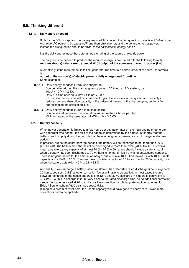# **8.5. Thinking different**

## **8.5.1. Daily energy needed**

Both for the DC concept and the battery assisted AC concept the first question to ask is not "what is the maximum AC power to be expected?" and then size inverters and the generator to that power. Instead the first question should be "what is the daily electric energy need?"

It is the daily energy need that determines the rating of the source of electric power.

The daily run-time needed to produce the required energy is calculated with the following formula: **run-time (hours) = daily energy need (kWh) / output of the source(s) of electric power (kW)** 

Alternatively, if the requirement is to limit generator run-time to a certain amount of hours, the formula is:

#### **output of the source(s) of electric power = daily energy need / run-time** Some examples:

**8.5.1.1** Daily energy needed: 4 kWh (see chapter 9)

Source: alternator on the main engine supplying 100 A into a 12 V system, i. e. 100 A x 12 V = 1.2 kW Daily run-time needed: 4 kWh / 1.2 kW = 3.3 h (In practice the run-time will be somewhat longer due to losses in the system and possibly a reduced current absorption capacity of the battery at the end of the charge cycle, but for a first approximation the calculation is ok)

**8.5.1.2** Daily energy needed: 14 kWh (see chapter 10) Source: diesel generator, but should not run more than 4 hours per day Minimum rating of the generator: 14 kWh / 4 h =  $3.5$  kW

## **8.5.2. Battery capacity**

When power generation is limited to a few hours per day (alternator on the main engine or generator with generator free period), the size of the battery is determined by the amount of energy that the battery has to supply during the periods that the main engine or generator are off: the generator free period.

In practice, due to the short recharge periods, the battery will be recharged to not more than 80 % (20 % DoD). The battery also should not be discharged to more than 70 % (70 % DoD). This would mean a usable battery capacity of at most 70 % - 20 % = 50 %. We should include a safety margin: when a battery has been discharged to 70 % there is no margin left if anything unexpected happens. There is no general rule for the amount of margin, but let's take 10 %. This leaves us with 40 % usable capacity and a DoD of 60 %. Then we have to build-in a factor of 0.8 to account for 20 % capacity loss when the battery gets older:  $40 \% \times 0.8 = 32 \%$ .

And finally, if we discharge a battery faster, or slower, than rated (the rated discharge time is in general 20 hours, see sect. 2.5.3) another correction factor will have to be applied. In most cases the time between recharges of the house battery is 8 to 12 h, and 32 % discharge in 8 hours is equivalent to 32 x 24 / 8 = 96 % discharge in 20 h. Very close to the rated discharge time, so no additional correction needed for batteries rated at 20 h, and a positive correction for tubular plate traction batteries, for Exide / Sonnenschein A600 cells (see sect.2.5.3.).

(I imagine a breath of relief here: the usable capacity would have gone to nearly zero if even more corrections had to be applied)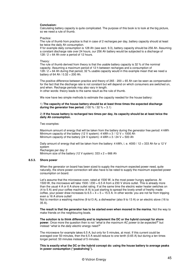#### **Conclusion:**

Calculating battery capacity is quite complicated. The purpose of this book is to look at the big picture, so we need a rule of thumb.

#### Practice:

The rule of thumb from practice is that in case of 2 recharges per day, battery capacity should at least be twice the daily Ah consumption.

If for example daily consumption is 128 Ah (see sect. 9.3), battery capacity should be 256 Ah. Assuming a constant discharge rate over 24 hours, our 256 Ah battery would be subjected to a discharge of 128 / 2 = 64 Ah over a period of 12 hours.

#### Theory:

The rule of thumb derived from theory is that the usable battery capacity is 32 % of the nominal capacity. Assuming a maximum period of 12 h between recharges and a consumption of 128 / 2 = 64 Ah during that period, 32 % usable capacity would in this example mean that we need a battery of 64 Ah /  $0.32 = 200$  Ah.

The positive difference between practice and theory of 265 - 200 = 65 Ah can be seen as compensation for the fact that the discharge rate is not constant but will depend on which consumers are switched on, and when. Recharge periods may also vary in length. In other words: theory leads to the same result as the rule of thumb.

We now have two simple methods to estimate the capacity needed for the house battery:

#### 1) **The capacity of the house battery should be at least three times the expected discharge during the generator free period.**  $(100\% / 32\% = 3.1)$

2) **If the house battery is recharged two times per day, its capacity should be at least twice the daily Ah consumption.** 

Two examples:

Maximum amount of energy that will be taken from the battery during the generator free period: 4 kWh Minimum capacity of the battery (12 V system): 4 kWh x  $3 / 12$  V = 1000 Ah Minimum capacity of the battery (24 V system): 4 kWh x 3 / 24 V = 500 Ah

Daily amount of energy that will be taken from the battery: 4 kWh, i. e. 4000 / 12 = 333 Ah for a 12 V system Recharges per day: 2 Minimum size of the battery (12 V system):  $333 \times 2 = 666$  Ah

#### **8.5.3. Shore power**

When the generator on board has been sized to supply the maximum expected power need, quite naturally, the shore power connection will also have to be rated to supply the maximum expected power consumption on board.

Let's assume that the microwave oven, rated at 1500 W, is the most power hungry appliance. At 1500 W, the microwave will take 1500 / 230 = 6.5 A from a 230 V shore outlet. This is already more than the usual 4 A or 6 A shore outlet rating. If at the same time the electric water heater switches on (4 to 5 A) and your coffee machine (4 A) is just starting to spread the lovely smell of freshly made coffee, your power draw increases to  $6.5 + 4 + 5 = 15.5$  A. In other words: you are not far from tripping even a 16 A shore outlet!

Not to mention a washing machine (9 to13 A), a dishwasher (also 9 to 13 A) or an electric stove (16 to 35 A).

**The result is that the generator has to be started even when moored in the marina.** Not the way to make friends on the neighbouring boats.

**The solution is to think differently and to implement the DC or the hybrid concept for shore power**. Once more the question then is not "what is the maximum AC power to be expected?" but instead "what is the daily electric energy need?"

The microwave for example takes 6.5 A, but only for 5 minutes, at most. If this current could be averaged over 50 minutes, then the 6.5 A would reduce to one tenth (0.65 A) but during a ten times longer period: 50 minutes instead of 5 minutes.

**This is exactly what the DC or the hybrid concept do: using the house battery to average peaks in power consumption ("peakshving").**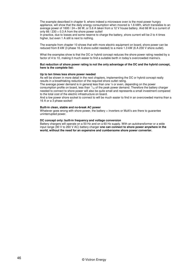The example described in chapter 9, where indeed a microwave oven is the most power hungry appliance, will show that the daily energy consumption when moored is 1.6 kWh, which translates to an average power of 1600 / 24 = 66 W, or 5.6 A taken from a 12 V house battery. And 66 W is a current of only  $66 / 230 = 0.3$  A from the shore power outlet!

In practice, due to losses and some reserve to charge the battery, shore current will be 2 to 4 times higher, but even 1 A still is next to nothing.

The example from chapter 10 shows that with more electric equipment on board, shore power can be reduced from 8 kW (3 phase 16 A shore outlet needed) to a mere 1.3 kW (6 A 230 V shore outlet).

What the examples show is that the DC or hybrid concept reduces the shore power rating needed by a factor of 4 to 10, making it much easier to find a suitable berth in today's overcrowded marina's.

#### **But reduction of shore power rating is not the only advantage of the DC and the hybrid concept, here is the complete list:**

#### **Up to ten times less shore power needed**

As will be shown in more detail in the next chapters, implementing the DC or hybrid concept really results in a breathtaking reduction of the required shore outlet rating.

The average power demand is in general less than one 1/4 or even, depending on the power consumption profile on board, less than  $\frac{1}{10}$  of the peak power demand. Therefore the battery charger needed to connect to shore power will also be quite small and represents a small investment compared to the total cost of the electric infrastructure on board.

And a low power shore socket to connect to will be much easier to find in an overcrowded marina than a 16 A or a 3 phase socket!

#### **Built-in clean, stable and no-break AC power**

Whatever goes wrong with shore power, the battery + inverters or Multi's are there to guarantee uninterrupted power.

#### **DC concept only: built-in frequency and voltage conversion**

Battery chargers will operate on a 50 Hz and on a 60 Hz supply. With an autotransformer or a wide input range (90 V to 260 V AC) battery charger **one can connect to shore power anywhere in the world, without the need for an expensive and cumbersome shore power converter.**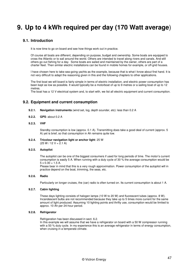# **9. Up to 4 kWh required per day (170 Watt average**)

# **9.1. Introduction**

It is now time to go on board and see how things work out in practice.

Of course all boats are different, depending on purpose, budget and ownership. Some boats are equipped to cross the Atlantic or to sail around the world. Others are intended to travel along rivers and canals. And still others go out fishing for a day. Some boats are sailed and maintained by the owner, others are part of a charter fleet. Then similar electric installations can be found in mobile homes for example, or off-grid houses.

I have chosen here to take sea-going yachts as the example, because that is what I know about first hand. It is not very difficult to adapt the reasoning given in this and the following chapters to other applications.

The first boat we will board is fairly simple in terms of electric installation, and electric power consumption has been kept as low as possible. It would typically be a motorboat of up to 9 metres or a sailing boat of up to 12 metres.

The boat has a 12 V electrical system and, to start with, we list all electric equipment and current consumption.

# **9.2. Equipment and current consumption**

- **9.2.1. Navigation instruments** (wind set, log, depth sounder, etc): less than 0.2 A
- **9.2.2. GPS**: about 0.2 A
- **9.2.3. VHF**

Standby consumption is low (approx. 0.1 A). Transmitting does take a good deal of current (approx. 5 A) yet is brief, so that consumption in Ah remains quite low.

#### **9.2.4. Tricolour navigation light or anchor light**: 25 W  $(25 W / 12 V = 2.1 A)$

#### **9.2.5. Autopilot**

The autopilot can be one of the biggest consumers if used for long periods of time. The motor's current consumption is easily 5 A. When running with a duty cycle of 30 % the average consumption would be  $5 \times 0.30 = 1.5$  A.

Please bear in mind that this is a very rough approximation. Power consumption of the autopilot will in practice depend on the boat, trimming, the seas, etc.

## **9.2.6. Radio**

Particularly on longer cruises, the (car) radio is often turned on. Its current consumption is about 1 A.

### **9.2.7. Cabin lighting**

These days lighting consists of halogen lamps (10 W to 20 W) and fluorescent tubes (approx. 8 W). Incandescent bulbs are not recommended because they take up to 5 times more current for the same amount of light produced. Assuming 10 lighting points and thrifty use, consumption would be limited to approx. 10 Ah per 24-hour period.

#### **9.2.8. Refrigerator**

Refrigeration has been discussed in sect. 6.2.

In this example we will assume that we have a refrigerator on board with a 50 W compressor running with a 50 % duty cycle. In my experience this is an average refrigerator in terms of energy consumption, when cruising in a temperate climate.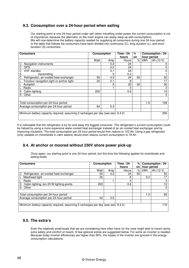# **9.3. Consumption over a 24-hour period when sailing**

Our starting point is one 24-hour period under sail (when travelling under power the current consumption is not of importance, because the alternator on the main engine can easily keep up with consumption). We will now determine the battery capacity needed for supplying all consumers during one 24-hour period. In the table that follows the consumers have been divided into continuous (C), long duration (L), and short duration (S) consumers.

| <b>Consumption</b><br><b>Consumers</b>                                            |      | Time / 24- | %     | Consumption / 24- |             |           |
|-----------------------------------------------------------------------------------|------|------------|-------|-------------------|-------------|-----------|
|                                                                                   |      |            | hours | on                | hour period |           |
|                                                                                   | Watt | Amp        | Hours | %                 | kWh         | Ah (12 V) |
| Navigation instruments<br>С                                                       |      | 0.2        | 24    |                   |             | 5         |
| <b>GPS</b><br>C                                                                   |      | 0.2        | 24    |                   |             | 5         |
| С<br>VHF standby                                                                  |      | 0.1        | 24    |                   |             | 2         |
| S<br>transmitting                                                                 |      | 5          | 0.2   |                   |             |           |
| C<br>Refrigerator, air-cooled heat exchanger                                      | 50   | 4.2        | 24    | 50                |             | 50        |
| Tricolour navigation light or anchor light                                        | 25   | 2.1        | 8     |                   |             | 17        |
| Autopilot                                                                         |      | 5          | 20    | 30                |             | 30        |
| Radio                                                                             |      |            | 3     |                   |             | 3         |
| Cabin lighting<br>S                                                               | 200  |            | 0.6   |                   |             | 10        |
| S<br>Other                                                                        |      |            |       |                   |             | 5         |
|                                                                                   |      |            |       |                   |             |           |
| Total consumption per 24-hour period                                              |      |            |       |                   | 1.5         | 128       |
| Average consumption per 24-hour period                                            | 64   | 5.3        |       |                   |             |           |
|                                                                                   |      |            |       |                   |             |           |
| Minimum battery capacity required, assuming 2 recharges per day (see sect. 8.4.2) |      |            |       |                   |             | 256       |
|                                                                                   |      |            |       |                   |             |           |

It is noticeable that the refrigerator is by far and away the biggest consumer. The refrigerator's current consumption could be halved by using a more expensive water-cooled heat exchanger instead of an air-cooled heat exchanger and by improving insulation. The total consumption per 24-hour period would then reduce to 103 Ah. Using a gas refrigerator (only useable on motorboats in calm waters) would even reduce current consumption to 78 Ah.

# **9.4. At anchor or moored without 230V shore power pick-up**

Once again, our starting point is one 24-hour period, but this time the following applies for motorboats and sailing boats.

| <b>Consumers</b>                                                                  |      | <b>Consumption</b> |       | %  | Consumption / 24- |           |
|-----------------------------------------------------------------------------------|------|--------------------|-------|----|-------------------|-----------|
|                                                                                   |      |                    | hours | on | hour period       |           |
|                                                                                   | Watt | Amp                | Hours | %  | kWh               | Ah (12 V) |
| Refrigerator, air-cooled heat exchanger<br>C.                                     | 50   | 4.2                | 24    | 50 |                   | 50        |
| Masthead light                                                                    | 25   |                    | 8     |    | 0.2               | 17        |
| Radio                                                                             |      |                    | 3     |    |                   | 3         |
| Cabin lighting, ten 20 W lighting points<br>S                                     | 200  |                    | 0.6   |    |                   | 10        |
| S<br>Other                                                                        |      |                    |       |    |                   | 5         |
|                                                                                   |      |                    |       |    |                   |           |
| Total consumption per 24-hour period                                              |      |                    |       |    | 1.0               | 85        |
| Average consumption per 24-hour period                                            | 42   | 3.5                |       |    |                   |           |
|                                                                                   |      |                    |       |    |                   |           |
| Minimum battery capacity required, assuming 2 recharges per day (see sect. 8.4.2) |      |                    |       |    |                   | 170       |
|                                                                                   |      |                    |       |    |                   |           |

# **9.5. The extra's**

Even the relatively small boats that we are considering here often have (or the crew might wish to have!) some extra safety and comfort on board. A few optional extras are suggested below. For some an inverter is needed. Because today inverter efficiencies are higher than 90%, the losses in the inverter are ignored in the energy consumption calculations.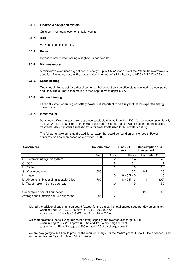## **9.5.1. Electronic navigation system**

Quite common today even on smaller yachts.

## **9.5.2. SSB**

Very useful on ocean trips.

## **9.5.3. Radar**

Increases safety when sailing at night or in bad weather.

## **9.5.4. Microwave oven**

A microwave oven uses a great deal of energy (up to 1.5 kW) for a brief time. When the microwave is used for 12 minutes per day the consumption in Ah out of a 12 V battery is 1500 x 0.2 / 12 = 25 Ah.

## **9.5.5. Space heating**

One should always opt for a diesel burner so that current consumption stays confined to diesel pump and fans. The current consumption is then kept down to approx. 5 A.

#### **9.5.6. Air conditioning**

Especially when operating on battery power, it is important to carefully look at the expected energy consumption.

## **9.5.7. Water maker**

Some very efficient water makers are now available that work on 12 V DC. Current consumption is only 10 to 20 A for 30 to 60 litres of fresh water per hour. This has made a water maker (and thus also a freshwater deck shower!) a realistic extra for small boats used for blue water cruising.

The following table sums up the additional luxury that could be found on smaller boats. Power consumption has been based on a crew of 2 or 3.

| <b>Consumers</b>                        | <b>Consumption</b> |     | Time / 24-<br>hours | hour period | Consumption / 24- |
|-----------------------------------------|--------------------|-----|---------------------|-------------|-------------------|
|                                         | Watt               | Amp | Hours               | kWh I       | Ah (12 V)         |
| Electronic navigation system<br>C       |                    | 2   | 24                  |             | 48                |
| <b>SSB</b><br>C.                        |                    | 12  | 0.1                 |             | 7                 |
| Radar                                   |                    | 3   | 8                   |             | 24                |
| S<br>Microwave oven                     | 1500               |     | 0.2                 | 0.3         | 25                |
| Heater                                  |                    | 5   | $6 \times 0.5 = 3$  |             | 15                |
| Air-conditioning, cooling capacity 2 kW | 700                |     | $6 \times 0.5 = 3$  |             | (90)              |
| Water maker, 150 litres per day<br>L    |                    | 10  | 5                   |             | 50                |
|                                         |                    |     |                     |             |                   |
| Consumption per 24-hour period          |                    |     |                     | 2.0         | 169               |
| Average consumption per 24-hour period  | 85                 | 7   |                     |             |                   |

With all the additional equipment on board (except for the airco), the total energy need per day amounts to:

- when sailing:  $1.5 + 2.0 = 3.5$  kWh, or  $128 + 169 = 297$  Ah
- at anchor :  $1.0 + 2.0 = 3.0$  kWh, or  $85 + 169 = 254$  Ah

Which translates to the following minimum battery capacity and average discharge current:

- when sailing:  $297 \times 2 =$  approx. 600 Ah and 12.3 A discharge current
- at anchor  $\left( \right)$  : 254 x 2 = approx. 500 Ah and 10.5 A discharge current

We are now going to see how to produce the required energy, for the "basic" yacht (1.0 to.1.5 kWh needed), and for the "full featured" yacht (3.0 to 3.5 kWh needed).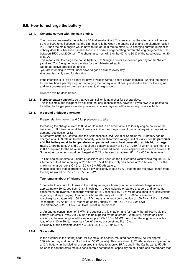# **9.6. How to recharge the battery**

### **9.6.1. Generate current with the main engine.**

The main engine usually has a 14 V / 60 A alternator fitted. This means that the alternator will deliver 60 A at 6000 rpm. Suppose that the diameter ratio between the engine pulley and the alternator pulley is 2:1, then the main engine would have to run at 3000 rpm to attain 60 A charging current. In practice nobody does this, because it makes too much noise. For generating current the engine generally runs between 1500 and 2000 rpm. The charging current will then be 40 % to 80 % of the rated value, i.e. 30 to 50 A.

This means that to charge the house battery, 2 to 3 engine hours are needed per day for the "basic" yacht and 7 to 8 engine hours per day for the full-featured yacht.

Not an attractive proposition, unless: -you are intending to travel under power a good distance every day -the boat is mainly used for day trips

If the intention is to live on board for days or weeks without shore power available, running the engine for several hours per day only for recharging the battery (i. e. at nearly no load) is bad for the engine, and very unpleasant for the crew and eventual neighbours.

How can this be done better?

**9.6.2. Increase battery capacity** so that you can sail or lie at anchor for several days. This is a simple and inexpensive solution that only makes sense, however, if you always expect to be travelling for longer periods under power within a few days, or will have shore power available.

## **9.6.3. A second or bigger alternator**

Please refer to chapter 4 and 5 for precautions to take.

Increasing the charge current to 80 A would result in an acceptable 1 to 2 daily engine hours for the basic yacht. But bear in mind that there is a limit to the charge current that a battery will accept without damage, see section 2.5.6.

Automotive batteries, Optima, and the Sonnenschein Dryfit A200 or Sportline VLRA battery can be charged at a C / 3 rate up to 80 % capacity, with an absorption voltage limit of 2.4 V / cell (**in particular a VLRA battery must be temperature compensated due to heat generation at this high charge rate!**). Charging at 80 A and C / 3 requires a battery capacity of 80 x 3 = 240 Ah which is less than the 258 Ah required for the basic sailing yacht. As discussed earlier, more capacity will increase service life. Some other batteries should be charged at C / 5 or less so that at least  $80 \times 5 = 400$  Ah is required.

To limit engine run time to 2 hours (2 sessions of 1 hour) on the full featured yacht would require 150 A alternator output and a battery of 297 Ah x  $2 = 594$  Ah (still only 3 batteries of 230 Ah each), or, if the maximum charge rate is  $C / 5$ , a 150 A x 5 = 750 Ah battery. Please also note that alternators have a low efficiency (about 50 %), that means the power taken from the engine would be  $150 \times 15 / 0.5 = 4.5$  kW

#### **Two remarks about efficiency here:**

1) In order to account for losses in the battery (energy efficiency in partial state-of-charge operation: approximately 89 %, see sect. 3.3.), in cabling, in diode isolators or battery chargers and, for some consumers, an inverter, a recharge voltage of 15 V respectively 30 V will be assumed in all calculations regarding battery charging. In other words: an efficiency of  $\eta = 12 / 15 = 80 \%$  is assumed. -discharging a battery with 150 Ah at 12 V means an energy consumption of 150 Ah x 12 V = 1.8 kWh -recharging 150 Ah at "15 V" means an energy supply of 150 Ah x 15  $v = 2.25$  kWh -the difference,  $2.25 - 1.8 = 0.45$  kWh, is lost in the process.

2) An energy consumption of 4 kWh, the subject of this chapter, and for nearly the full 100 % via the battery, requires 4 kWh /  $0.8 = 5$  kWh to be supplied by the alternator. With 50 % alternator + belt efficiency, the main engine will have to supply  $5 \text{ kW}$  /  $0.5 = 10 \text{ kWh}$ . And then the engine runs with a load of only 10 to 20 %, meaning a fuel efficiency of something like 10%… Efficiency of the complete chain:  $\eta = 0.8 \times 0.5 \times 0.1 = 0.04 (= 4\%)$ .

### **9.6.4. Solar cells**

In the summer in the Netherlands, for example, solar cells, mounted horizontally, deliver approx. 300 Wh per day and per m<sup>2</sup> (1 m<sup>2</sup> = 2 off 50 W panels). This boils down to 25 Ah per day and per m<sup>2</sup> in a 12 V battery. In the Mediterranean area this rises to approx. 35 Ah, and in the Caribbean to 50 Ah. Solar cells can therefore make a considerable contribution, especially on multihulls and motorboats that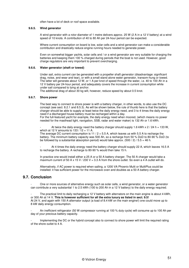often have a lot of deck or roof space available.

## **9.6.5. Wind generator**

A wind generator with a rotor diameter of 1 metre delivers approx. 25 W (2 A in a 12 V battery) at a wind speed of 10 knots. A contribution of 40 to 80 Ah per 24-hour period can be expected.

Where current consumption on board is low, solar cells and a wind generator can make a considerable contribution and drastically reduce engine running hours needed to generate power.

Even on somewhat bigger yachts, solar cells and / or a wind generator are very suitable for charging the batteries and keeping them 100 % charged during periods that the boat is not used. However, good charge regulators are very important to prevent overcharging.

## **9.6.6. Water generator (shaft or towed)**

Under sail, extra current can be generated with a propeller shaft generator (disadvantage: significant drag, noise, and wear and tear), or with a small stand alone water generator, transom-hung or towed. The latter will generate about 12 W, or 1 A per knot of speed through the water, i.e. 40 to 100 Ah in a 12 V battery per 24-hour period, and adequately covers the increase in current consumption while under sail compared to lying at anchor.

The additional drag of about 30 kg will, however, reduce speed by about 0.5 knot.

#### **9.6.7. Shore power**

The best way to connect to shore power is with a battery charger, in other words, to also use the DC concept (see sect. 8.2.1 and 8.5.3). As will be shown below, the rule of thumb here is that the battery charger should be able to supply at least twice the daily energy need, and 3 to 4 times the daily energy need if a discharged house battery must be recharged within a day.

For the full-featured yacht for example, the daily energy need when moored, (which means no power needed for the masthead light, navigation, SSB, radar and water maker) is 132 Ah or 1.6 kWh.

At twice the daily energy need the battery charger should supply 1.6 kWh x  $2/24$  h = 133 W, which at 12 V amounts to 133 /  $12 = 11$  A.

The average DC current consumption is  $11 / 2 = 5.5$  A, which leaves us with 5.5 A to recharge the battery. The minimum battery capacity was 500 Ah, so a recharge from 50 % DoD to 80-90 % DoD (to be followed by a substantial absorption period) would take approx. (500 / 2) / 5.5 = 46 h.

At 4 times the daily energy need the battery charger should supply 22 A, which leaves 16.5 A to recharge the battery. A recharge to 80-90 % would then take 15 h.

In practice one would install either a 25 A or a 50 A battery charger. The 50 A charger would take a maximum current of 50 A x 15 V / 230 V = 3.3 A from the shore outlet. So even a 4 A outlet will do.

Alternatively, if AC power is required when sailing, a 1200 VA Phoenix Multi or MultiPlus could be installed: it has sufficient power for the microwave oven and doubles as a 50 A battery charger.

# **9.7. Conclusion**

- One or more sources of alternative energy such as solar cells, a wind generator, or a water generator can contribute a very substantial 1 to 2.5 kWh (100 to 200 Ah in a 12 V battery) to the daily energy required.

The practical limit to daily recharging a 12 V battery with alternators on the main engine is about 4 kWh, or 300 Ah at 14 V. **This is however sufficient for all the extra luxury as listed in sect. 9.5!**  At 24 V, and again with 150 A alternator output (a load of 8.4 kW on the main engine!) one could move up to 8 kW daily energy consumption.

An inefficient refrigerator (50 W compressor running at 100 % duty cycle) will consume up to 100 Ah per day of your precious battery capacity.

Implementing the DC or the hybrid concept also to connect to shore power will limit the required rating of the shore outlet to 4 A.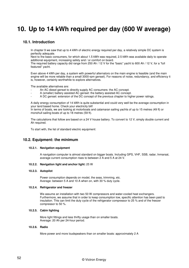# **10. Up to 14 kWh required per day (600 W average)**

# **10.1. Introduction**

In chapter 9 we saw that up to 4 kWh of electric energy required per day, a relatively simple DC system is perfectly adequate.

Next to the basic consumers, for which about 1.5 kWh was required, 2.5 kWh was available daily to operate additional equipment, increasing safety and / or comfort on board.

The required battery capacity did range from 250 Ah / 12 V for the "basic" yacht to 600 Ah / 12 V, for a "full featured" yacht.

Even above 4 kWh per day, a system with powerful alternators on the main engine is feasible (and the main engine will be more reliable than a small 3000-rpm genset). For reasons of noise, redundancy, and efficiency it is, however, certainly worthwhile to explore alternatives.

The available alternatives are:

- An AC diesel genset to directly supply AC consumers: the AC concept.
- A (smaller) battery assisted AC genset: the battery assisted AC concept.
- A DC genset: extension of the DC concept of the previous chapter to higher power ratings.

A daily energy consumption of 14 kWh is quite substantial and could very well be the average consumption in your land based home. Check your electricity bill!

In terms of boats, we are looking at motorboats and catamaran sailing yachts of up to 15 metres (49 ft) or monohull sailing boats of up to 18 metres (59 ft).

The calculations that follow are based on a 24 V house battery. To convert to 12 V, simply double current and Ah required.

To start with, the list of standard electric equipment:

## **10.2. Equipment: the minimum**

#### **10.2.1. Navigation equipment**

A navigation computer is almost standard on bigger boats. Including GPS, VHF, SSB, radar, Inmarsat, average current consumption rises to between 2 A and 5 A at 24 V.

#### **10.2.2. Navigation light and anchor light:** 25 W

#### **10.2.3. Autopilot**

Power consumption depends on model, the seas, trimming, etc. Average: between 5 A and 10 A when on, with 30 % duty cycle.

#### **10.2.4. Refrigerator and freezer**

We assume an installation with two 50 W compressors and water-cooled heat exchangers. Furthermore, we assume that in order to keep consumption low, specific attention has been paid to insulation. This can limit the duty cycle of the refrigerator compressor to 25 % and of the freezer compressor to 50 %.

## **10.2.5. Cabin lighting**

More light fittings and less thrifty usage than on smaller boats. Average: 20 Ah per 24-hour period.

#### **10.2.6. Radio**

More power and more loudspeakers than on smaller boats: approximately 2 A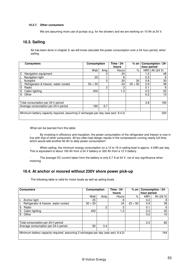## **10.2.7. Other consumers**

We are assuming more use of pumps (e.g. for the shower) and we are working on 10 Ah at 24 V.

# **10.3. Sailing**

As has been done in chapter 9, we will know calculate the power consumption over a 24 hour period, when sailing.

| Consumers                                                                         | <b>Consumption</b> |     | Time / 24- | $%$ on $ $ |             | Consumption / 24- |
|-----------------------------------------------------------------------------------|--------------------|-----|------------|------------|-------------|-------------------|
|                                                                                   |                    |     | hours      |            | hour period |                   |
|                                                                                   | Watt               | Amp | Hours      | $\%$       | kWh l       | Ah (24 V)         |
| Navigation equipment<br>C                                                         |                    | 2   | 24         |            | 1.2         | 48                |
| Navigation light                                                                  | 25                 |     | 8          |            | 0.2         | 8                 |
| Autopilot                                                                         |                    | 5   | 20         | 30         | 0.8         | 30                |
| Refrigerator & freezer, water cooled<br>С                                         | $50 + 50$          |     | 24         | $25 + 50$  | 0.9         | 38                |
| S<br>Radio                                                                        |                    | 2   | 3          |            | 0.1         | 6                 |
| Cabin lighting<br>S                                                               | 400                |     | 1.2        |            | 0.5         | 20                |
| S<br>Other                                                                        |                    |     |            |            | 0.2         | 10                |
|                                                                                   |                    |     |            |            |             |                   |
| Total consumption per 24-h period                                                 |                    |     |            |            | 3.8         | 160               |
| Average consumption per 24-h period                                               | 160                | 6.7 |            |            |             |                   |
|                                                                                   |                    |     |            |            |             |                   |
| Minimum battery capacity required, assuming 2 recharges per day (see sect. 8.4.2) |                    |     |            |            |             | 320               |
|                                                                                   |                    |     |            |            |             |                   |

What can be learned from this table:

By investing in efficiency and insulation, the power consumption of the refrigerator and freezer is now in line with that of other consumers. All too often bad design results in the compressors running nearly full time, which would add another 60 Ah to daily power consumption!

When sailing, the minimum energy consumption on a 12 to 18 m sailing boat is approx. 4 kWh per day. This is equivalent to about 160 Ah from a 24 V battery or 320 Ah from a 12 V battery.

The average DC current taken from the battery is only 6.7 A at 24 V, not of any significance when motoring

# **10.4. At anchor or moored without 230V shore power pick-up**

The following table is valid for motor boats as well as sailing boats

| <b>Consumption</b><br><b>Consumers</b>                                            |           | Time / 24-<br>hours | $%$ on $\vert$ | hour period | Consumption / 24- |           |
|-----------------------------------------------------------------------------------|-----------|---------------------|----------------|-------------|-------------------|-----------|
|                                                                                   | Watt      | Amp                 | Hours          | %           | kWh               | Ah (24 V) |
| Anchor light                                                                      | 25        |                     | 8              |             | 0.2               | 8         |
| Refrigerator & freezer, water cooled                                              | $50 + 50$ |                     | 24             | $25 + 50$   | 0.9               | 38        |
| S<br>Radio                                                                        |           | 2                   | 3              |             | 0.1               | 6         |
| S<br>Cabin lighting                                                               | 400       |                     | 1.2            |             | 0.5               | 20        |
| S<br>Other                                                                        |           |                     |                |             | 0.2               | 10        |
| Total consumption per 24-h period                                                 |           |                     |                |             | 2.0               | 82        |
| Average consumption per 24-h period                                               | 82        | 3.4                 |                |             |                   |           |
| Minimum battery capacity required, assuming 2 recharges per day (see sect. 8.4.2) |           |                     |                |             |                   | 164       |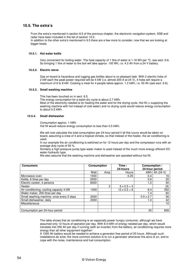# **10.5. The extra's**

From the extra's mentioned in section 9.5 of the previous chapter, the electronic navigation system, SSB and radar have been included in the list of section 10.2. In addition to the other extra's mentioned in 9.5 there are a few more to consider, now that we are looking at

bigger boats.

## **10.5.1. Hot water kettle**

Very convenient for boiling water. The heat capacity of 1 litre of water is 1.16 Wh per °C, see sect. 6.6. So bringing 1 litre of water to the boil will take approx. 100 Wh, i.e. 4.2 Ah from a 24 V battery.

#### **10.5.2. Electric stove**

Gas on board is hazardous and lugging gas bottles about is no pleasant task. With 2 electric hobs of 2 kW each the peak power required will be 4 kW (i.e. almost 200 A at 24 V), 4 hobs will require a maximum of 6 to 8 kW. Cooking a meal for 4 people takes approx. 1.2 kWh, i.e. 50 Ah (see sect. 6.6).

## **10.5.3. Small washing machine**

This has been touched on in sect. 6.5.

The energy consumption for a wash-dry cycle is about 2.7 kWh.

Most of the electricity needed is for heating the water and for the drying cycle. Hot fill (= supplying the washing machine with hot instead of cold water) and no drying cycle would reduce energy consumption to about 0.5 kWh.

#### **10.5.4. Small dishwasher**

Consumption approx. 1 kWh Hot fill would reduce energy consumption to less than 0.5 kWh.

We will now calculate the total consumption per 24-hour period if all this luxury would be taken on board, assuming a crew of 4 and a tropical climate, so that instead of the heater, the air conditioning is used.

In our example the air conditioning is switched on for 12 hours per day and the compressor runs with an average duty cycle of 50 %.

Similarly a high-pressure pump type water maker is used instead of the much more energy efficient DC water-hydraulic type.

We also assume that the washing machine and dishwasher are operated without hot fill.

| <b>Consumers</b>                         | <b>Consumption</b> |     | Time /<br>24-hours  | Consumption /<br>24-hour period |                   |
|------------------------------------------|--------------------|-----|---------------------|---------------------------------|-------------------|
|                                          | Watt               | Amp | Hours               |                                 | $kWh$   Ah (24 V) |
| Microwave oven                           | 1500               |     | 0.25                | 0.4                             | 16                |
| Kettle, 6 litres per day                 | 2000               |     |                     | 0.6                             | 25                |
| Electric cooker, 4 persons               | 6000               |     |                     | 1.2                             | 50                |
| Heater                                   |                    | 3   | $6 \times 0.5 = 3$  |                                 | (9)               |
| Air conditioning, cooling capacity 4 kW  | 1400               |     | $12 \times 0.5 = 6$ | 8.4                             | 350               |
| Water maker, 200 litres per day          |                    |     |                     | 1.4                             | 60                |
| Small washing machine, once every 2 days | 2000               |     |                     | $0.5 \times 2.7$                | 56                |
| Small dishwasher, daily                  | 2000               |     |                     | 1.0                             | 42                |
| Miscellaneous                            |                    |     |                     |                                 | 10                |
|                                          |                    |     |                     |                                 |                   |
| Consumption per 24-hour period           |                    |     |                     | 25                              | 609               |

The table shows that air conditioning is an especially power hungry consumer, although we have assumed only 12 hours of operation per day. With 8.4 kWh of energy needed per day, which would translate into 350 Ah per day if running (with an inverter) from the battery, air conditioning requires more energy than all other equipment together!

A 1500 Ah battery would be needed to achieve a generator free period of 20 hours. Although such installations do exist, the more common solution is to run a generator whenever the airco is on, and to cope with the noise, maintenance and fuel consumption.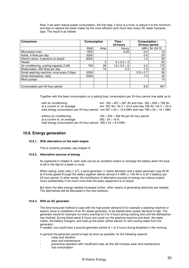Now, if we want reduce power consumption, the first step, if airco is a must, is reduce it to the minimum, and also to replace the water maker by the more efficient (and much less noisy) DC water-hydraulic type. The result is as follows:

| <b>Consumers</b>                         | <b>Consumption</b> |     | Time $\sqrt{ }$<br>24-hours | Consumption /<br>24-hour period |               |
|------------------------------------------|--------------------|-----|-----------------------------|---------------------------------|---------------|
|                                          | Watt               | Amp | Hours                       |                                 | kWh Ah (24 V) |
| Microwave oven                           | 1500               |     | 0.25                        | 0.4                             | 16            |
| Kettle, 6 litres per day                 | 2000               |     |                             | 0.6                             | 25            |
| Electric stove, 4 persons on board       | 6000               |     |                             | 1.2                             | 50            |
| Heater                                   |                    | 3   | $6 \times 0.5 = 3$          |                                 | (9)           |
| Air conditioning, cooling capacity 2 kW  | 700                | 29  | $12.x\,0.5=6$               | 4.2                             | 175           |
| Watermaker, 200 litres per day           |                    | 10  | 3.3                         | 1.4                             | 33            |
| Small washing machine, once every 2 days | 2000               |     |                             | $0.5 \times 2.7$                | 56            |
| Small dishwasher, daily                  | 2000               |     |                             | 1.0                             | 42            |
| More pumps                               |                    |     |                             |                                 | 10            |
|                                          |                    |     |                             |                                 |               |
| Consumption per 24-hour period           |                    |     |                             | 9.6                             | 407           |

Together with the basic consumption on a sailing boat, consumption per 24-hour period now adds up to:

| - with air conditioning:     | min. $160 + 407 = 567$ Ah and max. $160 + 609 = 796$ Ah                                          |
|------------------------------|--------------------------------------------------------------------------------------------------|
| at a current of, on average: | min. 567 Ah / 24 V = 24 A and max 796 Ah / 24 V = 33 A                                           |
|                              | total energy consumption per 24-hour period: min 567 x 24 = 13.6 kWh and max 796 x 24 = 19.1 kWh |

- without air conditioning: 160 + 232 = 392 Ah per 24 hour period at a current of, on average:  $392 / 24 = 16$  A. total energy consumption per 24-hour period: 392 x 24 = 9.4 kWh.

# **10.6. Energy generation**

## **10.6.1. With alternators on the main engine**

This is certainly possible, see chapter 9.

#### **10.6.2. Alternative sources of energy**

As explained in chapter 9, solar cells can be an excellent means to recharge the battery when the boar is left in the slip for a week or more.

When sailing, solar cells (1 m<sup>2</sup>), a wind generator (1 metre diameter) and a water generator (say 60 W at 5 knots speed through the water) together deliver almost 2.4 kWh (= 100 Ah in a 24 V battery) per 24-hour period. In other words: the contribution of alternative sources of energy can reduce engine hours substantially if not much more than the basic equipment is on board.

But when the daily energy needed increases further, other means of generating electricity are needed. The alternatives will be discussed in the next sections.

#### **10.6.3. With an AC generator**

The time-honoured method to cope with the high power demand of for example a washing machine or electric stove is installation of an AC diesel generator, to be started when power demand is high. The generator would for example run every evening for 2 to 4 hours during cooking and until the dishwasher has finished. During these same 4 hours one could run the washing machine and dryer, the water maker, the battery chargers, and heat-up the boiler (either electric or with cooling water from the generator).

If needed, one could have a second generator period of 1 or 2 hours during breakfast in the morning.

In general the generator period is kept as short as possible, for the following reasons:

- noise and vibration
- wear and maintenance
- preventing operation with insufficient load, as this will increase wear and maintenance
- fuel consumption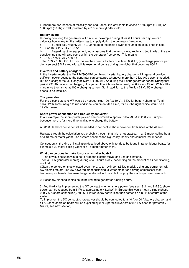Furthermore, for reasons of reliability and endurance, it is advisable to chose a 1500 rpm (50 Hz) or 1800 rpm (60 Hz) model, powered by a 2 or more cylinder motor.

#### **Battery sizing**

Knowing how long the generator will run, in our example during at least 4 hours per day, we can calculate how many Ah the battery has to supply during the generator free period:

a) If under sail, roughly  $24 - 4 = 20$  hours of the basic power consumption as outlined in sect. 10.3, or 160 x 20 / 24 = 133 Ah.

b) Regarding other equipment, let us assume that the microwave, kettle and two thirds of the airconditioning time will also come within the generator free period. This means  $16 + 25 + 175 \times 2/3 = 158$  Ah.

Total:  $133 + 158 = 291$  Ah. For this we then need a battery of at least 600 Ah, (2 recharge periods per day, see sect 8.5.2.) and with a little reserve (airco use during the night), that becomes 800 Ah.

#### **Inverters and battery chargers**

In the inverter mode, the Multi 24/3000/70 combined inverter-battery charger will in general provide sufficient power because the generator can be started whenever more than 2 kW AC power is needed. But as a charger the Multi only delivers 4 x 70= 280 Ah during the 4 hour generator period. During that period 291 Ah have to be charged, plus yet another 4 hours basic load, i.e. 6,7 x 4 = 27 Ah. With a little margin we then arrive at 100 A charging current. So, in addition to the Multi, a 24 V / 50 A charger needs to be installed.

#### **The generator**

For the electric stove 6 kW would be needed, plus 100 A  $\times$  30 V = 3 kW for battery charging. Total: 9 kW. With some margin to run additional equipment (the airco, for ex.) the right choice would be a 12 kW genset.

#### **Shore power connection and frequency converter**

In our example the shore power pick-up can be limited to approx. 8 kW (35 A at 230 V in Europe), because there is far more time available to charge the battery.

A 50/60 Hz shore converter will be needed to connect to shore power on both sides of the Atlantic.

Halfway through the calculation you probably thought that this is not practical in a 15 meter sailing boat or a 13 meter motor yacht. The system becomes too big, costly, heavy and complicated. Indeed!

Consequently, the kind of installation described above only tends to be found in rather bigger boats, for example a 20 meter sailing yacht or a 15 meter motor yacht.

#### **What can be done to make it work on smaller boats?**

1) The obvious solution would be to drop the electric stove, and use gas instead.

Then a 6 kW generator running during 4 to 8 hours a day, depending on the amount of air conditioning, would do.

(Often the generator is downsized even more, to a 1 cylinder 3,5 kW model. Using any equipment with AC electric motors, like AC powered air conditioning, a water maker or a diving compressor then becomes problematic because the generator will not be able to supply the start- up current needed).

2) Secondly, air conditioning could be limited to generator running hours.

3) And thirdly, by implementing the DC concept when on shore power (see sect. 8.2. and 8.5.3.), shore power can be reduced from 8 kW to approximately 1.2 kW (in Europe this would mean a single phase 230 V 6 A shore connection). 50 / 60 Hz frequency conversion then comes as a built-in feature of the system.

To implement the DC concept, shore power should be connected to a 40 A or 50 A battery charger, and all AC consumers on board will be supplied by 2 or 3 parallel inverters of 2.5 kW each (or preferably Multi's, see next section).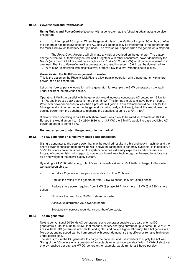#### **10.6.4. PowerControl and PowerAssist**

**Using Multi's and PowerControl** together with a generator has the following advantages (see also chapter 8):

- Uninterrupted AC supply. When the generator is off, the Multi's will supply AC on board. After the generator has been switched on, the AC load will automatically be transferred to the generator and the Multi's will switch to battery charger mode. The reverse will happen when the generator is stopped.

The PowerControl feature will eliminate any risk of overload on the generator. The battery charge current will automatically be reduced if, together with other consumers, power demand by the Multi's (which with 2 Multi's could be as high as  $2 \times 70$  A x 30 V = 4.2 kW) would otherwise result in an overload. Thanks to PowerControl the generator discussed in section 10.6.4. can be downsized from 12 kW to 8 kW (installation with electric stove) or from 6 kW to 3 kW (without electric stove).

#### **PowerAssist: the MultiPlus as generator booster**

This is the option on the Phoenix MultiPlus to allow parallel operation with a generator or with shore power (see also chapter 8).

Let us first look at parallel operation with a generator, for example the 6 kW generator on the vacht under sail from the previous section.

Operating 2 Multi's in parallel with the generator would increase continuous AC output from 6 kW to 11 kW, and increase peak output to more than 15 kW. This brings the electric stove back on board. Whenever power decreases to less than a pre-set limit (which in our example would be 5 kW for the 6 kW generator, in order not to run the generator continuously at full load), the Multi's would take the surplus power from the generator to recharge the batteries, at up to  $2 \times 70 = 140$  A.

Similarly, when operating in parallel with shore power, which would be rated for example at 16 A (In Europe this would amount to 16 x 230= 3680 W, or 3,7 kW) the 2 Multi's would increase available AC power on board to some 8 kW.

#### **No need anymore to start the generator in the marina!**

#### **10.6.5. The AC generator on a relatively small boat: conclusion**

Sizing a generator to the peak power that may be required results in a big and heavy machine, and the shore power connection needed will be well above the rating that is generally available. If, in addition, a 50/60 Hz shore converter is needed the system becomes extremely expensive and cumbersome. Instead of compromising with regard to comfort on board, new technology can be used to reduce cost, size and weight of the power supply system.

By adding a 24 V 800 Ah battery, 3 Multi's with PowerAssist and a 50 A battery charger to the system we have been able to:

- Introduce 2 generator free periods per day of in total 20 hours.
- Reduce the rating of the generator from 12 kW (3 phase) to 6 kW (single phase).

Reduce shore power required from 8 kW (3 phase 16 A) to a mere 1.3 kW (6 A 230 V shore outlet)

- Eliminate the need for a 50/60 Hz shore converter
- Achieve uninterrupted AC power on board
- Substantially increase redundancy and therefore safety.

#### **10.6.6. The DC generator**

Next to conventional 50/60 Hz AC generators, some generator suppliers are also offering DC generators. Outputs of up to 10 kW, that means a battery charging current of up to some 300 A at 28 V, are available. DC generators are smaller and lighter, and have a higher efficiency than AC generators. Moreover, engine speed can be harmonised with power demand, so that efficiency remains high even under partial load.

The idea is to use the DC generator to charge the batteries, and use inverters to supply the AC load. Sizing of the DC generator is a question of acceptable running hours per day. With 14 kWh of electrical energy required per day, a 6 kW DC generator, for example, would run for 2-3 hours per day.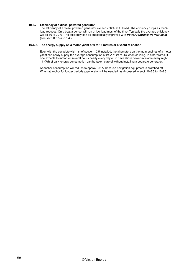## **10.6.7. Efficiency of a diesel powered generator**

The efficiency of a diesel powered generator exceeds 30 % at full load. The efficiency drops as the % load reduces. On a boat a genset will run at low load most of the time. Typically the average efficiency will be 10 to 20 %. The efficiency can be substantially improved with **PowerControl** or **PowerAssist**  (see sect. 8.3.3 and 8.4.).

## **10.6.8. The energy supply on a motor yacht of 9 to 15 metres or a yacht at anchor.**

Even with the complete wish list of section 10.5 installed, the alternators on the main engines of a motor yacht can easily supply the average consumption of 24 A at 24 V DC when cruising. In other words, if one expects to motor for several hours nearly every day or to have shore power available every night, 14 kWh of daily energy consumption can be taken care of without installing a separate generator.

At anchor consumption will reduce to approx. 22 A, because navigation equipment is switched off. When at anchor for longer periods a generator will be needed, as discussed in sect. 10.6.3 to 10.6.6.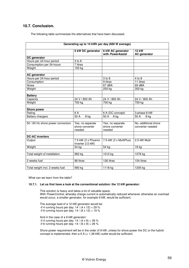# **10.7. Conclusion.**

The following table summarises the alternatives that have been discussed.

| Generating up to 14 kWh per day (600 W average) |                                               |                                               |                                          |  |  |
|-------------------------------------------------|-----------------------------------------------|-----------------------------------------------|------------------------------------------|--|--|
|                                                 | 5 kW DC generator                             | 6 kW AC generator<br>with PowerAssist         | <b>12 kW</b><br><b>AC</b> generator      |  |  |
| DC generator                                    |                                               |                                               |                                          |  |  |
| Hours per 24-hour period                        | $3$ to $8$                                    |                                               |                                          |  |  |
| Consumption per 24-hours                        | 7 litres                                      |                                               |                                          |  |  |
| Weight                                          | 150 kg                                        |                                               |                                          |  |  |
| <b>AC</b> generator                             |                                               |                                               |                                          |  |  |
| Hours per 24-hour period                        |                                               | $3$ to $8$                                    | 4 to 8                                   |  |  |
| Consumption                                     |                                               | $\overline{9}$ litres                         | 11 litres                                |  |  |
| <b>Noise</b>                                    |                                               | 67 dBA                                        | 69 dBA                                   |  |  |
| Weight                                          |                                               | 250 kg                                        | 350 kg                                   |  |  |
| <b>Battery</b>                                  |                                               |                                               |                                          |  |  |
| Capacity                                        | 24 V / 800 Ah                                 | 24 V / 800 Ah                                 | 24 V / 800 Ah                            |  |  |
| Weight                                          | 700 kg                                        | 700 kg                                        | 700 kg                                   |  |  |
| <b>Shore power</b>                              |                                               |                                               |                                          |  |  |
| Rating                                          | 6 A                                           | 6 A (DC concept)                              | 3-phase 8 kW                             |  |  |
| <b>Battery chargers</b>                         | 50 A<br>8 kg                                  | 50 A<br>8 kg                                  | 50 A<br>8 kg                             |  |  |
|                                                 |                                               |                                               |                                          |  |  |
| 50 / 60 Hz shore power conversion               | Yes, no separate<br>shore converter<br>needed | Yes, no separate<br>shore converter<br>needed | No, additional shore<br>converter needed |  |  |
| <b>DC-AC inverters</b>                          |                                               |                                               |                                          |  |  |
| Output                                          | 7.5 kW (3 x Phoenix<br>Inverter 2.5 kW)       | 7.5 kW (3 x MultiPlus)                        | 2.5 kW Multi                             |  |  |
| Weight                                          | 54 kg                                         | 54 kg                                         | 18 kg                                    |  |  |
|                                                 |                                               |                                               |                                          |  |  |
| Total weight of installation                    | 962 kg                                        | 1012 kg                                       | 1076 kg                                  |  |  |
|                                                 |                                               |                                               |                                          |  |  |
| 2 weeks fuel                                    | 98 litres                                     | 126 litres                                    | $154$ litres                             |  |  |
|                                                 |                                               |                                               |                                          |  |  |
| Total weight incl. 2 weeks fuel                 | 990 kg                                        | 1118 kg                                       | 1205 kg                                  |  |  |

What can we learn from the table?

### **10.7.1. Let us first have a look at the conventional solution: the 12 kW generator:**

This solution is heavy and takes a lot of valuable space. With PowerControl, whereby charge current is automatically reduced whenever otherwise an overload would occur, a smaller generator, for example 9 kW, would be sufficient.

The average load of a 12 kW generator would be: -if 4 running hours per day:  $14 / (4 \times 12) = 29 \%$  $-$ if 6 running hours per day: 14 / (6 x 12) = 19 % And in the case of a 9 kW generator:

-if 4 running hours per day:  $14 / (4 \times 9) = 39 \%$ -if 6 running hours per day:  $14 / (6 \times 9) = 26 \%$ 

Shore power requirement will be in the order of 8 kW, unless for shore power the DC or the hybrid concept is implemented, then a  $6$  A (= 1,38 kW) outlet would be sufficient.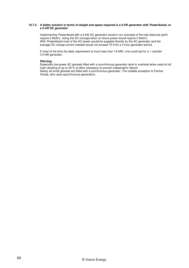### **10.7.2. A better solution in terms of weight and space required is a 6 kW generator with PowerAssist, or a 5 kW DC generator**

Implementing PowerAssist with a 6 kW AC generator would in our example of the fully featured yacht require 2 Multi's. Using the DC concept when on shore power would require 3 Multi's. With PowerAssist most of the AC power would be supplied directly by the AC generator and the average DC charge current needed would not exceed 75 A for a 4 hour generator period.

If most of the time the daily requirement is much less than 14 kWh, one could opt for a 1 cylinder 3.5 kW generator.

## **Warning:**

Especially low power AC gensets fitted with a synchronous generator tend to overheat when used at full load: derating of up to 30 % is often necessary to prevent catastrophic failure! Nearly all small gensets are fitted with a synchronous generator. The notable exception is Fischer Panda, who uses asynchronous generators.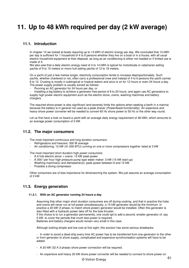# **11. Up to 48 kWh required per day (2 kW average)**

# **11.1. Introduction**

In chapter 10 we looked at boats requiring up to 14 kWh of electric energy per day. We concluded that 14 kWh per day is sufficient for 1 household of 4 to 6 persons whether they live on a boat or in a house, with all usual electric household equipment at their disposal, as long as air conditioning is either not needed or if limited use is made of it.

We also saw that a daily electric energy need of 4 to 14 kWh is typical for motorboats or catamaran sailing yachts of 9 to 15 meters or mono hull sailing yachts of 12 to 18 meters.

On a yacht of just a few metres longer, electricity consumption tends to increase disproportionately. Such yachts, whether chartered or not, often carry a professional crew and instead of 4 to 6 persons the yacht carries 8 to 12. Cruising is mostly in subtropical or tropical waters and airco is on for 12 hours or even 24 hours a day. The power supply problem is usually solved as follows:

Running an AC generator for 24 hours per day, or

- Installing a big battery to achieve a generator free period of 8 to 20 hours, and again use AC generators to supply high power electric equipment such as the electric stove, ovens, washing machines and battery chargers.

The required shore power is also significant (and severely limits the options when seeking a berth in a marina) because the battery is in general not used as a peak shaver (PowerAssist functionality). An expensive and heavy shore power converter will be needed to convert 60 Hz shore power to 50 Hz or the other way round.

Let us first have a look on board a yacht with an average daily energy requirement of 48 kWh, which amounts to an average power consumption of 2 kW.

# **11.2. The major consumers**

The most important continuous and long duration consumers:

- Refrigerators and freezers: 300 W average
- Air conditioning: 12 kW (41.000 BTU) running on one or more compressors together rated at 3 kW

The most important short duration high power consumers:

- A 6 hob electric stove + ovens: 12 kW peak power
- A 300 I per hour high pressure pump type water maker: 3 kW (15 kW start-up)
- Washing machine(s) and dishwasher(s): peak power between 6 and 12 kW
- Possibly a diving compressor

Other consumers are of less importance for dimensioning the system. We just assume an average consumption of 2 kW.

# **11.3. Energy generation**

#### **11.3.1. With an AC generator running 24 hours a day**

Assuming that other major short duration consumers are off during cooking, and that in practice the hobs and ovens will never run at full power simultaneously, a 15 kW generator would be the minimum. In practice a 20 kW (3 phase, to match shore power) generator would be installed. Often this generator is also fitted with a hydraulic power take off for the bow thruster.

If the choice is to run a generator permanently, one could opt to add a second, smaller generator of, say 5 kW, to cover the periods that much less power is required.

Batteries and battery chargers would remain very small in this case.

Although looking simple and low cost at first sight, this solution has some serious drawbacks:

- In order to avoid a dead ship every time AC power has to be transferred from one generator to the other or from generator to shore supply, complicated and expensive synchronisation systems will have to be added.

- A 20 kW (32 A 3-phase) shore power connection will be required.
- An expensive and heavy 20 kW shore power converter will be needed to connect to shore power on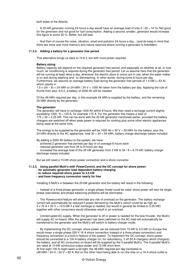both sides of the Atlantic.

- A 20 kW generator running 24 hours a day would have an average load of only 2 / 20 = 10 %! Not good for the generator and not good for fuel consumption. Adding a second, smaller, generator would increase this figure to some 20 %. Better, but still bad.

- And then of course the noise, vibration, smell and pollution 24 hours a day…(and do keep in mind that there are more and more marina's and nature reserves where running a generator is forbidden).

### **11.3.2. Adding a battery for a generator free period**

This alternative brings us back to 10.6.3, but with more power required.

#### **Battery sizing**

Battery capacity will depend on the required generator free period, and especially on whether at all, or how much, air conditioning is required during the generator free period. Let us assume here that the generator will be running at least twice a day, whenever the electric stove & ovens are in use, when the water maker is on and during washing and / or dishwashing. In other words: during some 8 hours per day. Furthermore, we assume an average battery load during the generator free periods of 1.5 kW (=  $63$  A), which results in

 $1.5 \times (24 - 8) = 24$  kWh or 24 kWh / 24 V = 1000 Ah taken from the battery per day. Applying the rule of thumb from sect. 8.5.2, a battery of 2000 Ah will be needed.

Of the 48 kWh required per day, in this example 24 kWh is supplied by the battery, and the remaining 24 kWh directly by the generator.

## **The generator**

The generator will have to recharge 1000 Ah within 8 hours. We then need a recharge current slightly exceeding  $1000 / 8 = 125$  A, for example 175 A. For the generator this means a load of 175 x 30 = 5.25 kW. This can be done with the 20 kW generator mentioned earlier, provided the battery chargers are switched off when peak power is required for cooking plus some other electric appliances being used at the same time.

The energy to be supplied by the generator will be 1000 Ah  $\times$  30 V = 30 kWh for the battery, plus the 24 kWh directly to the AC appliances, total  $30 + 24 = 54$  kWh, battery charge-discharge losses included.

By adding a 2000 Ah battery to the system, we have:

- achieved 2 generator free periods per day of on average 8 hours each
- reduced generator use from 24 to 8 hours per day

increased the average load of the 20 kW generator from 2 kW to  $54 / 8 = 6.75$  kW, battery chargedischarge losses included.

But we still need a 15 kW shore power connection and a shore converter.

## **11.3.3. Using parallel Multi's with PowerControl, and the DC concept for shore power:**

- **for automatic generator load dependent battery charging**
- **to reduce required shore power to 3.5 kW**
- **and have frequency conversion nearly for free**

Installing 5 Multi's in between the 20 kW generator and the battery will result in the following:

Instead of a three phase generator, a single phase model could be used: shore power will also be single phase (see below) and phase balancing problems will be eliminated.

- The Powercontrol feature will eliminate any risk of overload on the generator. The battery recharge current will automatically be reduced if power demand by the Multi's (which could be as high as 5 x 70 A x 30 V = 10.5 kW if a fast recharge is needed, but would in general be limited to 5.25 kW) together with other consumers would otherwise result in an overload.

- Uninterrupted AC supply. When the generator is off or power is needed for the bow thruster, the Multi's will supply AC on board. After the generator has been switched on the AC load will automatically be transferred to the generator and the Multi's will switch to battery charger mode.

- By implementing the DC concept, shore power can be reduced from 15 kW to 3.5 kW (in Europe this would mean a single phase 230 V 16 A shore connection instead of a three phase connection) and frequency conversion is a built-in feature of the system. To implement the DC concept, shore power should be connected to a 100 A battery charger (or, for redundancy, 3 off 50 A chargers) which charge(s) the battery, and all AC consumers on board will be supplied by the 5 parallel Multi's. The 5 parallel Multi's are rated at 10 kW continuous output power and 15 kW short term.

At first sight 100 A might seem a bit tight: the 48 kWh required per day translates to  $(48$  kWh  $/$  24 h)  $/$  24 V = 83 A. But on the other hand being able to run the ship on a 16 A shore outlet is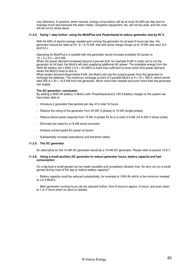very attractive. In practice, when moored, energy consumption will be at most 40 kWh per day and on average much less because the water maker, navigation equipment, etc. will not be used, and the crew will be out on shore leave.

#### **11.3.4. Going 1 step further: using the MultiPlus and PowerAssist to reduce generator size by 50 %**

With 54 kWh of electric energy needed and running the generator for at least 8 hours per day, the generator should be rated at  $54 / 8 = 6.75$  kW, that with some margin brings us to 10 kW (see sect. 8.3. and 8.4.).

Operating 5x MultiPlus's in parallel with the generator would increase available AC power to  $10 + 5 \times 2.5 = 22.5$  kW.

When AC power demand increases beyond a pre-set limit, for example 8 kW in order not to run the generator at full load, the Multi's will start supplying additional AC power. The available energy from the 2000 Ah battery (24 x 2000 x 0.5 = 24 kWh) is more than sufficient to cover short time power demand iwhen the Multi's have to kick in.

When power demand drops below 8 kW, the Multi's will use the surplus power from the generator to recharge the batteries. The maximum recharge current of 5 parallel Multi's is  $5 \times 70 = 350$  A, which would take 350 A x 30 = 10.5 kW from the generator. Much more than needed and even more than the generator can supply.

#### **The AC generator: conclusion**

By adding a 2000 Ah battery, 5 Multi's with PowerAssist and a 100 A battery charger to the system we have been able to:

- Introduce 2 generator free periods per day of in total 16 hours.
- Reduce the rating of the generator from 20 kW (3 phase) to 10 kW (single phase).
- Reduce shore power required from 15 kW (3 phase 25 A) to a mere 3.5 kW (16 A 230 V shore outlet)
- Eliminate the need for a 15 kW shore converter
- Achieve uninterrupted AC power on board
- Substantially increase redundancy and therefore safety.

#### **11.3.5. The DC generator**

An alternative for the 10 kW AC generator would be a 10 kW DC generator. Please refer to section 10.6.7.

#### **11.3.6. Using a small auxiliary DC generator to reduce generator hours, battery capacity and fuel consumption**

On a big boat a small genset can be made inaudible and completely vibration free. So why not run a small genset during most of the day to reduce battery capacity?

- Battery capacity could be reduced substantially, for example to 1000 Ah which is the minimum needed to run 5 Multi's.

- Main generator running hours can be reduced further, from 8 hours to approx. 6 hours, and even down to 1 or 2 hours when no airco is needed.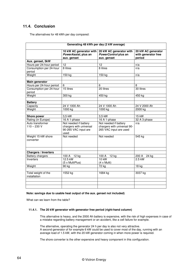# **11.4. Conclusion**

The alternatives for 48 kWh per day compared:

| Generating 48 kWh per day (2 kW average) |                                                                                  |                                                                                |                                                     |  |  |
|------------------------------------------|----------------------------------------------------------------------------------|--------------------------------------------------------------------------------|-----------------------------------------------------|--|--|
|                                          | 10 kW AC generator with<br>PowerAssist, plus an<br>aux. genset                   | 20 kW AC generator with<br>PowerControl plus an<br>aux. genset                 | 20 kW AC generator<br>with generator free<br>period |  |  |
| Aux. genset, 5kW                         |                                                                                  |                                                                                |                                                     |  |  |
| Hours per 24-hour period                 | 12                                                                               | 12                                                                             | n/a                                                 |  |  |
| Consumption per 24-hour<br>period        | 8 litres                                                                         | 8 litres                                                                       | n/a                                                 |  |  |
| Weight                                   | 150 kg                                                                           | 150 kg                                                                         | n/a                                                 |  |  |
| <b>Main generator</b>                    |                                                                                  |                                                                                |                                                     |  |  |
| Hours per 24-hour period                 | 6                                                                                | 6                                                                              | 8                                                   |  |  |
| Consumption per 24-hour<br>period        | 15 litres                                                                        | 20 litres                                                                      | 30 litres                                           |  |  |
| Weight                                   | 300 kg                                                                           | 450 kg                                                                         | 450 kg                                              |  |  |
|                                          |                                                                                  |                                                                                |                                                     |  |  |
| <b>Battery</b>                           |                                                                                  |                                                                                |                                                     |  |  |
| Capacity                                 | 24 V 1000 Ah                                                                     | 24 V 1000 Ah                                                                   | 24 V 2000 Ah                                        |  |  |
| Weight                                   | 1000 kg                                                                          | 1000 kg                                                                        | 2000 kg                                             |  |  |
|                                          |                                                                                  |                                                                                |                                                     |  |  |
| <b>Shore power</b>                       | $3.5$ kW                                                                         | 3,5 kW                                                                         | 15 kW                                               |  |  |
| Rating (in Europe)                       | 16 A 1-phase                                                                     | 16 A 1-phase                                                                   | 32 A 3-phase                                        |  |  |
| Auto transformer<br>$110 - 230$ V        | Not needed if battery<br>chargers with universal<br>90-265 VAC input are<br>used | Not needed if battery<br>chargers with universal 90-<br>265 VAC input are used | n/a                                                 |  |  |
| Weight 15 kW shore<br>converter          | Not needed                                                                       | Not needed                                                                     | 545 kg                                              |  |  |
|                                          |                                                                                  |                                                                                |                                                     |  |  |
| <b>Chargers / Inverters</b>              |                                                                                  |                                                                                |                                                     |  |  |
| <b>Battery chargers</b>                  | 100 A 12 kg                                                                      | 12 kg<br>100 A                                                                 | 200 A<br>24 kg                                      |  |  |
| Inverters                                | $12.5$ kW<br>(5 x MultiPlus)                                                     | $10$ kW<br>$(4 \times Multi)$                                                  | $2.5$ kW                                            |  |  |
| Weight                                   | 90 kg                                                                            | 72 kg                                                                          | $18$ kg                                             |  |  |
|                                          |                                                                                  |                                                                                |                                                     |  |  |
| Total weight of the<br>installation      | 1552 kg                                                                          | 1684 kg                                                                        | 3037 kg                                             |  |  |
|                                          |                                                                                  |                                                                                |                                                     |  |  |
|                                          |                                                                                  |                                                                                |                                                     |  |  |

## **Note: savings due to usable heat output of the aux. genset not included)**

What can we learn from the table?

### **11.4.1. The 20 kW generator with generator free period (right-hand column)**

This alternative is heavy, and the 2000 Ah battery is expensive, with the risk of high expenses in case of a mistake regarding battery management or an accident, like a cell failure for example.

The alternative, operating the generator 24 h per day is also not very attractive. A second generator of for example 6 kW could be used to cover most of the day, running with an average load of 1.5 kW, with the 20 kW generator coming in when more power is required.

The shore converter is the other expensive and heavy component in this configuration.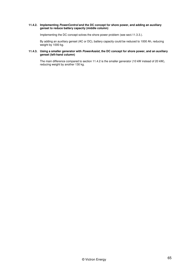#### **11.4.2. Implementing PowerControl and the DC concept for shore power, and adding an auxiliary genset to reduce battery capacity (middle column)**

Implementing the DC concept solves the shore power problem (see sect.11.3.3.).

By adding an auxiliary genset (AC or DC), battery capacity could be reduced to 1000 Ah, reducing weight by 1000 kg.

## **11.4.3. Using a smaller generator with PowerAssist, the DC concept for shore power, and an auxiliary genset (left-hand column)**

The main difference compared to section 11.4.2 is the smaller generator (10 kW instead of 20 kW), reducing weight by another 130 kg.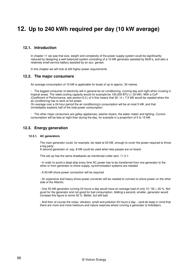# **12. Up to 240 kWh required per day (10 kW average)**

# **12.1. Introduction**

In chapter 11 we saw that size, weight and complexity of the power supply system could be significantly reduced by designing a well balanced system consisting of a 10 kW generator assisted by Multi's, and also a relatively small service battery assisted by an aux. genset.

In this chapter we will look at still higher power requirements

## **12.2. The major consumers**

An average consumption of 10 kW is applicable for boats of up to approx. 30 metres.

- The biggest consumer of electricity will in general be air conditioning, running day and night when cruising in tropical areas. The rated cooling capacity would for example be 100,000 BTU (= 30 kW). With a CoP (Coefficient of Performance, see section 6.2.) of 4 this means that  $30 / 4 = 7.5$  kW would be needed when the air conditioning has to work at full power.

On average over a 24-hour period the air conditioning's consumption will be at most 5 kW, and that immediately explains half of the total power consumption.

The other major consumers are galley appliances, washer-dryers, the water maker and lighting. Current consumption will be less at night than during the day, for example in a proportion of 5 to 15 kW.

## **12.3. Energy generation**

#### **12.3.1. AC generators**

The main generator could, for example, be rated at 50 kW, enough to cover the power required to throw a big party.

A second generator of, say, 8 kW could be used when less people are on board.

This set-up has the same drawbacks as mentioned under sect. 11.3.1:

- In order to avoid a dead ship every time AC power has to be transferred from one generator to the other or from generator to shore supply, synchronisation systems are needed.

- A 50 kW shore power connection will be required.

- An expensive and heavy shore power converter will be needed to connect to shore power on the other side of the Atlantic.

- One 50 kW generator running 24 hours a day would have an average load of only 10 / 50 = 20 %. Not good for the generator and not good for fuel consumption. Adding a second, smaller, generator would increase this figure to some 30 %. Better, but still bad.

- And then of course the noise, vibration, smell and pollution 24 hours a day…(and do keep in mind that there are more and more harbours and nature reserves where running a generator is forbidden).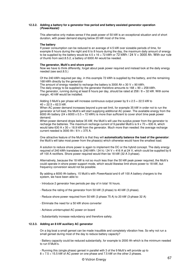#### **12.3.2. Adding a battery for a generator free period and battery assisted generator operation (PowerAssist)**

This alternative only makes sense if the peak power of 50 kW is an exceptional situation and of short duration, with power demand staying below 20 kW most of the time.

#### **The battery**

If power consumption can be reduced to an average of 4.5 kW over sizeable periods of time, for example 8 hours during the night and 6 to 8 hours during the day, the maximum daily amount of energy to be supplied by the battery would be  $4.5 \times 16 = 72$  kWh or  $72$  kWh  $/ 24$  V = 3000 Ah. With our rule of thumb from sect.8.5.2, a battery of 6000 Ah would be needed.

#### **The generator, Multi's and shore power**

Now we have to think differently, forget about peak power required and instead look at the daily energy needed (see sect.8.5.)

Of the 240 kWh required per day, in this example 72 kWh is supplied by the battery, and the remaining 168 kWh directly by the generator

The amount of energy needed to recharge the battery is 3000 Ah  $x$  30 V = 90 kWh. The daily energy to be supplied by the generator therefore amounts to  $168 + 90 = 258$  kWh. The generator, running during at least 8 hours per day, should be rated at  $258 / 8 = 32$  kW. With some margin, 40 kW would be installed.

Adding 3 Multi's per phase will increase continuous output power by  $9 \times 2.5 = 22.5$  kW to  $40 + 22.5 = 62.5$  kW.

When AC power demand increases beyond a pre-set limit, for example 35 kW in order not to run the generator at full load, the Multi's will start supplying additional AC power. The available energy from the 6000 Ah battery (24 x 6000 x 0.5 = 72 kWh) is more than sufficient to cover short time peak power demand.

When power demand drops below 35 kW, the Multi's will use the surplus power from the generator to recharge the batteries. The maximum recharge current of 9 parallel Multi's is  $9 \times 70 = 630$  A, which would take 630 A  $\times$  30 = 18.9 kW from the generator. Much more than needed: the average recharge current needed is 3000 Ah  $/ 8$  h = 375 A.

One attractive feature of the Multi's is that they will **automatically balance the load of the generator**: the Multi's will take most power from the phase(s) which otherwise would have the smallest load.

A solution to reduce shore power is again to implement the DC or the hybrid concept. The daily energy required of 240 kWh translates to (240 kWh / 24 h) / 24 V = 416 A at 24 V, which could be supplied by 6 off 100 A rectifiers. Shore power required would then be 18 kW (32 A 3-phase).

Alternatively, because the 18 kW is not so much less than the 50 kW peak power required, the Multi's could operate in shore power support mode, which would likewise limit shore power to 18 kW, but frequency conversion would not be possible.

By adding a 6000 Ah battery, 15 Multi's with PowerAssist and 6 off 100 A battery chargers to the system, we have been able to:

- Introduce 2 generator free periods per day of in total 16 hours.
- Reduce the rating of the generator from 50 kW (3 phase) to 40 kW (3 phase).
- Reduce shore power required from 50 kW (3 phase 75 A) to 20 kW (3-phase 32 A)
- Eliminate the need for a 50 kW shore converter
- Achieve uninterrupted AC power on board
- Substantially increase redundancy and therefore safety.

#### **12.3.3. Adding an 8 kW auxiliary AC generator**

On a big boat a small genset can be made inaudible and completely vibration free. So why not run a small genset during most of the day to reduce battery capacity?

- Battery capacity could be reduced substantially, for example to 2000 Ah which is the minimum needed to run 9 Multi's.

- Running this (single phase) genset in parallel with 3 of the 9 Multi's will provide up to 8 + 7.5 = 15.5 kW of AC power on one phase and 7.5 kW on the other 2 phases.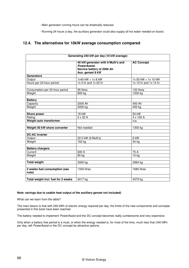- Main generator running hours can be drastically reduced.

- Running 24 hours a day, the auxiliary generator could also supply all hot water needed on board.

# **12.4. The alternatives for 10kW average consumption compared**

| Generating 240 kW per day (10 kW average) |                                                                                                      |                           |  |  |
|-------------------------------------------|------------------------------------------------------------------------------------------------------|---------------------------|--|--|
|                                           | 40 kW generator with 9 Multi's and<br>PowerAssist.<br>Service battery of 2000 Ah<br>Aux. genset 8 kW | <b>AC Concept</b>         |  |  |
| <b>Generators</b>                         |                                                                                                      |                           |  |  |
| Output                                    | $1x40$ kW + $1x8$ kW                                                                                 | 1x 50 kW + 1x 10 kW       |  |  |
| Hours per 24-hour period                  | $1x$ 4 hr and $1x$ 20 hr                                                                             | $1x 10$ hr and $1x 14$ hr |  |  |
| Consumption per 24-hour period            | 95 litres                                                                                            | 120 litres                |  |  |
| Weight                                    | 800 kg                                                                                               | 1200 kg                   |  |  |
| <b>Battery</b>                            |                                                                                                      |                           |  |  |
| Capacity                                  | 2000 Ah                                                                                              | 400 Ah                    |  |  |
| Weight                                    | 2000 kg                                                                                              | 400 kg                    |  |  |
|                                           |                                                                                                      |                           |  |  |
| <b>Shore power</b>                        | 18 kW                                                                                                | 50 kW                     |  |  |
| Rating                                    | $3 \times 32$ A                                                                                      | $3 \times 100$ A          |  |  |
| Weight auto transformer                   |                                                                                                      | n/a                       |  |  |
|                                           |                                                                                                      |                           |  |  |
| Weight 50 kW shore converter              | Not needed                                                                                           | 1300 kg                   |  |  |
| <b>DC-AC</b> inverter                     |                                                                                                      |                           |  |  |
| Output                                    | 22.5 kW (9 Multi's)                                                                                  | $6$ kW                    |  |  |
| Weight                                    | 162 kg                                                                                               | 54 kg                     |  |  |
|                                           |                                                                                                      |                           |  |  |
| <b>Battery chargers</b>                   |                                                                                                      |                           |  |  |
| Current                                   | 600 A                                                                                                | $\overline{75}$ A         |  |  |
| Weight                                    | 80 kg                                                                                                | $10$ kg                   |  |  |
| <b>Total weight</b>                       | 3000 kg                                                                                              | 2964 kg                   |  |  |
|                                           |                                                                                                      |                           |  |  |
| 2 weeks fuel consumption (see<br>note)    | 1330 litres                                                                                          | 1680 litres               |  |  |
|                                           |                                                                                                      |                           |  |  |
| Total weight incl. fuel for 2 weeks       | 4017 kg                                                                                              | 4375 kg                   |  |  |

## **Note: savings due to usable heat output of the auxiliary genset not included)**

What can we learn from the table?

The main lesson is that with 240 kWh of electric energy required per day, the limits of the new components and concepts presented in this book have been reached.

The battery needed to implement PowerAssist and the DC concept becomes really cumbersome and very expensive.

Only when a battery free period is a must, or when the energy needed is, for most of the time, much less than 240 kWh per day, will PowerAssist or the DC concept be attractive options.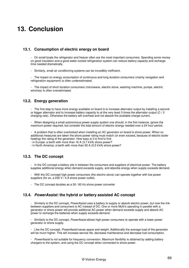# **13. Conclusion**

# **13.1. Consumption of electric energy on board**

- On small boats the refrigerator and freezer often are the most important consumers. Spending some money on good insulation and a good water-cooled refrigeration system can reduce battery capacity and recharge time needed dramatically.

- Similarly, small air conditioning systems can be incredibly inefficient.

- The impact on energy consumption of continuous and long duration consumers (mainly navigation and refrigeration equipment) is often underestimated.

- The impact of short duration consumers (microwave, electric stove, washing machine, pumps, electric winches) is often overestimated.

# **13.2. Energy generation**

- The first step to have more energy available on board is to increase alternator output by installing a second or bigger alternator and to increase battery capacity to at the very least 3 times the alternator output (C / 3 charging rate). Otherwise the battery will overheat and not absorb the available charge current.

- When designing a small autonomous power supply system one should, in the first instance, ignore the maximum power required, but consider the total amount of electric energy needed over a 24 hour period.

- A problem that is often overlooked when installing an AC generator on board is shore power. When no additional measures are taken the shore power rating must match (or even exceed, because of electric boiler heating) the rating of the generator. How easy is it to find to find

- in Europe: a berth with more than 16 A (3.7 kVA) shore power?

- in North America: a berth with more than 50 A (5.5 kVA) shore power?

# **13.3. The DC concept**

- In the DC concept a battery sits in between the consumers and suppliers of electrical power. The battery supplies additional energy when demand exceeds supply, and absorbs energy when supply exceeds demand.

- With the DC concept high power consumers (the electric stove) can operate together with low power suppliers (for ex. a 230 V / 4 A shore power outlet).

- The DC concept doubles as a 50 / 60 Hz shore power converter

# **13.4. PowerAssist: the hybrid or battery assisted AC concept**

Similarly to the DC concept, PowerAssist uses a battery to supply or absorb electric power, but now the link between suppliers and consumers is AC instead of DC. One or more Multi's operating in parallel with a generator or shore power will provide additional AC power when demand exceeds supply and absorb AC power to recharge the batteries when supply exceeds demand.

Similarly to the DC concept, PowerAssist allows high power consumers to operate with a lower power generator or shore supply.

- Like the DC concept, PowerAssist saves space and weight. Additionally the average load of the generator will be much higher. This will increase service life, decrease maintenance and decrease fuel consumption.

PowerAssist is not suitable for frequency conversion. Maximum flexibility is obtained by adding battery chargers to the system, and using the DC concept when connected to shore power.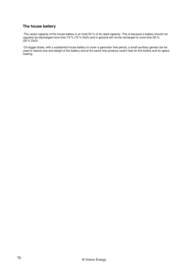# **The house battery**

-The useful capacity of the house battery is at most 50 % of its rated capacity. This is because a battery should not regularly be discharged more than 70 % (70 % DoD) and in general will not be recharged to more than 80 %  $(20 \%$  DoD).

-On bigger boats, with a substantial house battery to cover a generator free period, a small auxiliary genset can be used to reduce size and weight of the battery and at the same time produce useful heat for the boilers and for space heating.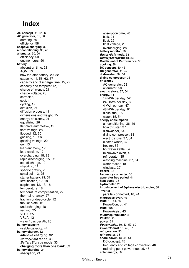# **Index**

**AC concept**, 41, 61, 69 **AC generator**, 55, 56 derating, 60 efficiency, 58 **adaptive charging**, 32 **air conditioning**, 36, 49 **alternator**, 30, 50 efficiency, 50 engine hours, 50 **battery** absorption time, 28 AGM, 13 bow thruster battery, 29, 32 capacity, 44, 56, 62, 67 capacity and discharge time, 15, 22 capacity and temperature, 16 charge efficiency, 21 charge voltage, 28 corrosion, 11 cost, 14 cycling, 17 diffusion, 24 diffusion process, 11 dimensions and weight, 15 energy efficiency, 21 equalizing, 26 flat-plate automotive, 12 float voltage, 28 flooded, 12, 20 gassing, 18, 26 gassing voltage, 20 gel, 13 lead-antimony, 12 lead-calcium, 12 overcharging, 18, 28 rapid discharging, 15, 22 self-discharge, 19 shedding, 11 specific gravity, 20 spiral cell, 13, 25 starter battery, 29, 31 stratification, 12, 18 sulphation, 12, 17, 18 temperature, 18 temperature compensation, 27 thermal runaway, 27 traction or deep-cycle, 12 tubular plate, 12 undercharging, 18 venting, 25 VLRA, 25 VRLA, 12 water / gas per Ah, 26 **battery capacity** usable capacity, 44 **battery charger**, 32 **adaptive charging**, 32 **BatterySafe mode**, 33 **BatteryStorage mode**, 33 **charging more than one bank**, 33 **battery charging**, 24 absorption, 24

absorption time, 28 bulk, 24 float, 25 float voltage, 28 overcharging, 28 **battery monitor**, 20 **BatterySafe mode**, 33 **BatteryStorage mode**, 33 **Coefficient of Performance**, 35 **cooking**, 38 **DC concept**, 40, 45 **DC generator**, 41, 57 **dishwasher**, 37, 54 **diving compressor**, 38 **efficiency** AC generator, 58 alternator, 50 **electric stove**, 37, 54 **energy**, 34 14 kWh per day, 52 240 kWh per day, 66 4 kWh per day, 47 48 kWh per day, 61 diesel fuel, 15 water, 15, 54 **energy consumption** air conditioning, 36, 49 bow thruster, 37 dishwasher, 54 diving compressor, 38 electric stove, 37, 54 electric winch, 37 freezer, 35 hot water kettle, 54 microwave oven, 49 refrigerator, 35 washing machine, 37, 54 water maker, 49 windlass, 37 **freezer**, 35 **frequency converter**, 56 **generator free period**, 41 **heat pump**, 35 **hydrometer**, 20 **inrush current of 3-phase electric motor**, 38 i**nverter** parallel connected, 10, 41 **microwave oven**, 49 **Multi**, 10, 41, 56 PowerControl, 41 **MultiPlus**, 10 PowerAssist, 43 **multistep regulator**, 31 **Peukert**, 22 **power**, 34 **PowerAssist**, 10, 43, 57, 69 **PowerControl**, 10, 42, 57 **refrigeration**, 35 **refrigerator**, 35 **shore power**, 43, 45, 51 DC-concept, 45 frequency and voltage conversion, 46 reducing peak power needed, 45 **solar energy**, 50